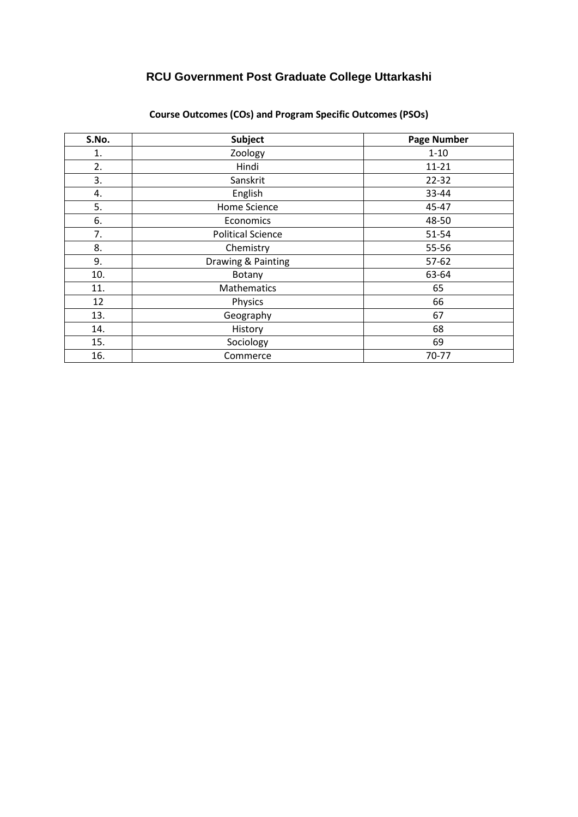| S.No. | Subject                  | <b>Page Number</b> |
|-------|--------------------------|--------------------|
| 1.    | Zoology                  | $1 - 10$           |
| 2.    | Hindi                    | $11 - 21$          |
| 3.    | Sanskrit                 | 22-32              |
| 4.    | English                  | 33-44              |
| 5.    | Home Science             | 45-47              |
| 6.    | Economics                | 48-50              |
| 7.    | <b>Political Science</b> | 51-54              |
| 8.    | Chemistry                | 55-56              |
| 9.    | Drawing & Painting       | $57-62$            |
| 10.   | Botany                   | 63-64              |
| 11.   | Mathematics              | 65                 |
| 12    | Physics                  | 66                 |
| 13.   | Geography                | 67                 |
| 14.   | History                  | 68                 |
| 15.   | Sociology                | 69                 |
| 16.   | Commerce                 | 70-77              |

### **Course Outcomes (COs) and Program Specific Outcomes (PSOs)**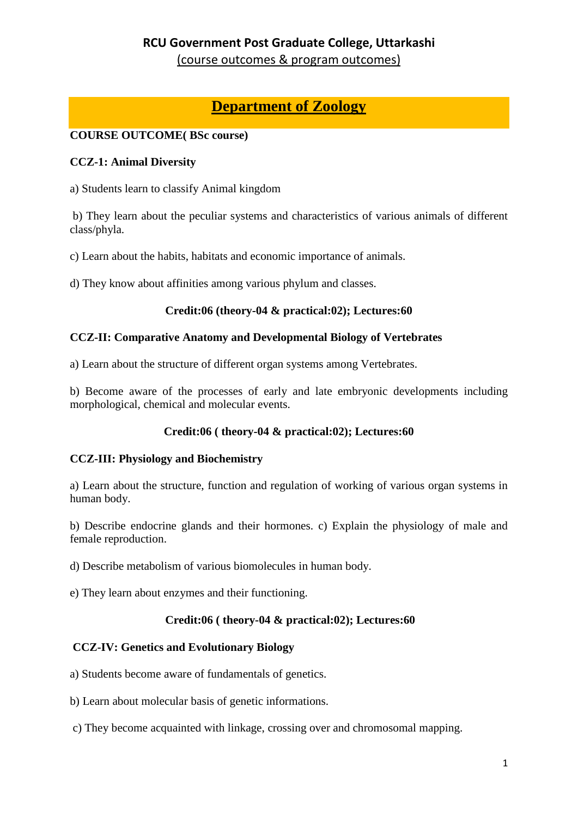(course outcomes & program outcomes)

# **Department of Zoology**

### **COURSE OUTCOME( BSc course)**

#### **CCZ-1: Animal Diversity**

a) Students learn to classify Animal kingdom

b) They learn about the peculiar systems and characteristics of various animals of different class/phyla.

c) Learn about the habits, habitats and economic importance of animals.

d) They know about affinities among various phylum and classes.

#### **Credit:06 (theory-04 & practical:02); Lectures:60**

#### **CCZ-II: Comparative Anatomy and Developmental Biology of Vertebrates**

a) Learn about the structure of different organ systems among Vertebrates.

b) Become aware of the processes of early and late embryonic developments including morphological, chemical and molecular events.

### **Credit:06 ( theory-04 & practical:02); Lectures:60**

#### **CCZ-III: Physiology and Biochemistry**

a) Learn about the structure, function and regulation of working of various organ systems in human body.

b) Describe endocrine glands and their hormones. c) Explain the physiology of male and female reproduction.

d) Describe metabolism of various biomolecules in human body.

e) They learn about enzymes and their functioning.

#### **Credit:06 ( theory-04 & practical:02); Lectures:60**

#### **CCZ-IV: Genetics and Evolutionary Biology**

- a) Students become aware of fundamentals of genetics.
- b) Learn about molecular basis of genetic informations.
- c) They become acquainted with linkage, crossing over and chromosomal mapping.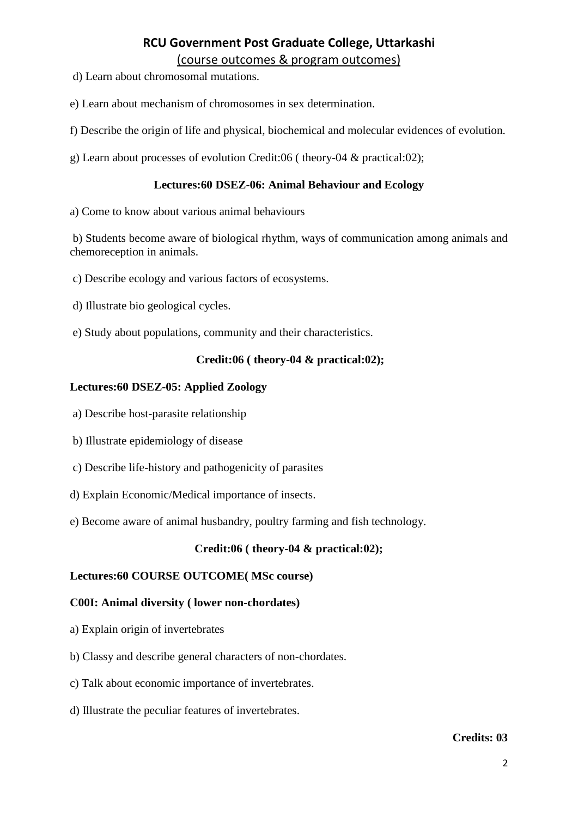- d) Learn about chromosomal mutations.
- e) Learn about mechanism of chromosomes in sex determination.
- f) Describe the origin of life and physical, biochemical and molecular evidences of evolution.
- g) Learn about processes of evolution Credit:06 ( theory-04 & practical:02);

#### **Lectures:60 DSEZ-06: Animal Behaviour and Ecology**

a) Come to know about various animal behaviours

b) Students become aware of biological rhythm, ways of communication among animals and chemoreception in animals.

- c) Describe ecology and various factors of ecosystems.
- d) Illustrate bio geological cycles.
- e) Study about populations, community and their characteristics.

#### **Credit:06 ( theory-04 & practical:02);**

#### **Lectures:60 DSEZ-05: Applied Zoology**

- a) Describe host-parasite relationship
- b) Illustrate epidemiology of disease
- c) Describe life-history and pathogenicity of parasites
- d) Explain Economic/Medical importance of insects.
- e) Become aware of animal husbandry, poultry farming and fish technology.

#### **Credit:06 ( theory-04 & practical:02);**

#### **Lectures:60 COURSE OUTCOME( MSc course)**

#### **C00I: Animal diversity ( lower non-chordates)**

- a) Explain origin of invertebrates
- b) Classy and describe general characters of non-chordates.
- c) Talk about economic importance of invertebrates.
- d) Illustrate the peculiar features of invertebrates.

#### **Credits: 03**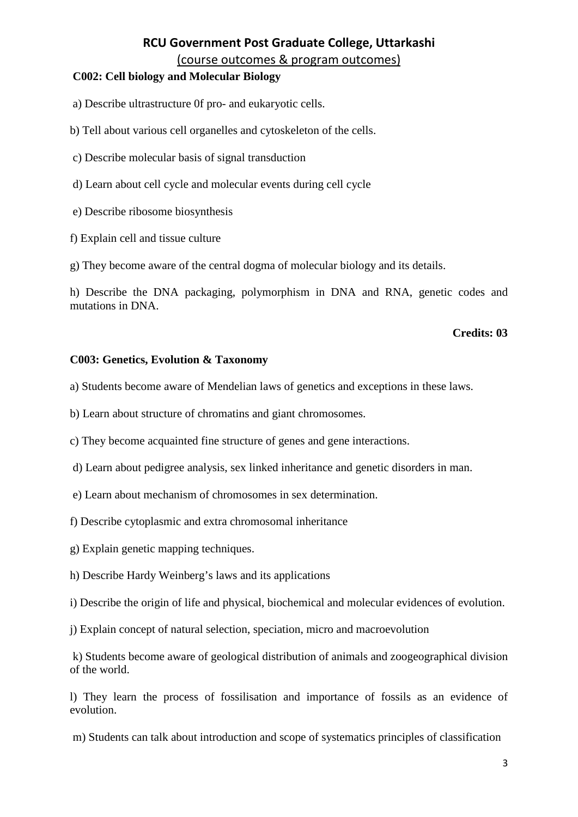(course outcomes & program outcomes)

#### **C002: Cell biology and Molecular Biology**

a) Describe ultrastructure 0f pro- and eukaryotic cells.

- b) Tell about various cell organelles and cytoskeleton of the cells.
- c) Describe molecular basis of signal transduction
- d) Learn about cell cycle and molecular events during cell cycle
- e) Describe ribosome biosynthesis
- f) Explain cell and tissue culture

g) They become aware of the central dogma of molecular biology and its details.

h) Describe the DNA packaging, polymorphism in DNA and RNA, genetic codes and mutations in DNA.

#### **Credits: 03**

#### **C003: Genetics, Evolution & Taxonomy**

a) Students become aware of Mendelian laws of genetics and exceptions in these laws.

b) Learn about structure of chromatins and giant chromosomes.

c) They become acquainted fine structure of genes and gene interactions.

- d) Learn about pedigree analysis, sex linked inheritance and genetic disorders in man.
- e) Learn about mechanism of chromosomes in sex determination.
- f) Describe cytoplasmic and extra chromosomal inheritance
- g) Explain genetic mapping techniques.
- h) Describe Hardy Weinberg's laws and its applications
- i) Describe the origin of life and physical, biochemical and molecular evidences of evolution.
- j) Explain concept of natural selection, speciation, micro and macroevolution

k) Students become aware of geological distribution of animals and zoogeographical division of the world.

l) They learn the process of fossilisation and importance of fossils as an evidence of evolution.

m) Students can talk about introduction and scope of systematics principles of classification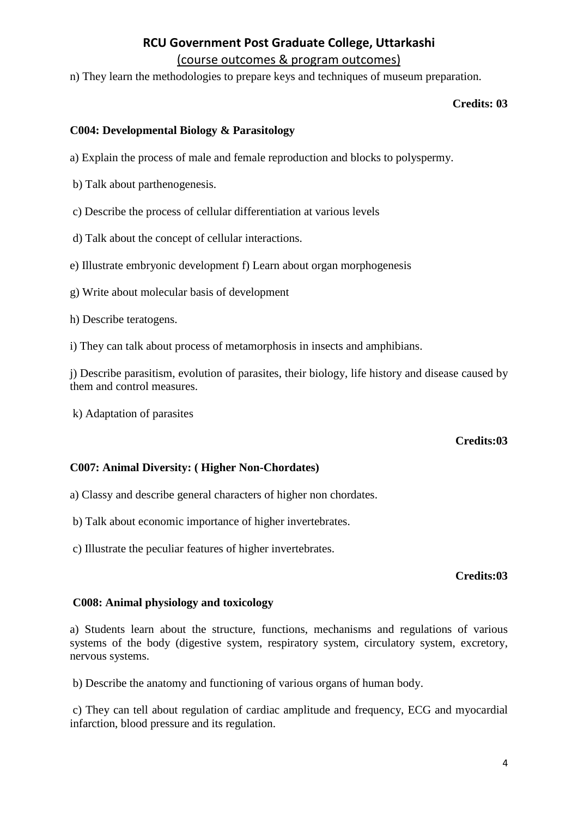n) They learn the methodologies to prepare keys and techniques of museum preparation.

#### **Credits: 03**

#### **C004: Developmental Biology & Parasitology**

- a) Explain the process of male and female reproduction and blocks to polyspermy.
- b) Talk about parthenogenesis.
- c) Describe the process of cellular differentiation at various levels
- d) Talk about the concept of cellular interactions.
- e) Illustrate embryonic development f) Learn about organ morphogenesis
- g) Write about molecular basis of development
- h) Describe teratogens.
- i) They can talk about process of metamorphosis in insects and amphibians.

j) Describe parasitism, evolution of parasites, their biology, life history and disease caused by them and control measures.

k) Adaptation of parasites

#### **Credits:03**

#### **C007: Animal Diversity: ( Higher Non-Chordates)**

- a) Classy and describe general characters of higher non chordates.
- b) Talk about economic importance of higher invertebrates.
- c) Illustrate the peculiar features of higher invertebrates.

#### **Credits:03**

#### **C008: Animal physiology and toxicology**

a) Students learn about the structure, functions, mechanisms and regulations of various systems of the body (digestive system, respiratory system, circulatory system, excretory, nervous systems.

b) Describe the anatomy and functioning of various organs of human body.

c) They can tell about regulation of cardiac amplitude and frequency, ECG and myocardial infarction, blood pressure and its regulation.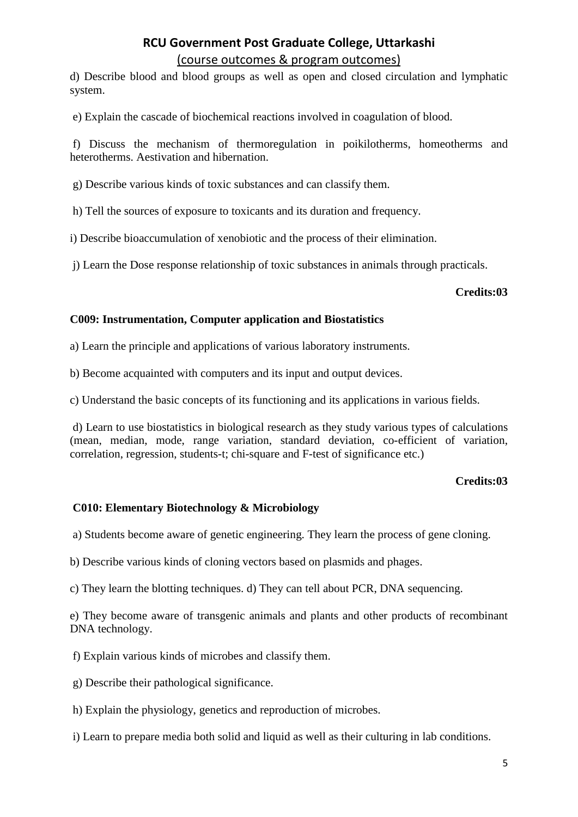d) Describe blood and blood groups as well as open and closed circulation and lymphatic system.

e) Explain the cascade of biochemical reactions involved in coagulation of blood.

f) Discuss the mechanism of thermoregulation in poikilotherms, homeotherms and heterotherms. Aestivation and hibernation.

g) Describe various kinds of toxic substances and can classify them.

h) Tell the sources of exposure to toxicants and its duration and frequency.

i) Describe bioaccumulation of xenobiotic and the process of their elimination.

j) Learn the Dose response relationship of toxic substances in animals through practicals.

#### **Credits:03**

#### **C009: Instrumentation, Computer application and Biostatistics**

a) Learn the principle and applications of various laboratory instruments.

b) Become acquainted with computers and its input and output devices.

c) Understand the basic concepts of its functioning and its applications in various fields.

d) Learn to use biostatistics in biological research as they study various types of calculations (mean, median, mode, range variation, standard deviation, co-efficient of variation, correlation, regression, students-t; chi-square and F-test of significance etc.)

#### **Credits:03**

#### **C010: Elementary Biotechnology & Microbiology**

a) Students become aware of genetic engineering. They learn the process of gene cloning.

b) Describe various kinds of cloning vectors based on plasmids and phages.

c) They learn the blotting techniques. d) They can tell about PCR, DNA sequencing.

e) They become aware of transgenic animals and plants and other products of recombinant DNA technology.

f) Explain various kinds of microbes and classify them.

g) Describe their pathological significance.

h) Explain the physiology, genetics and reproduction of microbes.

i) Learn to prepare media both solid and liquid as well as their culturing in lab conditions.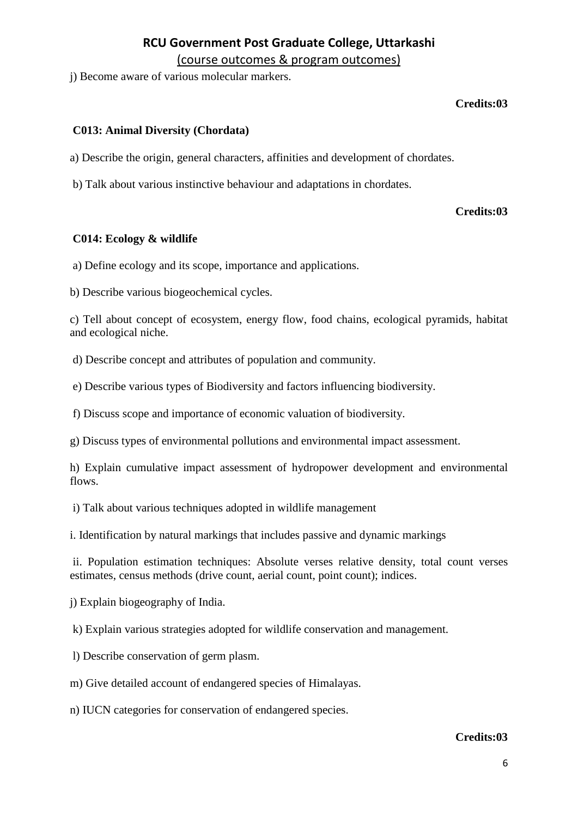j) Become aware of various molecular markers.

#### **Credits:03**

#### **C013: Animal Diversity (Chordata)**

a) Describe the origin, general characters, affinities and development of chordates.

b) Talk about various instinctive behaviour and adaptations in chordates.

#### **Credits:03**

#### **C014: Ecology & wildlife**

a) Define ecology and its scope, importance and applications.

b) Describe various biogeochemical cycles.

c) Tell about concept of ecosystem, energy flow, food chains, ecological pyramids, habitat and ecological niche.

d) Describe concept and attributes of population and community.

e) Describe various types of Biodiversity and factors influencing biodiversity.

f) Discuss scope and importance of economic valuation of biodiversity.

g) Discuss types of environmental pollutions and environmental impact assessment.

h) Explain cumulative impact assessment of hydropower development and environmental flows.

i) Talk about various techniques adopted in wildlife management

i. Identification by natural markings that includes passive and dynamic markings

ii. Population estimation techniques: Absolute verses relative density, total count verses estimates, census methods (drive count, aerial count, point count); indices.

j) Explain biogeography of India.

k) Explain various strategies adopted for wildlife conservation and management.

l) Describe conservation of germ plasm.

m) Give detailed account of endangered species of Himalayas.

n) IUCN categories for conservation of endangered species.

#### **Credits:03**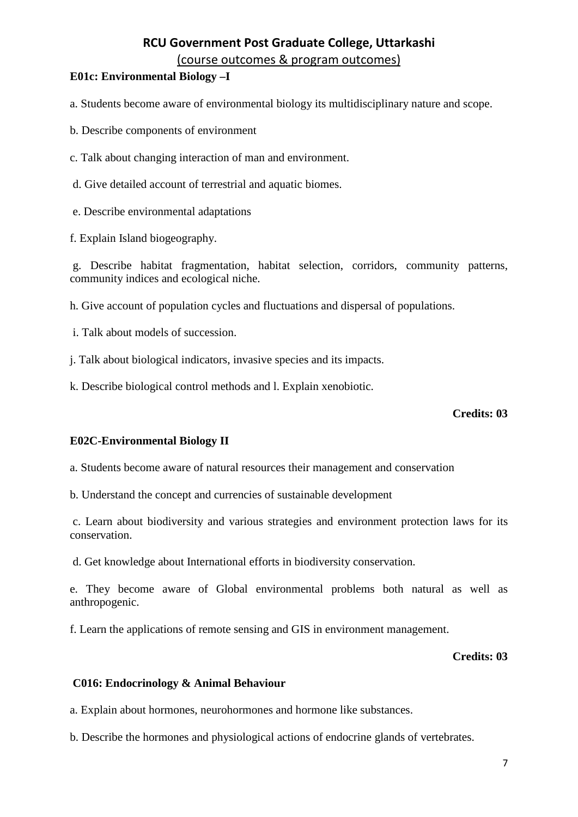(course outcomes & program outcomes)

### **E01c: Environmental Biology –I**

a. Students become aware of environmental biology its multidisciplinary nature and scope.

- b. Describe components of environment
- c. Talk about changing interaction of man and environment.
- d. Give detailed account of terrestrial and aquatic biomes.
- e. Describe environmental adaptations

f. Explain Island biogeography.

g. Describe habitat fragmentation, habitat selection, corridors, community patterns, community indices and ecological niche.

h. Give account of population cycles and fluctuations and dispersal of populations.

- i. Talk about models of succession.
- j. Talk about biological indicators, invasive species and its impacts.
- k. Describe biological control methods and l. Explain xenobiotic.

#### **Credits: 03**

### **E02C-Environmental Biology II**

a. Students become aware of natural resources their management and conservation

b. Understand the concept and currencies of sustainable development

c. Learn about biodiversity and various strategies and environment protection laws for its conservation.

d. Get knowledge about International efforts in biodiversity conservation.

e. They become aware of Global environmental problems both natural as well as anthropogenic.

f. Learn the applications of remote sensing and GIS in environment management.

#### **Credits: 03**

#### **C016: Endocrinology & Animal Behaviour**

a. Explain about hormones, neurohormones and hormone like substances.

b. Describe the hormones and physiological actions of endocrine glands of vertebrates.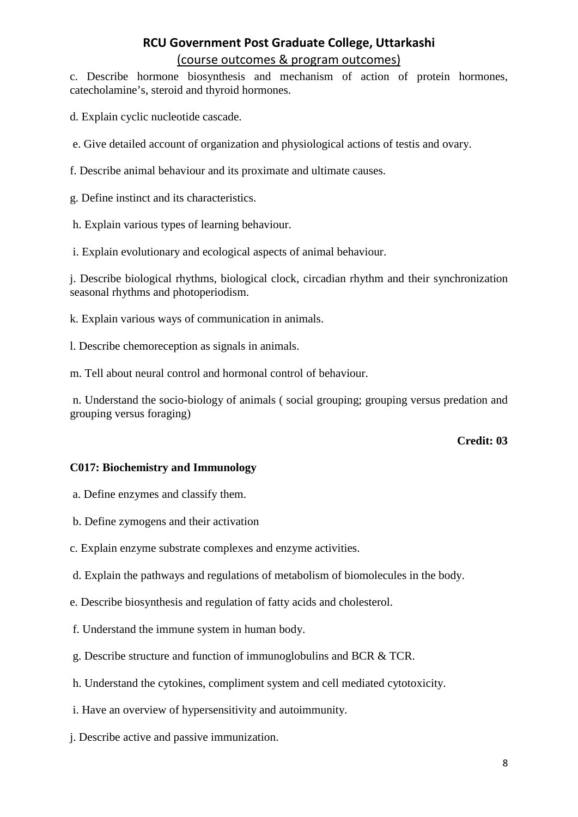c. Describe hormone biosynthesis and mechanism of action of protein hormones, catecholamine's, steroid and thyroid hormones.

d. Explain cyclic nucleotide cascade.

e. Give detailed account of organization and physiological actions of testis and ovary.

f. Describe animal behaviour and its proximate and ultimate causes.

g. Define instinct and its characteristics.

h. Explain various types of learning behaviour.

i. Explain evolutionary and ecological aspects of animal behaviour.

j. Describe biological rhythms, biological clock, circadian rhythm and their synchronization seasonal rhythms and photoperiodism.

- k. Explain various ways of communication in animals.
- l. Describe chemoreception as signals in animals.

m. Tell about neural control and hormonal control of behaviour.

n. Understand the socio-biology of animals ( social grouping; grouping versus predation and grouping versus foraging)

#### **Credit: 03**

#### **C017: Biochemistry and Immunology**

a. Define enzymes and classify them.

- b. Define zymogens and their activation
- c. Explain enzyme substrate complexes and enzyme activities.
- d. Explain the pathways and regulations of metabolism of biomolecules in the body.
- e. Describe biosynthesis and regulation of fatty acids and cholesterol.
- f. Understand the immune system in human body.
- g. Describe structure and function of immunoglobulins and BCR & TCR.
- h. Understand the cytokines, compliment system and cell mediated cytotoxicity.
- i. Have an overview of hypersensitivity and autoimmunity.
- j. Describe active and passive immunization.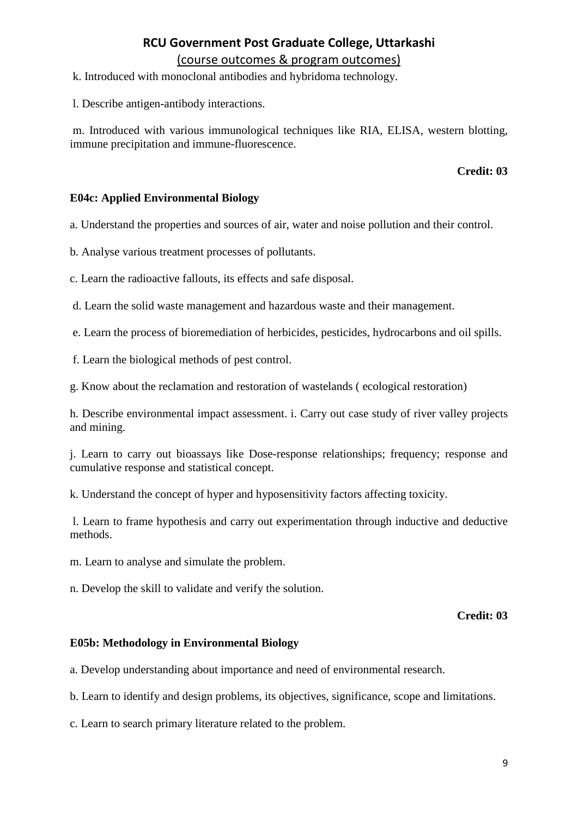(course outcomes & program outcomes)

k. Introduced with monoclonal antibodies and hybridoma technology.

l. Describe antigen-antibody interactions.

m. Introduced with various immunological techniques like RIA, ELISA, western blotting, immune precipitation and immune-fluorescence.

#### **Credit: 03**

#### **E04c: Applied Environmental Biology**

a. Understand the properties and sources of air, water and noise pollution and their control.

b. Analyse various treatment processes of pollutants.

c. Learn the radioactive fallouts, its effects and safe disposal.

d. Learn the solid waste management and hazardous waste and their management.

e. Learn the process of bioremediation of herbicides, pesticides, hydrocarbons and oil spills.

f. Learn the biological methods of pest control.

g. Know about the reclamation and restoration of wastelands ( ecological restoration)

h. Describe environmental impact assessment. i. Carry out case study of river valley projects and mining.

j. Learn to carry out bioassays like Dose-response relationships; frequency; response and cumulative response and statistical concept.

k. Understand the concept of hyper and hyposensitivity factors affecting toxicity.

l. Learn to frame hypothesis and carry out experimentation through inductive and deductive methods.

m. Learn to analyse and simulate the problem.

n. Develop the skill to validate and verify the solution.

#### **Credit: 03**

#### **E05b: Methodology in Environmental Biology**

a. Develop understanding about importance and need of environmental research.

b. Learn to identify and design problems, its objectives, significance, scope and limitations.

c. Learn to search primary literature related to the problem.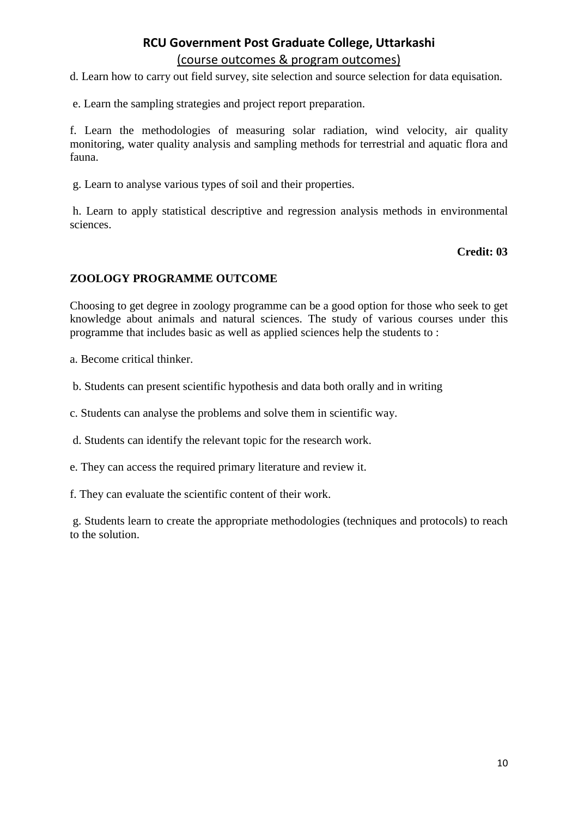d. Learn how to carry out field survey, site selection and source selection for data equisation.

e. Learn the sampling strategies and project report preparation.

f. Learn the methodologies of measuring solar radiation, wind velocity, air quality monitoring, water quality analysis and sampling methods for terrestrial and aquatic flora and fauna.

g. Learn to analyse various types of soil and their properties.

h. Learn to apply statistical descriptive and regression analysis methods in environmental sciences.

#### **Credit: 03**

#### **ZOOLOGY PROGRAMME OUTCOME**

Choosing to get degree in zoology programme can be a good option for those who seek to get knowledge about animals and natural sciences. The study of various courses under this programme that includes basic as well as applied sciences help the students to :

a. Become critical thinker.

b. Students can present scientific hypothesis and data both orally and in writing

c. Students can analyse the problems and solve them in scientific way.

d. Students can identify the relevant topic for the research work.

e. They can access the required primary literature and review it.

f. They can evaluate the scientific content of their work.

g. Students learn to create the appropriate methodologies (techniques and protocols) to reach to the solution.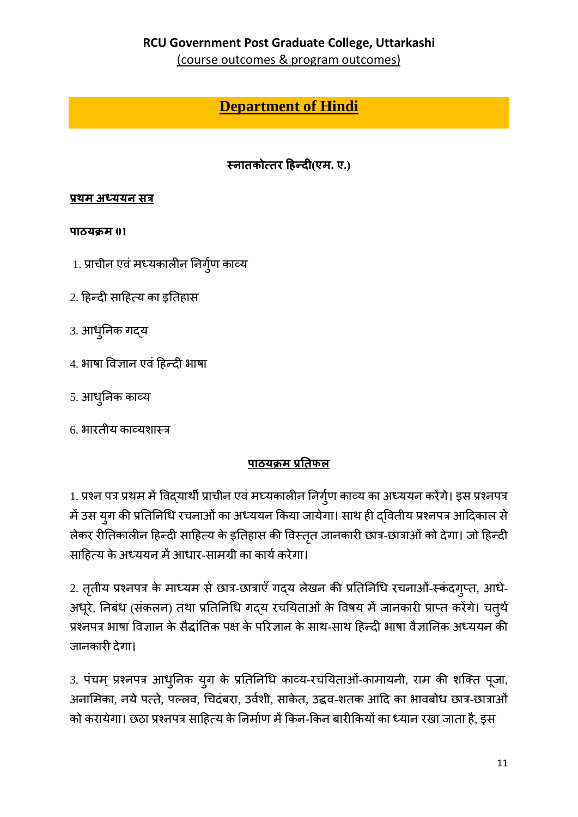(course outcomes & program outcomes)

# **Department of Hindi**

# स्नातकोत्तर हिन्दी(एम. ए.)

### प्रथम अध्ययन सत्र

### पाठयक्रम $01$

- 1. प्राचीन एवं मध्यकालीन निर्ग्ण काव्य
- 2. हिन्दी साहित्य का इतिहास
- 3. आधुनिक गद्य
- 4. भाषा विज्ञान एवं हिन्दी भाषा
- 5. आधुनिक काव्य
- 6. भारतीय काव्यशास्त्र

## पाठयक्रम प्रतिफल

1. प्रश्न पत्र प्रथम में विद्यार्थी प्राचीन एवं मघ्यकालीन निर्गुण काव्य का अध्ययन करेंगे। इस प्रश्नपत्र में उस युग की प्रतिनिधि रचनाओं का अध्ययन किया जायेगा। साथ ही द्वितीय प्रश्नपत्र आदिकाल से लेकर रीतिकालीन हिन्दी साहित्य के इतिहास की विस्तृत जानकारी छात्र-छात्राओं को देगा। जो हिन्दी साहित्य के अध्ययन में आधार-सामग्री का कार्य करेगा।

2. तृतीय प्रश्नपत्र के माध्यम से छात्र-छात्राएँ गदय लेखन की प्रतिनिधि रचनाओं-स्कंदगृप्त, आधे-अधूरे, निबंध (संकलन) तथा प्रतिनिधि गद्य रचयिताओं के विषय में जानकारी प्राप्त करेंगे। चत्थे प्रश्नपत्र भाषा विज्ञान के सैद्धांतिक पक्ष के परिज्ञान के साथ-साथ हिन्दी भाषा वैज्ञानिक अध्ययन की जानकारी देगा।

3. पंचम् प्रश्नपत्र आधुनिक युग के प्रतिनिधि काव्य-रचयिताओं-कामायनी, राम की शक्ति पूजा, अनामिका, नये पत्ते, पल्लव, चिदंबरा, उर्वशी, साकेत, उद्धव-शतक आदि का भावबोध छात्र-छात्राओं को करायेगा। छठा प्रश्नपत्र साहित्य के निर्माण में किन-किन बारीकियों का ध्यान रखा जाता है, इस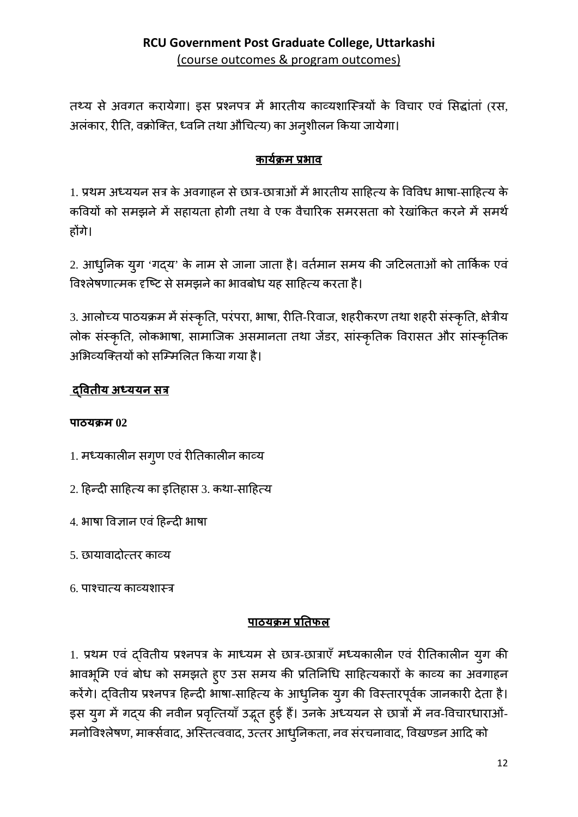तथ्य से अवगत करायेगा। इस प्रश्नपत्र में भारतीय काव्यशास्त्रियों के विचार एवं सिद्धांतां (रस, अलंकार, रीति, वक्रोक्ति, ध्वनि तथा औचित्य) का अनुशीलन किया जायेगा।

# कार्यक्रम प्रभाव

1. प्रथम अध्ययन सत्र के अवगाहन से छात्र-छात्राओं में भारतीय साहित्य के विविध भाषा-साहित्य के कवियों को समझने में सहायता होगी तथा वे एक वैचारिक समरसता को रेखांकित करने में समर्थ होंगे।

2. आधुनिक युग 'गद्य' के नाम से जाना जाता है। वर्तमान समय की जटिलताओं को तार्किक एवं विश्लेषणात्मक दृष्टि से समझने का भावबोध यह साहित्य करता है।

3. आलोच्य पाठयक्रम में संस्कृति, परंपरा, भाषा, रीति-रिवाज, शहरीकरण तथा शहरी संस्कृति, क्षेत्रीय लोक संस्कृति, लोकभाषा, सामाजिक असमानता तथा जेंडर, सांस्कृतिक विरासत और सांस्कृतिक अभिव्यक्तियों को सम्मिलित किया गया है।

# <u>दवितीय अध्ययन सत्र</u>

## पाठयक्रम $02$

1. मध्यकालीन सगुण एवं रीतिकालीन काव्य

2. हिन्दी साहित्य का इतिहास 3. कथा-साहित्य

4. भाषा विज्ञान एवं हिन्दी भाषा

5. छायावादोत्तर काव्य

6. पाश्चात्य काव्यशास्त्र

## पाठयक्रम प्रतिफल

1. प्रथम एवं द्वितीय प्रश्नपत्र के माध्यम से छात्र-छात्राएँ मध्यकालीन एवं रीतिकालीन युग की भावभूमि एवं बोध को समझते हुए उस समय की प्रतिनिधि साहित्यकारों के काव्य का अवगाहन करेंगे। दवितीय प्रश्नपत्र हिन्दी भाषा-साहित्य के आधुनिक युग की विस्तारपूर्वक जानकारी देता है। इस युग में गद्य की नवीन प्रवृत्तियाँ उद्भूत हुई हैं। उनके अध्ययन से छात्रों में नव-विचारधाराओं-मनोविश्लेषण, मार्क्सवाद, अस्तित्ववाद, उत्तर आधुनिकता, नव संरचनावाद, विखण्डन आदि को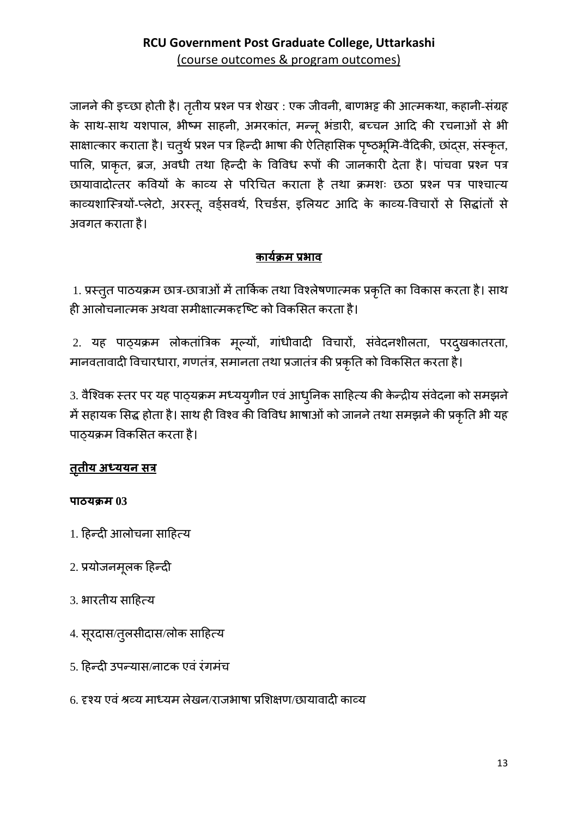जानने की इच्छा होती है। तृतीय प्रश्न पत्र शेखर: एक जीवनी, बाणभट्ट की आत्मकथा, कहानी-संग्रह के साथ-साथ यशपाल, भीष्म साहनी, अमरकांत, मन्नू भंडारी, बच्चन आदि की रचनाओं से भी साक्षात्कार कराता है। चतुर्थ प्रश्न पत्र हिन्दी भाषा की ऐतिहासिक पृष्ठभूमि-वैदिकी, छांद्स, संस्कृत, पालि, प्राकृत, ब्रज, अवधी तथा हिन्दी के विविध रूपों की जानकारी देता है। पांचवा प्रश्न पत्र छायावादोत्तर कवियों के काव्य से परिचित कराता है तथा क्रमशः छठा प्रश्न पत्र पाश्चात्य काव्यशास्त्रियों-प्लेटो, अरस्तू, वर्ड्सवर्थ, रिचर्डस, इलियट आदि के काव्य-विचारों से सिद्धांतों से अवगत कराता है।

# <u>कार्यक्रम प्रभाव</u>

1. प्रस्तूत पाठयक्रम छात्र-छात्राओं में तार्किक तथा विश्लेषणात्मक प्रकृति का विकास करता है। साथ ही आलोचनात्मक अथवा समीक्षात्मकदृष्टि को विकसित करता है।

2. यह पाठ्यक्रम लोकतांत्रिक मूल्यों, गांधीवादी विचारों, संवेदनशीलता, परद्खकातरता, मानवतावादी विचारधारा, गणतंत्र, समानता तथा प्रजातंत्र की प्रकृति को विकसित करता है।

3. वैश्विक स्तर पर यह पाठ्यक्रम मध्ययुगीन एवं आधुनिक साहित्य की केन्द्रीय संवेदना को समझने में सहायक सिद्ध होता है। साथ ही विश्व की विविध भाषाओं को जानने तथा समझने की प्रकृति भी यह पाठ्यक्रम विकसित करता है।

# <u>तृतीय अध्ययन सत्र</u>

## पाठयक्रम $03$

- 1. हिन्दी आलोचना साहित्य
- 2. प्रयोजनमूलक हिन्दी
- 3. भारतीय साहित्य
- 4. सूरदास/तुलसीदास/लोक साहित्य
- 5. हिन्दी उपन्यास/नाटक एवं रंगमंच
- 6. दृश्य एवं श्रव्य माध्यम लेखन/राजभाषा प्रशिक्षण/छायावादी काव्य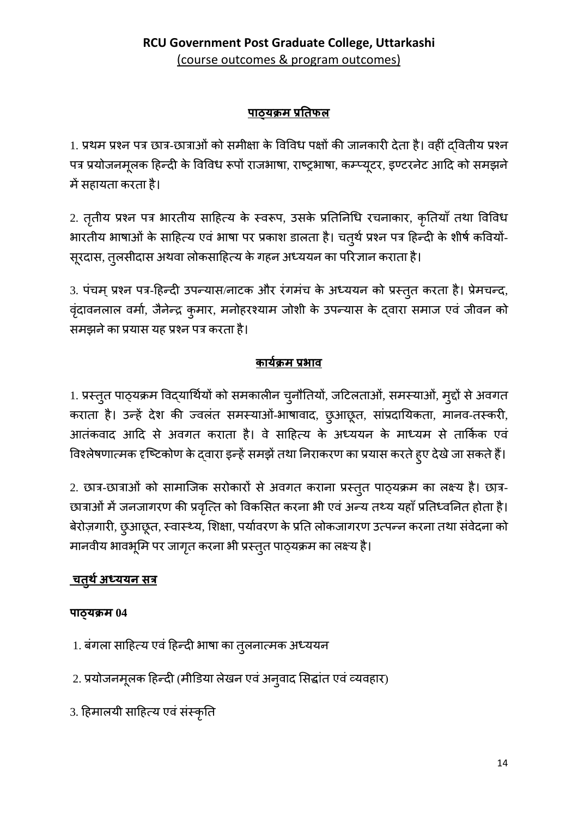# **पाठ्यक्रम प्र�तफल**

1. प्रथम प्रश्न पत्र छात्र-छात्राओं को समीक्षा के विविध पक्षों की जानकारी देता है। वहीं दवितीय प्रश्न पत्र प्रयोजनमूलक हिन्दी के विविध रूपो राजभाषा, राष्ट्रभाषा, कम्प्यूटर, इण्टरनेट आदि को समझने में सहायता करता है।

2. तृतीय प्रश्न पत्र भारतीय साहित्य के स्वरूप, उसके प्रतिनिधि रचनाकार, कृतियाँ तथा विविध भारतीय भाषाओं के साहित्य एवं भाषा पर प्रकाश डालता है। चतुर्थ प्रश्न पत्र हिन्दी के शीर्ष कवियों-सूरदास, तुलसीदास अथवा लोकसाहित्य के गहन अध्ययन का परिज्ञान कराता है।

3. पंचम् प्रश्न पत्र-हिन्दी उपन्यास/नाटक और रंगमच के अध्ययन को प्रस्तुत करता है। प्रेमचन्द, वृंदावनलाल वर्मा, जैनेन्द्र कुमार, मनोहरश्याम जोशी के उपन्यास के द्वारा समाज एवं जीवन को समझनेका प्रयास यह प्रश्न पत्र करता है।

# **कायर्क्रम प्रभाव**

1. प्रस्तुत पाठ्यक्रम विद्यार्थियो को समकालीन चुनौतियो, जटिलताओ, समस्याओ, मुद्दो से अवगत कराता है। उन्हें देश की ज्वलंत समस्याओं-भाषावाद, छुआछूत, सांप्रदायिकता, मानव-तस्करी, आतंकवाद आदि से अवगत कराता है। वे साहित्य के अध्ययन के माध्यम से तार्किक एवं विश्लेषणात्मक दृष्टिकोण के द्वारा इन्हें समझे तथा निराकरण का प्रयास करते हुए देखे जा सकते हैं।

2. छात्र-छात्राओं को सामाजिक सरोकारों से अवगत कराना प्रस्तुत पाठ्यक्रम का लक्ष्य है। छात्र-छात्राओं में जनजागरण की प्रवृत्ति को विकसित करना भी एवं अन्य तथ्य यहाँ प्रतिध्वनित होता है। बेरोज़गारी, छुआछूत, स्वास्थ्य, शिक्षा, पर्यावरण के प्रति लोकजागरण उत्पन्न करना तथा संवेदना को मानवीय भावभूमि पर जागृत करना भी प्रस्तुत पाठ्यक्रम का लक्ष्य है।

# **चतु थर्अध्ययन सत्र**

## **पाठ्यक्रम 04**

- 1. बगला साहित्य एवं हिन्दी भाषा का तुलनात्मक अध्ययन
- 2. प्रयोजनमूलक हिन्दी (मीडिया लेखन एवं अनुवाद सिद्धात एवं व्यवहार)
- 3. हिमालयी साहित्य एवं संस्कृति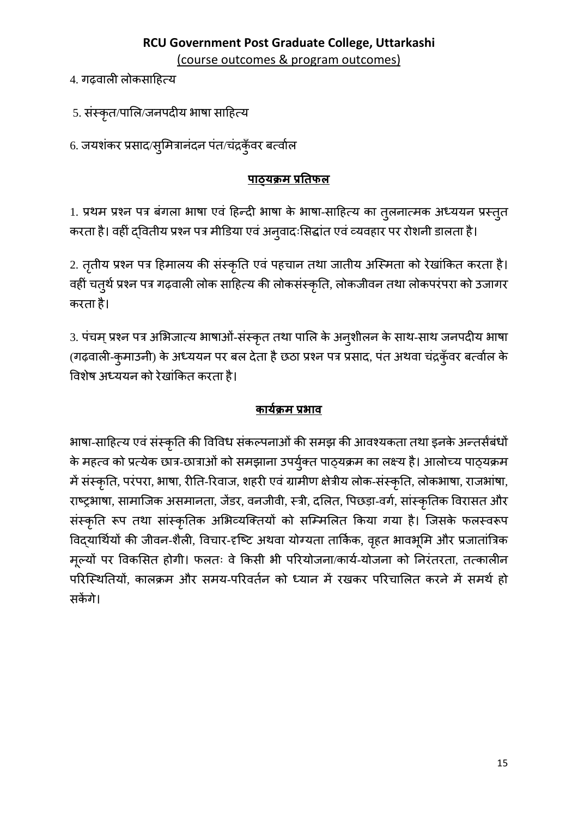4. गढवाली लोकसाहित्य

5. संस्कृत/पालि/जनपदीय भाषा साहित्य

6. जयशंकर प्रसाद/स्मित्रानंदन पंत/चंद्रकॅंवर बर्त्वाल

# पाठयक्रम प्रतिफल

1. प्रथम प्रश्न पत्र बंगला भाषा एवं हिन्दी भाषा के भाषा-साहित्य का तुलनात्मक अध्ययन प्रस्तुत करता है। वहीं द्वितीय प्रश्न पत्र मीडिया एवं अनुवादःसिद्धांत एवं व्यवहार पर रोशनी डालता है।

2. तृतीय प्रश्न पत्र हिमालय की संस्कृति एवं पहचान तथा जातीय अस्मिता को रेखांकित करता है। वहीं चतुर्थ प्रश्न पत्र गढ़वाली लोक साहित्य की लोकसंस्कृति, लोकजीवन तथा लोकपरंपरा को उजागर करता है।

3. पंचम् प्रश्न पत्र अभिजात्य भाषाओं-संस्कृत तथा पालि के अनुशीलन के साथ-साथ जनपदीय भाषा (गढ़वाली-कुमाउनी) के अध्ययन पर बल देता है छठा प्रश्न पत्र प्रसाद, पंत अथवा चंद्रकूँवर बर्त्वाल के विशेष अध्ययन को रेखांकित करता है।

# कार्यक्रम प्रभाव

भाषा-साहित्य एवं संस्कृति की विविध संकल्पनाओं की समझ की आवश्यकता तथा इनके अन्तर्सबंधों के महत्व को प्रत्येक छात्र-छात्राओं को समझाना उपर्युक्त पाठ्यक्रम का लक्ष्य है। आलोच्य पाठ्यक्रम में संस्कृति, परंपरा, भाषा, रीति-रिवाज, शहरी एवं ग्रामीण क्षेत्रीय लोक-संस्कृति, लोकभाषा, राजभांषा, राष्ट्रभाषा, सामाजिक असमानता, जेंडर, वनजीवी, स्त्री, दलित, पिछड़ा-वर्ग, सांस्कृतिक विरासत और संस्कृति रूप तथा सांस्कृतिक अभिव्यक्तियों को सम्मिलित किया गया है। जिसके फलस्वरूप विद्यार्थियों की जीवन-शैली, विचार-दृष्टि अथवा योग्यता तार्किक, वृहत भावभूमि और प्रजातांत्रिक मूल्यों पर विकसित होगी। फलतः वे किसी भी परियोजना/कार्य-योजना को निरंतरता, तत्कालीन परिस्थितियों, कालक्रम और समय-परिवर्तन को ध्यान में रखकर परिचालित करने में समर्थ हो सकेंगे।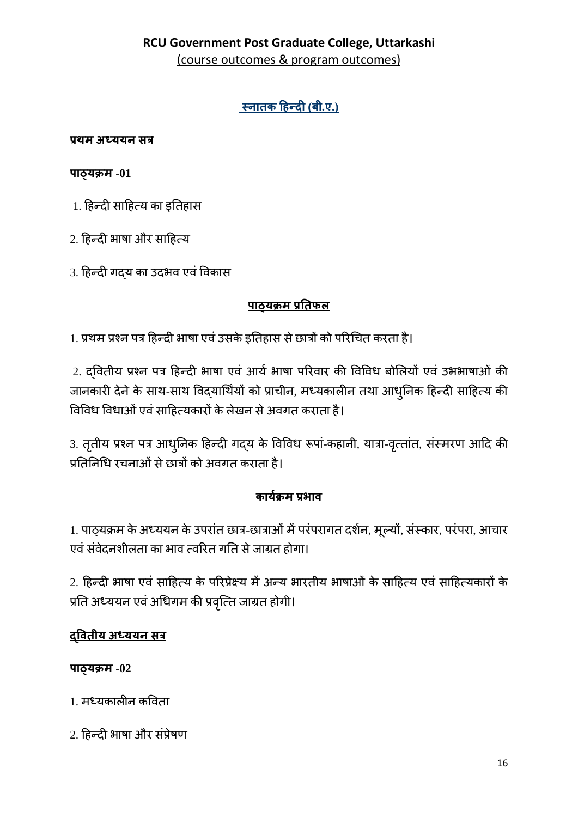# स्नातक हिन्दी (बी.ए.)

### <u>प्रथम अध्ययन सत्र</u>

### पाठ्यक्रम $-01$

- 1. हिन्दी साहित्य का इतिहास
- 2. हिन्दी भाषा और साहित्य
- 3. हिन्दी गदय का उदभव एवं विकास

# <u>पाठयक्रम प्रतिफल</u>

1. प्रथम प्रश्न पत्र हिन्दी भाषा एवं उसके इतिहास से छात्रों को परिचित करता है।

2. द्वितीय प्रश्न पत्र हिन्दी भाषा एवं आर्य भाषा परिवार की विविध बोलियों एवं उभभाषाओं की जानकारी देने के साथ-साथ विद्यार्थियों को प्राचीन, मध्यकालीन तथा आधुनिक हिन्दी साहित्य की विविध विधाओं एवं साहित्यकारों के लेखन से अवगत कराता है।

3. तृतीय प्रश्न पत्र आधुनिक हिन्दी गद्य के विविध रूपां-कहानी, यात्रा-वृत्तांत, संस्मरण आदि की प्रतिनिधि रचनाओं से छात्रों को अवगत कराता है।

# कार्यक्रम प्रभाव

1. पाठ्यक्रम के अध्ययन के उपरांत छात्र-छात्राओं में परंपरागत दर्शन, मूल्यों, संस्कार, परंपरा, आचार एवं संवेदनशीलता का भाव त्वरित गति से जाग्रत होगा।

2. हिन्दी भाषा एवं साहित्य के परिप्रेक्ष्य में अन्य भारतीय भाषाओं के साहित्य एवं साहित्यकारों के प्रति अध्ययन एवं अधिगम की प्रवृत्ति जाग्रत होगी।

# <u>दवितीय अध्ययन सत्र</u>

## पाठ्यक्रम-02

- 1. मध्यकालीन कविता
- 2. हिन्दी भाषा और संप्रेषण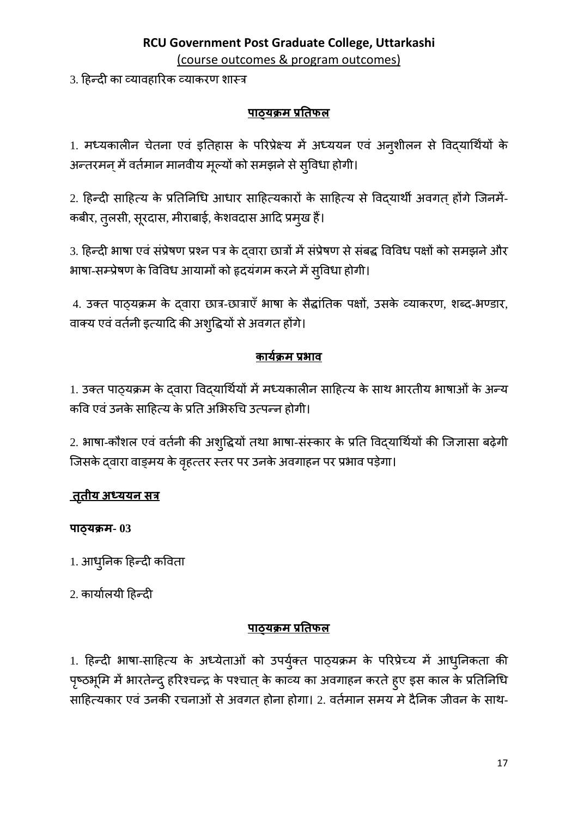(course outcomes & program outcomes)

3. हिन्दी का व्यावहारिक व्याकरण शास्त्र

### <u>पाठ्यक्रम प्रतिफल</u>

1. मध्यकालीन चेतना एवं इतिहास के परिप्रेक्ष्य में अध्ययन एवं अन्शीलन से विद्यार्थियों के अन्तरमन् में वर्तमान मानवीय मूल्यों को समझने से स्विधा होगी।

2. हिन्दी साहित्य के प्रतिनिधि आधार साहित्यकारों के साहित्य से विद्यार्थी अवगत् होंगे जिनमें-कबीर, तुलसी, सूरदास, मीराबाई, केशवदास आदि प्रमुख हैं।

3. हिन्दी भाषा एवं संप्रेषण प्रश्न पत्र के दवारा छात्रों में संप्रेषण से संबद्ध विविध पक्षों को समझने और भाषा-सम्प्रेषण के विविध आयामों को हृदयंगम करने में सुविधा होगी।

4. उक्त पाठ्यक्रम के दवारा छात्र-छात्राएँ भाषा के सैद्धांतिक पक्षों, उसके व्याकरण, शब्द-भण्डार, वाक्य एवं वर्तनी इत्यादि की अशुद्धियों से अवगत होंगे।

## कार्यक्रम प्रभाव

1. उक्त पाठ्यक्रम के द्वारा विद्यार्थियों में मध्यकालीन साहित्य के साथ भारतीय भाषाओं के अन्य कवि एवं उनके साहित्य के प्रति अभिरुचि उत्पन्न होगी।

2. भाषा-कौशल एवं वर्तनी की अशुद्धियों तथा भाषा-संस्कार के प्रति विद्यार्थियों की जिज्ञासा बढ़ेगी जिसके दवारा वाङ्मय के वृहत्तर स्तर पर उनके अवगाहन पर प्रभाव पड़ेगा।

## <u>तृतीय अध्ययन सत्र</u>

### पाठ्यक्रम-03

1. आधुनिक हिन्दी कविता

2. कार्यालयी हिन्दी

### <u>पाठयक्रम प्रतिफल</u>

1. हिन्दी भाषा-साहित्य के अध्येताओं को उपर्युक्त पाठ्यक्रम के परिप्रेच्य में आधुनिकता की पृष्ठभूमि में भारतेन्दु हरिश्चन्द्र के पश्चात् के काव्य का अवगाहन करते ह्ए इस काल के प्रतिनिधि साहित्यकार एवं उनकी रचनाओं से अवगत होना होगा। 2. वर्तमान समय मे दैनिक जीवन के साथ-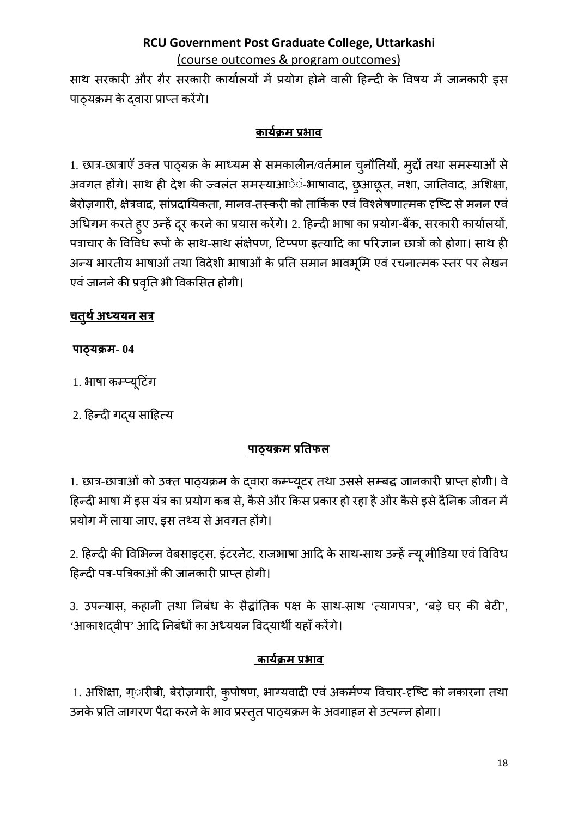(course outcomes & program outcomes)

साथ सरकारी और ग़ैर सरकारी कार्यालयों में प्रयोग होने वाली हिन्दी के विषय में जानकारी इस पाठ्यक्रम के दवारा प्राप्त करेंगे।

## कार्यक्रम प्रभाव

1. छात्र-छात्राएँ उक्त पाठ्यक्र के माध्यम से समकालीन/वर्तमान चुनौतियों, मुद्दों तथा समस्याओं से अवगत होंगे। साथ ही देश की ज्वलंत समस्याआें-भाषावाद, छुआछूत, नशा, जातिवाद, अशिक्षा, बेरोज़गारी, क्षेत्रवाद, सांप्रदायिकता, मानव-तस्करी को तार्किक एवं विश्लेषणात्मक दृष्टि से मनन एवं अधिगम करते हुए उन्हें दूर करने का प्रयास करेंगे। 2. हिन्दी भाषा का प्रयोग-बैंक, सरकारी कार्यालयों, पत्राचार के विविध रूपों के साथ-साथ संक्षेपण, टिप्पण इत्यादि का परिज्ञान छात्रों को होगा। साथ ही अन्य भारतीय भाषाओं तथा विदेशी भाषाओं के प्रति समान भावभूमि एवं रचनात्मक स्तर पर लेखन एवं जानने की प्रवृति भी विकसित होगी।

# <u>चतुर्थ अध्ययन सत्र</u>

## पाठ्यक्रम- 04

1. भाषा कम्प्यूटिंग

2. हिन्दी गदय साहित्य

# <u>पाठयक्रम प्रतिफल</u>

1. छात्र-छात्राओं को उक्त पाठ्यक्रम के द्वारा कम्प्यूटर तथा उससे सम्बद्ध जानकारी प्राप्त होगी। वे हिन्दी भाषा में इस यंत्र का प्रयोग कब से, कैसे और किस प्रकार हो रहा है और कैसे इसे दैनिक जीवन में प्रयोग में लाया जाए, इस तथ्य से अवगत होंगे।

2. हिन्दी की विभिन्न वेबसाइट्स, इंटरनेट, राजभाषा आदि के साथ-साथ उन्हें न्यू मीडिया एवं विविध हिन्दी पत्र-पत्रिकाओं की जानकारी प्राप्त होगी।

3. उपन्यास, कहानी तथा निबंध के सैद्धांतिक पक्ष के साथ-साथ 'त्यागपत्र', 'बड़े घर की बेटी', 'आकाशदवीप' आदि निबंधों का अध्ययन विदयार्थी यहाँ करेंगे।

# <u> कार्यक्रम प्रभाव</u>

1. अशिक्षा, ग्ारीबी, बेरोज़गारी, कुपोषण, भाग्यवादी एवं अकर्मण्य विचार-दृष्टि को नकारना तथा उनके प्रति जागरण पैदा करने के भाव प्रस्तुत पाठ्यक्रम के अवगाहन से उत्पन्न होगा।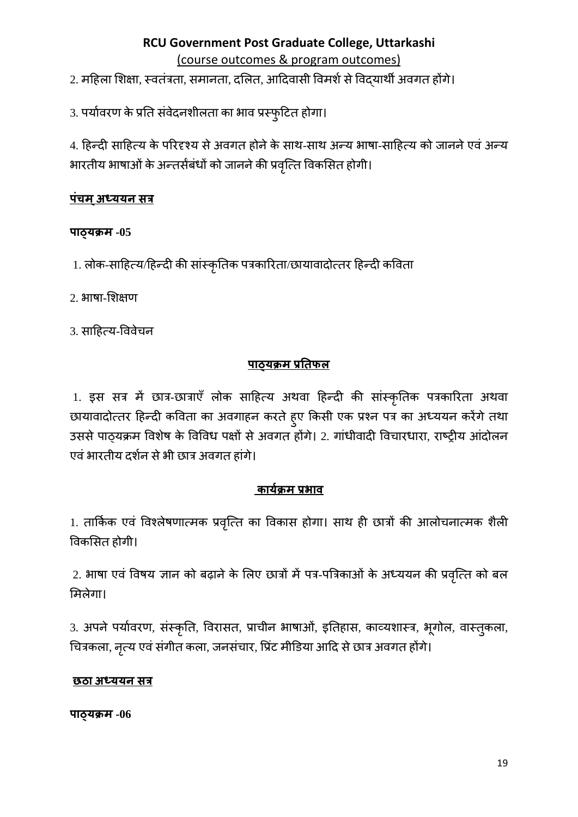2. महिला शिक्षा, स्वतंत्रता, समानता, दलित, आदिवासी विमर्श से विदयार्थी अवगत होंगे।

3. पर्यावरण के प्रति संवेदनशीलता का भाव प्रस्फुटित होगा।

4. हिन्दी साहित्य के परिदृश्य से अवगत होने के साथ-साथ अन्य भाषा-साहित्य को जानने एवं अन्य भारतीय भाषाओं के अन्तर्सबंधों को जानने की प्रवृत्ति विकसित होगी।

# <u>पंचम अध्ययन सत्र</u>

### पाठ्यक्रम-05

1. लोक-साहित्य/हिन्दी की सांस्कृतिक पत्रकारिता/छायावादोत्तर हिन्दी कविता

2. भाषा-शिक्षण

3. साहित्य-विवेचन

# <u>पाठ्यक्रम प्रतिफल</u>

1. इस सत्र में छात्र-छात्राएँ लोक साहित्य अथवा हिन्दी की सांस्कृतिक पत्रकारिता अथवा छायावादोत्तर हिन्दी कविता का अवगाहन करते हुए किसी एक प्रश्न पत्र का अध्ययन करेंगे तथा उससे पाठ्यक्रम विशेष के विविध पक्षों से अवगत होंगे। 2. गांधीवादी विचारधारा, राष्ट्रीय आंदोलन एवं भारतीय दर्शन से भी छात्र अवगत हांगे।

## कार्यक्रम प्रभाव

1. तार्किक एवं विश्लेषणात्मक प्रवृत्ति का विकास होगा। साथ ही छात्रों की आलोचनात्मक शैली विकसित होगी।

2. भाषा एवं विषय ज्ञान को बढ़ाने के लिए छात्रों में पत्र-पत्रिकाओं के अध्ययन की प्रवृत्ति को बल मिलेगा।

3. अपने पर्यावरण, संस्कृति, विरासत, प्राचीन भाषाओं, इतिहास, काव्यशास्त्र, भूगोल, वास्तुकला, चित्रकला, नृत्य एवं संगीत कला, जनसंचार, प्रिंट मीडिया आदि से छात्र अवगत होंगे।

## छठा अध्ययन सत्र

पाठ्यक्रम-06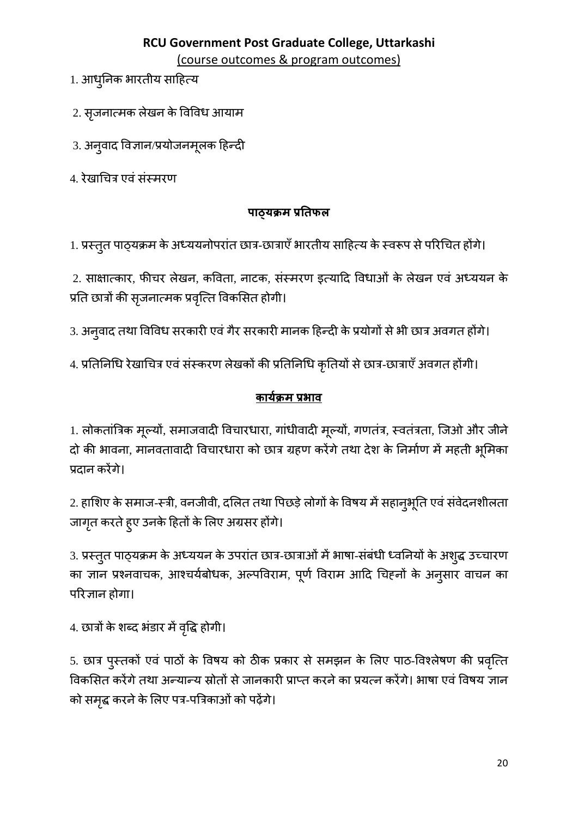(course outcomes & program outcomes)

- 1. आधुनिक भारतीय साहित्य
- 2. सृजनात्मक लेखन के विविध आयाम
- 3. अनुवाद विज्ञान/प्रयोजनमूलक हिन्दी
- 4. रेखाचित्र एवं संस्मरण

# पाठ्यक्रम प्रतिफल

1. प्रस्तुत पाठ्यक्रम के अध्ययनोपरांत छात्र-छात्राएँ भारतीय साहित्य के स्वरूप से परिचित होंगे।

2. साक्षात्कार, फीचर लेखन, कविता, नाटक, संस्मरण इत्यादि विधाओं के लेखन एवं अध्ययन के प्रति छात्रों की सृजनात्मक प्रवृत्ति विकसित होगी।

3. अनुवाद तथा विविध सरकारी एवं गैर सरकारी मानक हिन्दी के प्रयोगों से भी छात्र अवगत होंगे।

4. प्रतिनिधि रेखाचित्र एवं संस्करण लेखकों की प्रतिनिधि कृतियों से छात्र-छात्राएँ अवगत होंगी।

# <u>कार्यक्रम प्रभाव</u>

1. लोकतांत्रिक मूल्यों, समाजवादी विचारधारा, गांधीवादी मूल्यों, गणतंत्र, स्वतंत्रता, जिओ और जीने दो की भावना, मानवतावादी विचारधारा को छात्र ग्रहण करेंगे तथा देश के निर्माण में महती भूमिका प्रदान करेंगे।

2. हाशिए के समाज-स्त्री, वनजीवी, दलित तथा पिछड़े लोगों के विषय में सहान्औूति एवं संवेदनशीलता जागृत करते हुए उनके हितों के लिए अग्रसर होंगे।

3. प्रस्तुत पाठ्यक्रम के अध्ययन के उपरांत छात्र-छात्राओं में भाषा-संबंधी ध्वनियों के अश्द्ध उच्चारण का ज्ञान प्रश्नवाचक, आश्चर्यबोधक, अल्पविराम, पूर्ण विराम आदि चिहनों के अनुसार वाचन का परिज्ञान होगा।

4. छात्रों के शब्द भंडार में वृद्धि होगी।

5. छात्र पुस्तकों एवं पाठों के विषय को ठीक प्रकार से समझन के लिए पाठ-विश्लेषण की प्रवृत्ति विकसित करेंगे तथा अन्यान्य स्रोतों से जानकारी प्राप्त करने का प्रयत्न करेंगे। भाषा एवं विषय ज्ञान को समृद्ध करने के लिए पत्र-पत्रिकाओं को पढ़ेंगे।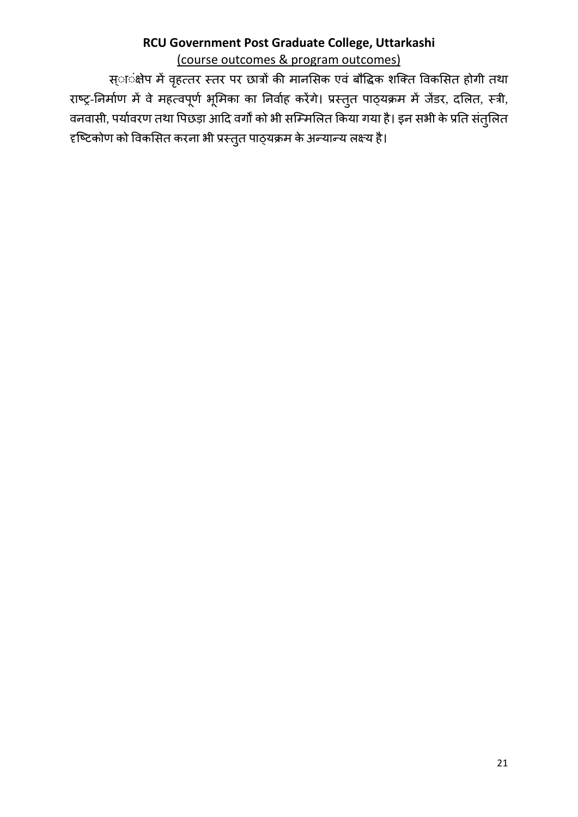स्ा**ंक्षेप में वृहत्तर स्तर पर छात्रों की मान**सिक एवं बौद्धिक शक्ति विकसित होगी तथा राष्ट्र-निर्माण में वे महत्वपूर्ण भूमिका का निर्वाह करेंगे। प्रस्तुत पाठ्यक्रम में जेंडर, दलित, स्त्री, वनवासी, पर्यावरण तथा पिछड़ा आदि वर्गों को भी सम्मिलित किया गया है। इन सभी के प्रति संतुलित हष्टिकोण को विकसित करना भी प्रस्तुत पाठ्यक्रम के अन्यान्य लक्ष्य है।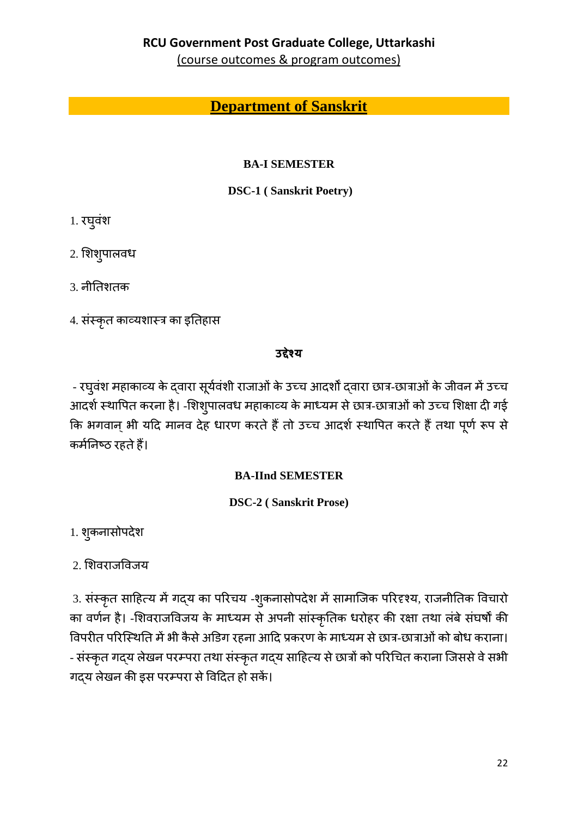(course outcomes & program outcomes)

# **Department of Sanskrit**

## **BA-I SEMESTER**

## **DSC-1 (Sanskrit Poetry)**

- 1. रघुवंश
- 2. शिशुपालवध
- 3. नीतिशतक
- 4. संस्कृत काव्यशास्त्र का इतिहास

# उद्देश्य

- रघ्वंश महाकाव्य के दवारा सूर्यवंशी राजाओं के उच्च आदर्शों द्वारा छात्र-छात्राओं के जीवन में उच्च आदर्श स्थापित करना है। -शिशुपालवध महाकाव्य के माध्यम से छात्र-छात्राओं को उच्च शिक्षा दी गई कि भगवान् भी यदि मानव देह धारण करते हैं तो उच्च आदर्श स्थापित करते हैं तथा पूर्ण रूप से कर्मनिष्ठ रहते हैं।

# **BA-IInd SEMESTER**

**DSC-2** (Sanskrit Prose)

1. शुकनासोपदेश

2. शिवराजविजय

3. संस्कृत साहित्य में गद्य का परिचय -शुकनासोपदेश में सामाजिक परिदृश्य, राजनीतिक विचारो का वर्णन है। -शिवराजविजय के माध्यम से अपनी सांस्कृतिक धरोहर की रक्षा तथा लंबे संघर्षों की विपरीत परिस्थिति में भी कैसे अडिग रहना आदि प्रकरण के माध्यम से छात्र-छात्राओं को बोध कराना। - संस्कृत गद्य लेखन परम्परा तथा संस्कृत गद्य साहित्य से छात्रों को परिचित कराना जिससे वे सभी गदय लेखन की इस परम्परा से विदित हो सकें।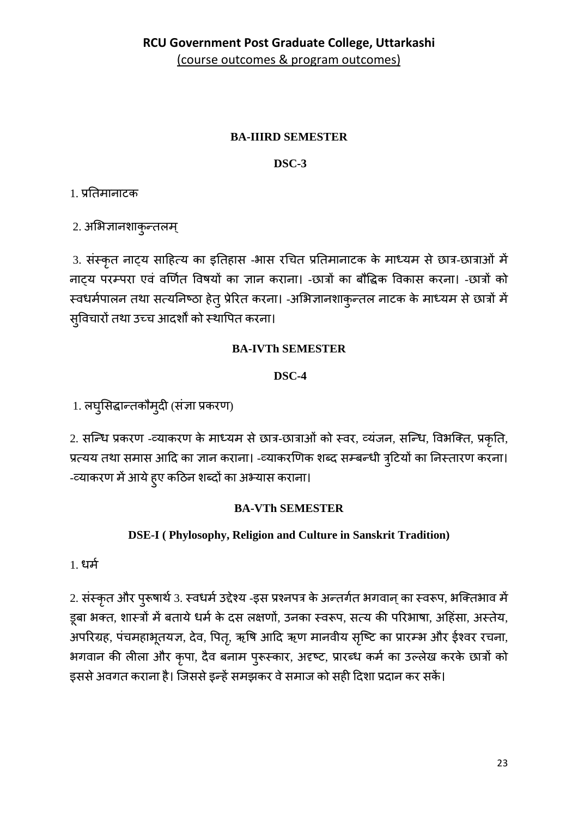# **BA-HIRD SEMESTER**

# DSC-3

1. प्रतिमानाटक

2. अभिज्ञानशाकुन्तलम्

3. संस्कृत नाट्य साहित्य का इतिहास -भास रचित प्रतिमानाटक के माध्यम से छात्र-छात्राओं में नाट्य परम्परा एवं वर्णित विषयों का ज्ञान कराना। -छात्रों का बौद्धिक विकास करना। -छात्रों को स्वधर्मपालन तथा सत्यनिष्ठा हेतु प्रेरित करना। -अभिज्ञानशाकुन्तल नाटक के माध्यम से छात्रों में सुविचारों तथा उच्च आदर्शों को स्थापित करना।

# **BA-IVTh SEMESTER**

# DSC-4

1. लघुसिद्धान्तकौमुदी (संज्ञा प्रकरण)

2. सन्धि प्रकरण -व्याकरण के माध्यम से छात्र-छात्राओं को स्वर, व्यंजन, सन्धि, विभक्ति, प्रकृति, प्रत्यय तथा समास आदि का ज्ञान कराना। -व्याकरणिक शब्द सम्बन्धी त्रुटियों का निस्तारण करना। -व्याकरण में आये हुए कठिन शब्दों का अभ्यास कराना।

## **BA-VTh SEMESTER**

# DSE-I (Phylosophy, Religion and Culture in Sanskrit Tradition)

1. धर्म

2. संस्कृत और पुरूषार्थ 3. स्वधर्म उद्देश्य -इस प्रश्नपत्र के अन्तर्गत भगवान् का स्वरूप, भक्तिभाव में डूबा भक्त, शास्त्रों में बताये धर्म के दस लक्षणों, उनका स्वरूप, सत्य की परिभाषा, अहिंसा, अस्तेय, अपरिग्रह, पंचमहाभूतयज्ञ, देव, पितृ, ऋषि आदि ऋण मानवीय सृष्टि का प्रारम्भ और ईश्वर रचना, भगवान की लीला और कृपा, दैव बनाम पुरूस्कार, अदृष्ट, प्रारब्ध कर्म का उल्लेख करके छात्रों को इससे अवगत कराना है। जिससे इन्हें समझकर वे समाज को सही दिशा प्रदान कर सकें।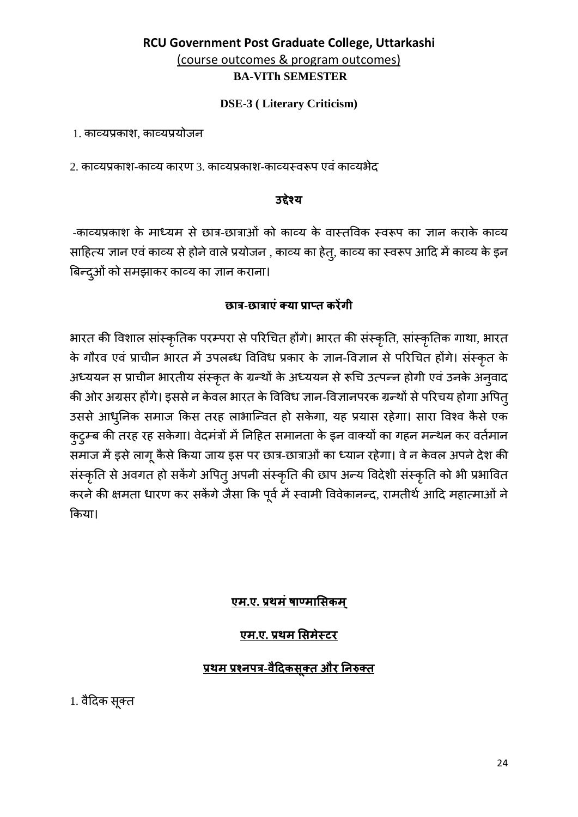#### **DSE-3** (Literary Criticism)

1. काव्यप्रकाश. काव्यप्रयोजन

2. काव्यप्रकाश-काव्य कारण 3. काव्यप्रकाश-काव्यस्वरूप एवं काव्यभेद

#### उद्देश्य

-काव्यप्रकाश के माध्यम से छात्र-छात्राओं को काव्य के वास्तविक स्वरूप का ज्ञान कराके काव्य साहित्य ज्ञान एवं काव्य से होने वाले प्रयोजन , काव्य का हेतु, काव्य का स्वरूप आदि में काव्य के इन बिन्द्ओं को समझाकर काव्य का ज्ञान कराना।

### रद्मात्र-रद्मात्राएं क्या प्राप्त करेंगी

भारत की विशाल सांस्कृतिक परम्परा से परिचित होंगे। भारत की संस्कृति, सांस्कृतिक गाथा, भारत के गौरव एवं प्राचीन भारत में उपलब्ध विविध प्रकार के ज्ञान-विज्ञान से परिचित होंगे। संस्कृत के अध्ययन स प्राचीन भारतीय संस्कृत के ग्रन्थों के अध्ययन से रूचि उत्पन्न होगी एवं उनके अनुवाद की ओर अग्रसर होंगे। इससे न केवल भारत के विविध ज्ञान-विज्ञानपरक ग्रन्थों से परिचय होगा अपित् उससे आधुनिक समाज किस तरह लाभान्वित हो सकेगा, यह प्रयास रहेगा। सारा विश्व कैसे एक कुटुम्ब की तरह रह सकेगा। वेदमंत्रों में निहित समानता के इन वाक्यों का गहन मन्थन कर वर्तमान समाज में इसे लागू कैसे किया जाय इस पर छात्र-छात्राओं का ध्यान रहेगा। वे न केवल अपने देश की संस्कृति से अवगत हो सकेंगे अपितु अपनी संस्कृति की छाप अन्य विदेशी संस्कृति को भी प्रभावित करने की क्षमता धारण कर सकेंगे जैसा कि पूर्व में स्वामी विवेकानन्द, रामतीर्थ आदि महात्माओं ने किया।

### एम.ए. प्रथमं षाण्मासिकम

### एम.ए. प्रथम सिमेस्टर

## <u>प्रथम प्रश्नपत्र-वैदिकसुक्त और निरुक्त</u>

1. वैदिक सूक्त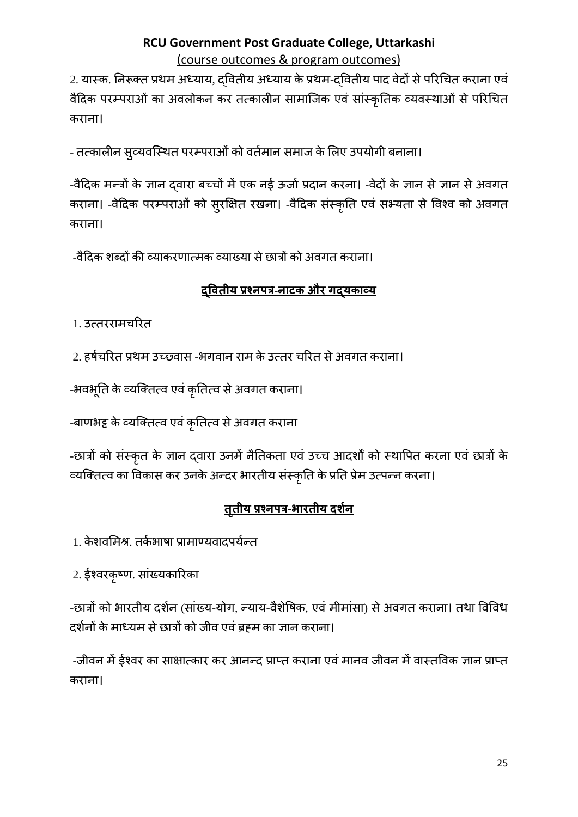2. यास्क. निरूक्त प्रथम अध्याय, दवितीय अध्याय के प्रथम-दवितीय पाद वेदों से परिचित कराना एवं वैदिक परम्पराओं का अवलोकन कर तत्कालीन सामाजिक एवं सांस्कृतिक व्यवस्थाओं से परिचित कराना।

- तत्कालीन सुव्यवस्थित परम्पराओं को वर्तमान समाज के लिए उपयोगी बनाना।

-वैदिक मन्त्रों के ज्ञान द्वारा बच्चों में एक नई ऊर्जा प्रदान करना। -वेदों के ज्ञान से ज्ञान से अवगत कराना। -वेदिक परम्पराओं को सुरक्षित रखना। -वैदिक संस्कृति एवं सभ्यता से विश्व को अवगत कराना।

-वैदिक शब्दों की व्याकरणात्मक व्याख्या से छात्रों को अवगत कराना।

# **द्�वतीय प्रश्नपत्र-नाटक और गद्यकाव्य**

1. उत्तररामच�रत

2. हर्षचरित प्रथम उच्छ्वास -भगवान राम के उत्तर चरित से अवगत कराना।

-भवभूति के व्यक्तित्व एवं कृतित्व से अवगत कराना।

-बाणभट्ट के व्यक्तित्व एवं कृतित्व से अवगत कराना

-छात्रों को संस्कृत के ज्ञान द्वारा उनमें नैतिकता एवं उच्च आदर्शों को स्थापित करना एवं छात्रों के व्यिक्तत्व का �वकास कर उनके अन्दर भारतीय संस्कृ�त के प्र�त प्रेम उत्पन्न करना।

# **ततीय ृ प्रश्नपत्र-भारतीय दशर्न**

- 1. केशवमिश्र. तर्कभाषा प्रामाण्यवादपर्यन्त
- 2. ईश्वरकृष्ण. सांख्यका�रका

-छात्रों को भारतीय दर्शन (सांख्य-योग, न्याय-वैशेषिक, एवं मीमांसा) से अवगत कराना। तथा विविध दर्शनों के माध्यम से छात्रों को जीव एवं ब्रहम का ज्ञान कराना।

-जीवन में ईश्वर का साक्षात्कार कर आनन्द प्राप्त कराना एवं मानव जीवन में वास्तविक ज्ञान प्राप्त कराना।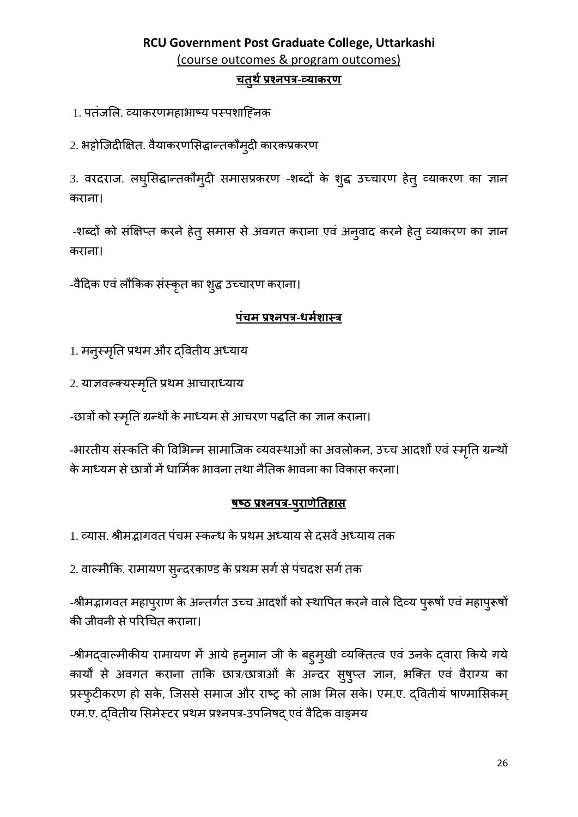# **RCU Government Post Graduate College, Uttarkashi** (course outcomes & program outcomes) **चतु थर्प्रश्नपत्र-व्याकरण**

1. पतंजलि. व्याकरणमहाभाष्य पस्पशाहिनक

2. भट्टोजिदीक्षित. वैयाकरणसिद्धान्तकौमुदी कारकप्रकरण

3. वरदराज. लघुसिद्धान्तकौमुदी समासप्रकरण -शब्दो के शुद्ध उच्चारण हेतु व्याकरण का ज्ञान कराना।

-शब्दो को संक्षिप्त करने हेतु समास से अवगत कराना एवं अनुवाद करने हेतु व्याकरण का ज्ञान कराना।

-वैदिक एवं लौकिक संस्कृत का शुद्ध उच्चारण कराना।

#### **पंचम प्रश्नपत्र-धमर्शास्त्र**

1. मनुस्मृति प्रथम और द्वितीय अध्याय

2. या�वल्क्यस्म�तृ प्रथम आचाराध्याय

-छात्रों को स्मृति ग्रन्थों के माध्यम से आचरण पद्धति का ज्ञान कराना।

-भारतीय संस्कति की विभिन्न सामाजिक व्यवस्थाओं का अवलोकन, उच्च आदर्शों एवं स्मृति ग्रन्थों के माध्यम से छात्रों में धार्मिक भावना तथा नैतिक भावना का विकास करना।

#### **षष्ठ प्रश्नपत्र-पुराणे�तहास**

1. व्यास. श्रीमद्भागवत पंचम स्कन्ध के प्रथम अध्याय से दसवें अध्याय तक

2. वाल्मीकि. रामायण सुन्दरकाण्ड के प्रथम सगे से पचदश सगे तक

-श्रीमद्भागवत महापुराण के अन्तर्गत उच्च आदर्शों को स्थापित करने वाले दिव्य पुरूषो एव महापुरूषो की जीवनी से परिचित कराना।

-श्रीमद्वाल्मीकीय रामायण मे आये हनुमान जी के बहुमुखी व्यक्तित्व एव उनके द्वारा किये गये कार्यों से अवगत कराना ताकि छात्र/छात्राओं के अन्दर सुषुप्त ज्ञान, भक्ति एव वैराग्य का प्रस्फुटीकरण हो सके, जिससे समाज और राष्ट्र को लाभ मिल सके। एम.ए. द्वितीयं षाण्मासिकम् एम.ए. दवितीय सिमेस्टर प्रथम प्रश्नपत्र-उपनिषद एवं वैदिक वाङ्मय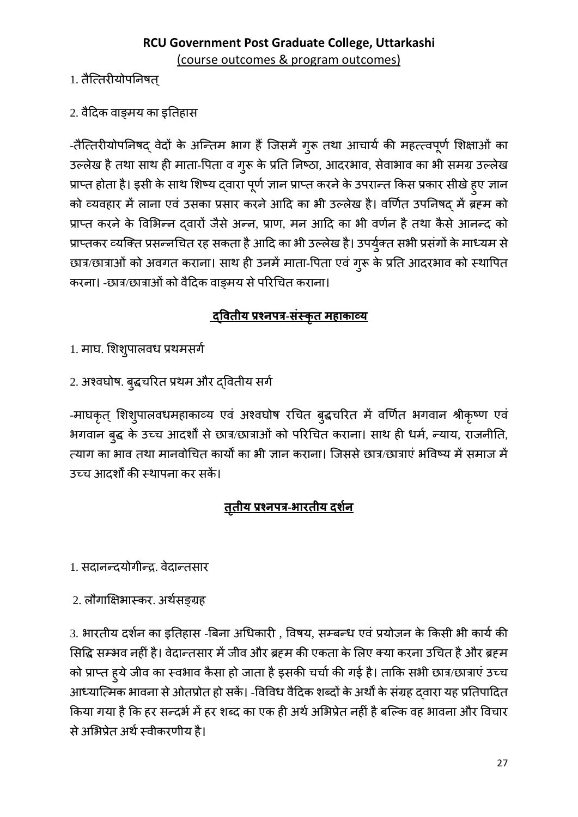- 1. तैत्तिरीयोपनिषत
- 2. वैदिक वाङमय का इतिहास

-तैत्तिरीयोपनिषद् वेदों के अन्तिम भाग हैं जिसमें गुरू तथा आचार्य की महत्त्वपूर्ण शिक्षाओं का उल्लेख है तथा साथ ही माता-पिता व गुरू के प्रति निष्ठा, आदरभाव, सेवाभाव का भी समग्र उल्लेख प्राप्त होता है। इसी के साथ शिष्य द्वारा पूर्ण ज्ञान प्राप्त करने के उपरान्त किस प्रकार सीखे हुए ज्ञान को व्यवहार में लाना एवं उसका प्रसार करने आदि का भी उल्लेख है। वर्णित उपनिषद् में ब्रहम को प्राप्त करने के विभिन्न दवारों जैसे अन्न, प्राण, मन आदि का भी वर्णन है तथा कैसे आनन्द को प्राप्तकर व्यक्ति प्रसन्नचित रह सकता है आदि का भी उल्लेख है। उपर्युक्त सभी प्रसंगों के माध्यम से छात्र/छात्राओं को अवगत कराना। साथ ही उनमें माता-पिता एवं गुरू के प्रति आदरभाव को स्थापित करना। -छात्र/छात्राओं को वैदिक वाड़मय से परिचित कराना।

# <u>दवितीय प्रश्नपत्र-संस्कृत महाकाव्य</u>

- 1. माघ. शिशुपालवध प्रथमसर्ग
- 2. अश्वघोष. बुद्धचरित प्रथम और द्वितीय सर्ग

-माघकृत् शिशुपालवधमहाकाव्य एवं अश्वघोष रचित बुद्धचरित में वर्णित भगवान श्रीकृष्ण एवं भगवान बुद्ध के उच्च आदर्शों से छात्र/छात्राओं को परिचित कराना। साथ ही धर्म, न्याय, राजनीति, त्याग का भाव तथा मानवोचित कार्यों का भी ज्ञान कराना। जिससे छात्र/छात्राएं भविष्य में समाज में उच्च आदर्शों की स्थापना कर सकें।

# <u>तृतीय प्रश्नपत्र-भारतीय दर्शन</u>

- 1. सदानन्दयोगीन्द्र. वेदान्तसार
- 2. लौगाक्षिभास्कर. अर्थसङ्ग्रह

3. भारतीय दर्शन का इतिहास -बिना अधिकारी , विषय, सम्बन्ध एवं प्रयोजन के किसी भी कार्य की सिद्धि सम्भव नहीं है। वेदान्तसार में जीव और ब्रहम की एकता के लिए क्या करना उचित है और ब्रहम को प्राप्त ह्ये जीव का स्वभाव कैसा हो जाता है इसकी चर्चा की गई है। ताकि सभी छात्र/छात्राएं उच्च आध्यात्मिक भावना से ओतप्रोत हो सकें। -विविध वैदिक शब्दों के अर्थों के संग्रह द्वारा यह प्रतिपादित किया गया है कि हर सन्दर्भ में हर शब्द का एक ही अर्थ अभिप्रेत नहीं है बल्कि वह भावना और विचार से अभिप्रेत अर्थ स्वीकरणीय है।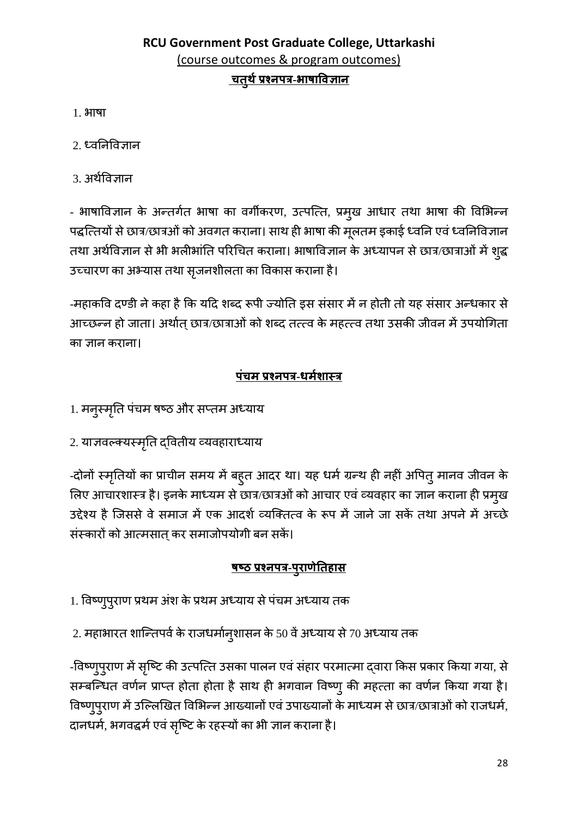# RCU Government Post Graduate College, Uttarkashi (course outcomes & program outcomes) <u>\_चतुर्थ प्रश्नपत्र-भाषाविज्ञान</u>

- $1.3<sub>HT</sub>$ षा
- $2.$  ध्वनिविज्ञान
- 3. अर्थविज्ञान

- भाषाविज्ञान के अन्तर्गत भाषा का वर्गीकरण, उत्पत्ति, प्रमुख आधार तथा भाषा की विभिन्न पद्धत्तियों से छात्र/छात्रओं को अवगत कराना। साथ ही भाषा की मूलतम इकाई ध्वनि एवं ध्वनिविज्ञान तथा अर्थविज्ञान से भी भलीभांति परिचित कराना। भाषाविज्ञान के अध्यापन से छात्र/छात्राओं में शुद्ध उच्चारण का अभ्यास तथा सृजनशीलता का विकास कराना है।

-महाकवि दण्डी ने कहा है कि यदि शब्द रूपी ज्योति इस संसार में न होती तो यह संसार अन्धकार से आच्छन्न हो जाता। अर्थात छात्र/छात्राओं को शब्द तत्त्व के महत्त्व तथा उसकी जीवन में उपयोगिता का ज्ञान कराना।

## <u>पंचम प्रश्नपत्र-धर्मशास्त्र</u>

- 1. मनुस्मृति पंचम षष्ठ और सप्तम अध्याय
- 2. याज्ञवल्क्यस्मृति द्वितीय व्यवहाराध्याय

-दोनों स्मृतियों का प्राचीन समय में बहुत आदर था। यह धर्म ग्रन्थ ही नहीं अपितु मानव जीवन के लिए आचारशास्त्र है। इनके माध्यम से छात्र/छात्रओं को आचार एवं व्यवहार का ज्ञान कराना ही प्रमुख उद्देश्य है जिससे वे समाज में एक आदर्श व्यक्तित्व के रूप में जाने जा सकें तथा अपने में अच्छे संस्कारों को आत्मसात् कर समाजोपयोगी बन सकें।

### <u>षष्ठ प्रश्नपत्र-पुराणेतिहास</u>

- 1. विष्णुपुराण प्रथम अंश के प्रथम अध्याय से पंचम अध्याय तक
- 2. महाभारत शान्तिपर्व के राजधर्मानुशासन के 50 वें अध्याय से 70 अध्याय तक

-विष्णुपुराण में सृष्टि की उत्पत्ति उसका पालन एवं संहार परमात्मा द्वारा किस प्रकार किया गया, से सम्बन्धित वर्णन प्राप्त होता होता है साथ ही भगवान विष्णु की महत्ता का वर्णन किया गया है। विष्णुपुराण में उल्लिखित विभिन्न आख्यानों एवं उपाख्यानों के माध्यम से छात्र/छात्राओं को राजधर्म, दानधर्म, भगवद्धर्म एवं सृष्टि के रहस्यों का भी ज्ञान कराना है।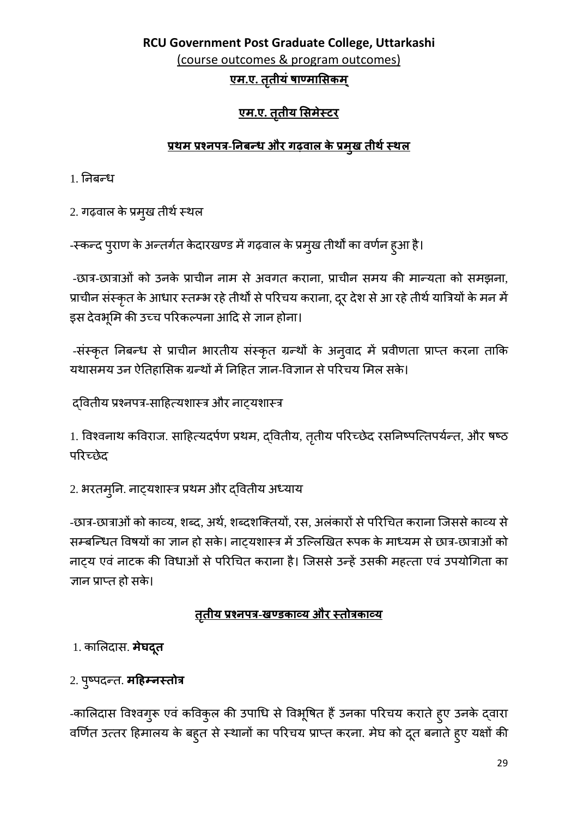# RCU Government Post Graduate College, Uttarkashi (course outcomes & program outcomes) <u>एम.ए. तृतीयं षाण्मासिकम्</u>

# एम.ए. तृतीय सिमेस्टर

# <u>प्रथम प्रश्नपत्र-निबन्ध और गढ़वाल के प्रमुख तीर्थ स्थल</u>

1. निबन्ध

2. गढ़वाल के प्रमुख तीर्थ स्थल

-स्कन्द पुराण के अन्तर्गत केदारखण्ड में गढ़वाल के प्रमुख तीर्थों का वर्णन हुआ है।

-छात्र-छात्राओं को उनके प्राचीन नाम से अवगत कराना, प्राचीन समय की मान्यता को समझना, प्राचीन संस्कृत के आधार स्तम्भ रहे तीर्थों से परिचय कराना, दूर देश से आ रहे तीर्थ यात्रियों के मन में इस देवभूमि की उच्च परिकल्पना आदि से ज्ञान होना।

-संस्कृत निबन्ध से प्राचीन भारतीय संस्कृत ग्रन्थों के अनुवाद में प्रवीणता प्राप्त करना ताकि यथासमय उन ऐतिहासिक ग्रन्थों में निहित ज्ञान-विज्ञान से परिचय मिल सके।

दवितीय प्रश्नपत्र-साहित्यशास्त्र और नाट्यशास्त्र

1. विश्वनाथ कविराज. साहित्यदर्पण प्रथम, दवितीय, तृतीय परिच्छेद रसनिष्पत्तिपर्यन्त, और षष्ठ परिच्छेट

2. भरतमूनि. नाट्यशास्त्र प्रथम और द्वितीय अध्याय

-छात्र-छात्राओं को काव्य, शब्द, अर्थ, शब्दशक्तियों, रस, अलंकारों से परिचित कराना जिससे काव्य से सम्बन्धित विषयों का ज्ञान हो सके। नाट्यशास्त्र में उल्लिखित रूपक के माध्यम से छात्र-छात्राओं को नाटय एवं नाटक की विधाओं से परिचित कराना है। जिससे उन्हें उसकी महत्ता एवं उपयोगिता का ज्ञान प्राप्त हो सके।

# <u>तृतीय प्रश्नपत्र-खण्डकाव्य और स्तोत्रकाव्य</u>

1. कालिदास. **मेघदूत** 

2. पुष्पदन्त. महिम्नस्तोत्र

-कालिदास विश्वगुरू एवं कविकुल की उपाधि से विभूषित हैं उनका परिचय कराते हुए उनके द्वारा वर्णित उत्तर हिमालय के बहुत से स्थानों का परिचय प्राप्त करना. मेघ को दूत बनाते हुए यक्षों की

29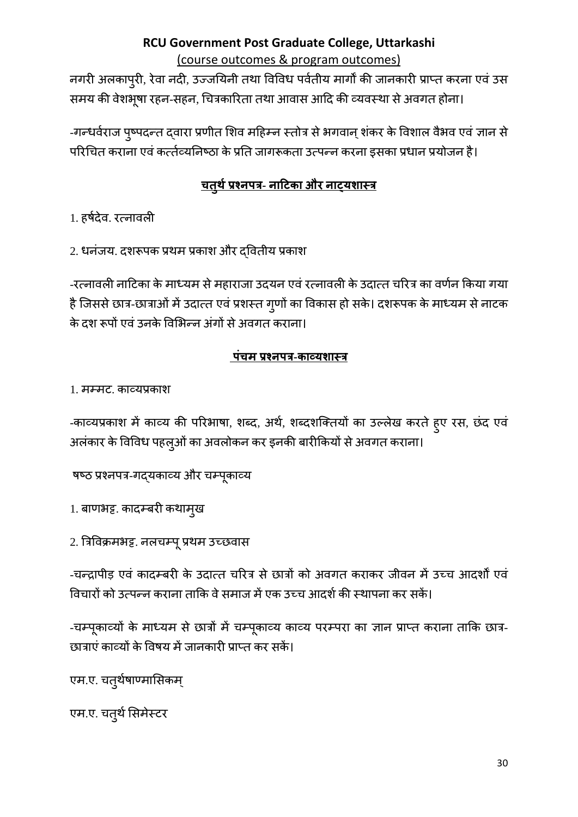नगरी अलकाप्री, रेवा नदी, उज्जयिनी तथा विविध पर्वतीय मार्गों की जानकारी प्राप्त करना एवं उस समय की वेशभूषा रहन-सहन, चित्रकारिता तथा आवास आदि की व्यवस्था से अवगत होना।

-गर्न्धर्वराज पुष्पदन्त द्वारा प्रणीत शिव महिम्न स्तोत्र से भगवान् शंकर के विशाल वैभव एवं ज्ञान से परिचित कराना एवं कर्त्तव्यनिष्ठा के प्रति जागरूकता उत्पन्न करना इसका प्रधान प्रयोजन है।

# <u>चतुर्थ प्रश्नपत्र- नाटिका और नाट्यशास्त्र</u>

1. हर्षदेव. रत्नावली

2. धनंजय. दशरूपक प्रथम प्रकाश और दवितीय प्रकाश

-रत्नावली नाटिका के माध्यम से महाराजा उदयन एवं रत्नावली के उदात्त चरित्र का वर्णन किया गया है जिससे छात्र-छात्राओं में उदात्त एवं प्रशस्त गुणों का विकास हो सके। दशरूपक के माध्यम से नाटक के दश रूपों एवं उनके विभिन्न अंगों से अवगत कराना।

# पंचम प्रश्नपत्र-काव्यशास्त्र

1. मम्मट, काव्यप्रकाश

-काव्यप्रकाश में काव्य की परिभाषा, शब्द, अर्थ, शब्दशक्तियों का उल्लेख करते हुए रस, छंद एवं अलंकार के विविध पहलुओं का अवलोकन कर इनकी बारीकियों से अवगत कराना।

षष्ठ प्रश्नपत्र-गद्यकाव्य और चम्पूकाव्य

1. बाणभट्ट. कादम्बरी कथामुख

2. त्रिविक्रमभट्ट. नलचम्पू प्रथम उच्छवास

-चन्द्रापीड़ एवं कादम्बरी के उदात्त चरित्र से छात्रों को अवगत कराकर जीवन में उच्च आदर्शों एवं विचारों को उत्पन्न कराना ताकि वे समाज में एक उच्च आदर्श की स्थापना कर सकें।

-चम्पूकाव्यों के माध्यम से छात्रों में चम्पूकाव्य काव्य परम्परा का ज्ञान प्राप्त कराना ताकि छात्र-छात्राएं काव्यों के विषय में जानकारी प्राप्त कर सकें।

एम.ए. चतुर्थषाण्मासिकम्

एम.ए. चतुर्थ सिमेस्टर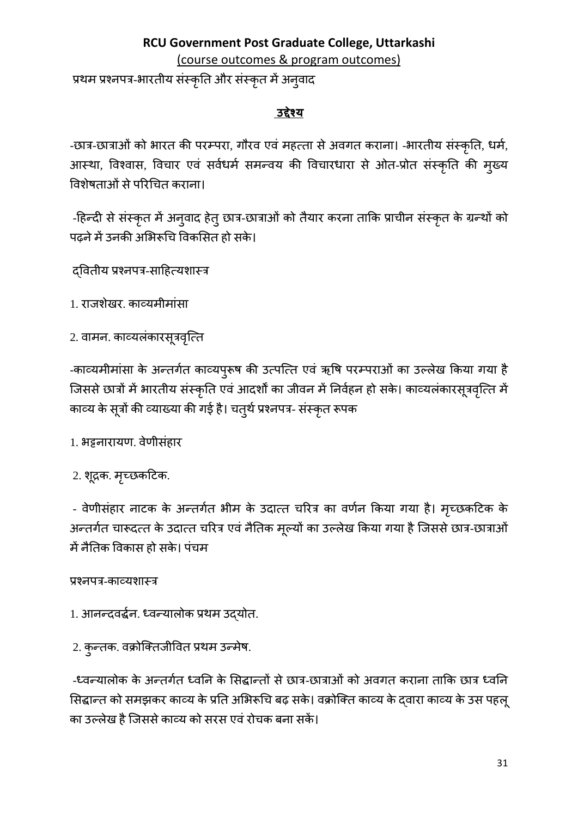(course outcomes & program outcomes)

प्रथम प्रश्नपत्र-भारतीय संस्कृति और संस्कृत में अनुवाद

### **उद्देश्य**

-छात्र-छात्राओं को भारत की परम्परा, गौरव एवं महत्ता से अवगत कराना। -भारतीय संस्कृति, धर्म, आस्था, विश्वास, विचार एव सर्वधर्म समन्वय की विचारधारा से ओत-प्रोत संस्कृति की मुख्य विशेषताओं से परिचित कराना।

-हिन्दी से संस्कृत में अनुवाद हेतु छात्र-छात्राओं को तैयार करना ताकि प्राचीन संस्कृत के ग्रन्थों को पढ़ने में उनकी अभिरूचि विकसित हो सके।

द्�वतीय प्रश्नपत्र-सा�हत्यशास्त्र

- 1. राजशेखर. काव्यमीमांसा
- 2. वामन. काव्यलकारसूत्रवृत्ति

-काव्यमीमासा के अन्तर्गत काव्यपुरूष की उत्पत्ति एव ऋषि परम्पराओं का उल्लेख किया गया है जिससे छात्रों में भारतीय संस्कृति एवं आदर्शों का जीवन में निर्वहन हो सके। काव्यलंकारसूत्रवृत्ति में काव्य के सूत्रों की व्याख्या की गई है। चतुर्थ प्रश्नपत्र- संस्कृत रूपक

1. भट्टनारायण. वेणीसंहार

2. शूद्रक. मृच्छर्काटेक.

- वेणीसंहार नाटक के अन्तर्गत भीम के उदात्त चरित्र का वर्णन किया गया है। मृच्छकटिक के अन्तर्गत चारूदत्त के उदात्त चरित्र एव नैतिक मूल्यों का उल्लेख किया गया है जिससे छात्र-छात्राओं में नैतिक विकास हो सके। पंचम

## प्रश्नपत्र-काव्यशास्त्र

- 1. आनन्दवद्धर्न. ध्वन्यालोक प्रथम उद्योत.
- 2. कुन्तक. वक्रोिक्तजी�वत प्रथम उन्मेष.

-ध्वन्यालोक के अन्तर्गत ध्वनि के सिद्धान्तों से छात्र-छात्राओं को अवगत कराना ताकि छात्र ध्वनि सिद्धान्त को समझकर काव्य के प्रति अभिरूचि बढ़ सके। वक्रोक्ति काव्य के द्वारा काव्य के उस पहलू का उल्लेख है जिससे काव्य को सरस एवं रोचक बना सकें।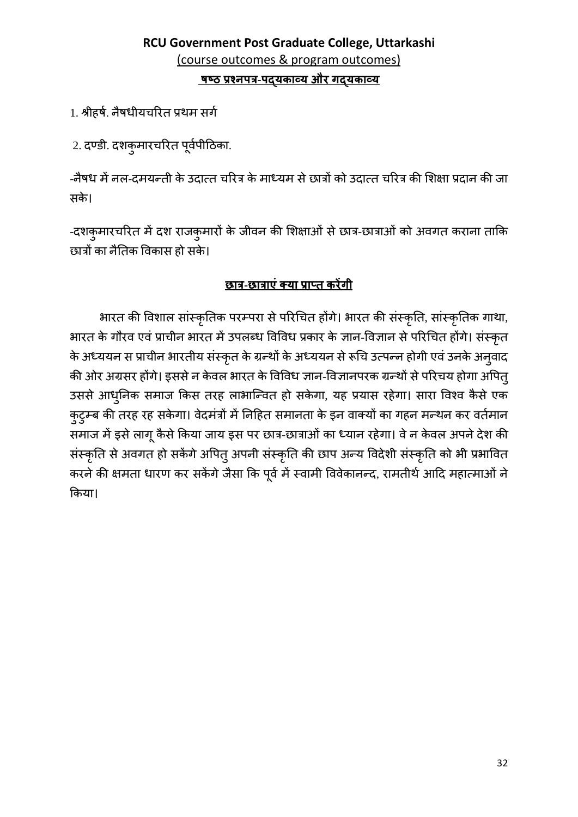# RCU Government Post Graduate College, Uttarkashi (course outcomes & program outcomes) <u>षष्ठ प्रश्नपत्र-पदयकाव्य और गदयकाव्य</u>

1. श्रीहर्ष. नैषधीयचरित प्रथम सर्ग

2. दण्डी. दशकुमारचरित पूर्वपीठिका.

-नैषध में नल-दमयन्ती के उदात्त चरित्र के माध्यम से छात्रों को उदात्त चरित्र की शिक्षा प्रदान की जा सके।

-दशकुमारचरित में दश राजकुमारों के जीवन की शिक्षाओं से छात्र-छात्राओं को अवगत कराना ताकि छात्रों का नैतिक विकास हो सके।

# छात्र-छात्राएं क्या प्राप्त करेंगी

भारत की विशाल सांस्कृतिक परम्परा से परिचित होंगे। भारत की संस्कृति, सांस्कृतिक गाथा, भारत के गौरव एवं प्राचीन भारत में उपलब्ध विविध प्रकार के ज्ञान-विज्ञान से परिचित होंगे। संस्कृत के अध्ययन स प्राचीन भारतीय संस्कृत के ग्रन्थों के अध्ययन से रूचि उत्पन्न होगी एवं उनके अनुवाद की ओर अग्रसर होंगे। इससे न केवल भारत के विविध ज्ञान-विज्ञानपरक ग्रन्थों से परिचय होगा अपितु उससे आधुनिक समाज किस तरह लाभान्वित हो सकेगा, यह प्रयास रहेगा। सारा विश्व कैसे एक कुटुम्ब की तरह रह सकेगा। वेदमंत्रों में निहित समानता के इन वाक्यों का गहन मन्थन कर वर्तमान समाज में इसे लागू कैसे किया जाय इस पर छात्र-छात्राओं का ध्यान रहेगा। वे न केवल अपने देश की संस्कृति से अवगत हो सकेंगे अपितु अपनी संस्कृति की छाप अन्य विदेशी संस्कृति को भी प्रभावित करने की क्षमता धारण कर सकेंगे जैसा कि पूर्व में स्वामी विवेकानन्द, रामतीर्थ आदि महात्माओं ने किया।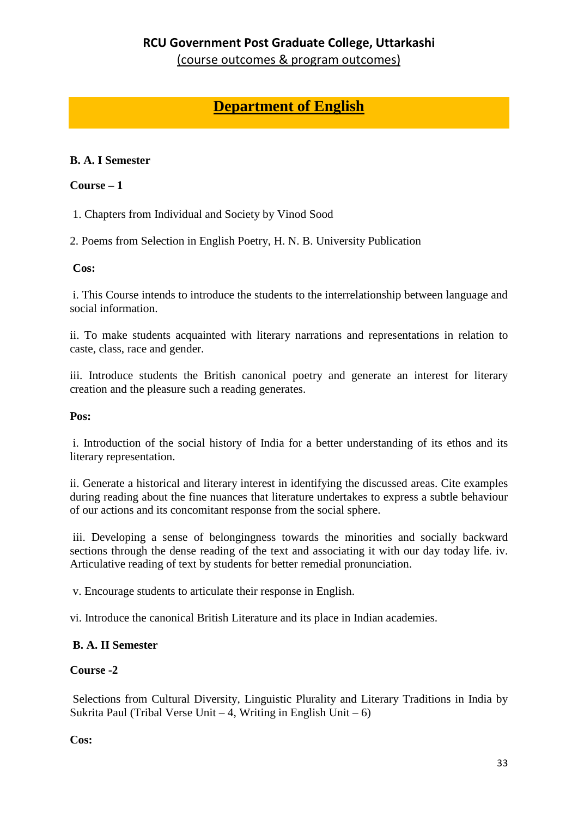(course outcomes & program outcomes)

# **Department of English**

### **B. A. I Semester**

#### **Course – 1**

1. Chapters from Individual and Society by Vinod Sood

2. Poems from Selection in English Poetry, H. N. B. University Publication

#### **Cos:**

i. This Course intends to introduce the students to the interrelationship between language and social information.

ii. To make students acquainted with literary narrations and representations in relation to caste, class, race and gender.

iii. Introduce students the British canonical poetry and generate an interest for literary creation and the pleasure such a reading generates.

#### **Pos:**

i. Introduction of the social history of India for a better understanding of its ethos and its literary representation.

ii. Generate a historical and literary interest in identifying the discussed areas. Cite examples during reading about the fine nuances that literature undertakes to express a subtle behaviour of our actions and its concomitant response from the social sphere.

iii. Developing a sense of belongingness towards the minorities and socially backward sections through the dense reading of the text and associating it with our day today life. iv. Articulative reading of text by students for better remedial pronunciation.

v. Encourage students to articulate their response in English.

vi. Introduce the canonical British Literature and its place in Indian academies.

### **B. A. II Semester**

### **Course -2**

Selections from Cultural Diversity, Linguistic Plurality and Literary Traditions in India by Sukrita Paul (Tribal Verse Unit – 4, Writing in English Unit – 6)

**Cos:**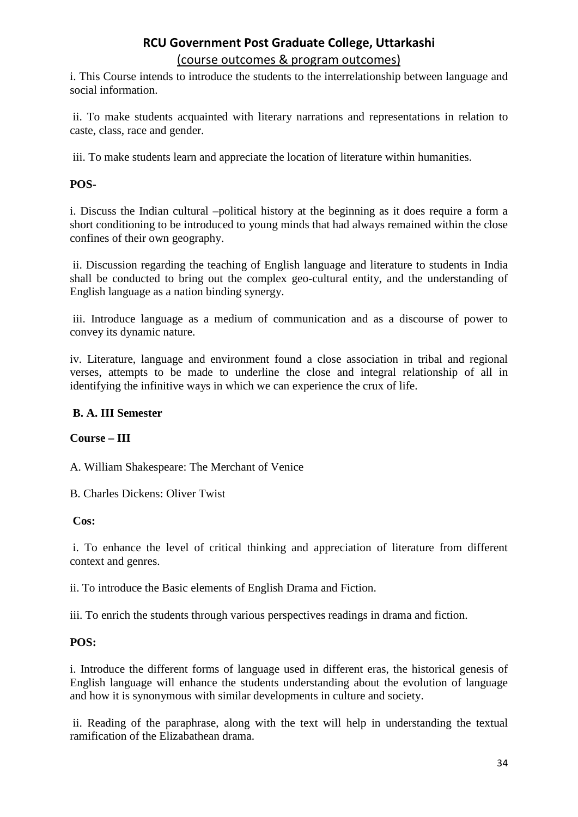(course outcomes & program outcomes)

i. This Course intends to introduce the students to the interrelationship between language and social information.

ii. To make students acquainted with literary narrations and representations in relation to caste, class, race and gender.

iii. To make students learn and appreciate the location of literature within humanities.

#### **POS-**

i. Discuss the Indian cultural –political history at the beginning as it does require a form a short conditioning to be introduced to young minds that had always remained within the close confines of their own geography.

ii. Discussion regarding the teaching of English language and literature to students in India shall be conducted to bring out the complex geo-cultural entity, and the understanding of English language as a nation binding synergy.

iii. Introduce language as a medium of communication and as a discourse of power to convey its dynamic nature.

iv. Literature, language and environment found a close association in tribal and regional verses, attempts to be made to underline the close and integral relationship of all in identifying the infinitive ways in which we can experience the crux of life.

#### **B. A. III Semester**

#### **Course – III**

A. William Shakespeare: The Merchant of Venice

B. Charles Dickens: Oliver Twist

#### **Cos:**

i. To enhance the level of critical thinking and appreciation of literature from different context and genres.

ii. To introduce the Basic elements of English Drama and Fiction.

iii. To enrich the students through various perspectives readings in drama and fiction.

#### **POS:**

i. Introduce the different forms of language used in different eras, the historical genesis of English language will enhance the students understanding about the evolution of language and how it is synonymous with similar developments in culture and society.

ii. Reading of the paraphrase, along with the text will help in understanding the textual ramification of the Elizabathean drama.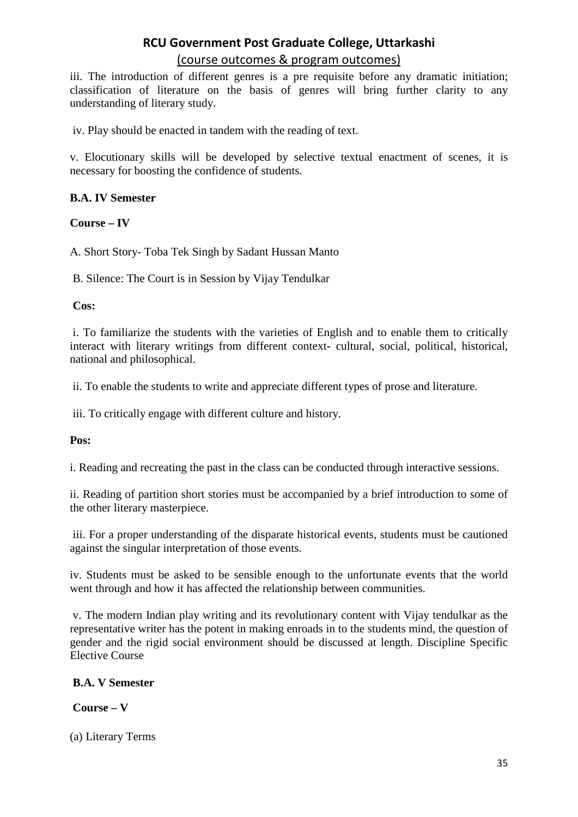iii. The introduction of different genres is a pre requisite before any dramatic initiation; classification of literature on the basis of genres will bring further clarity to any understanding of literary study.

iv. Play should be enacted in tandem with the reading of text.

v. Elocutionary skills will be developed by selective textual enactment of scenes, it is necessary for boosting the confidence of students.

#### **B.A. IV Semester**

**Course – IV**

A. Short Story- Toba Tek Singh by Sadant Hussan Manto

B. Silence: The Court is in Session by Vijay Tendulkar

**Cos:**

i. To familiarize the students with the varieties of English and to enable them to critically interact with literary writings from different context- cultural, social, political, historical, national and philosophical.

ii. To enable the students to write and appreciate different types of prose and literature.

iii. To critically engage with different culture and history.

**Pos:**

i. Reading and recreating the past in the class can be conducted through interactive sessions.

ii. Reading of partition short stories must be accompanied by a brief introduction to some of the other literary masterpiece.

iii. For a proper understanding of the disparate historical events, students must be cautioned against the singular interpretation of those events.

iv. Students must be asked to be sensible enough to the unfortunate events that the world went through and how it has affected the relationship between communities.

v. The modern Indian play writing and its revolutionary content with Vijay tendulkar as the representative writer has the potent in making enroads in to the students mind, the question of gender and the rigid social environment should be discussed at length. Discipline Specific Elective Course

### **B.A. V Semester**

### **Course – V**

(a) Literary Terms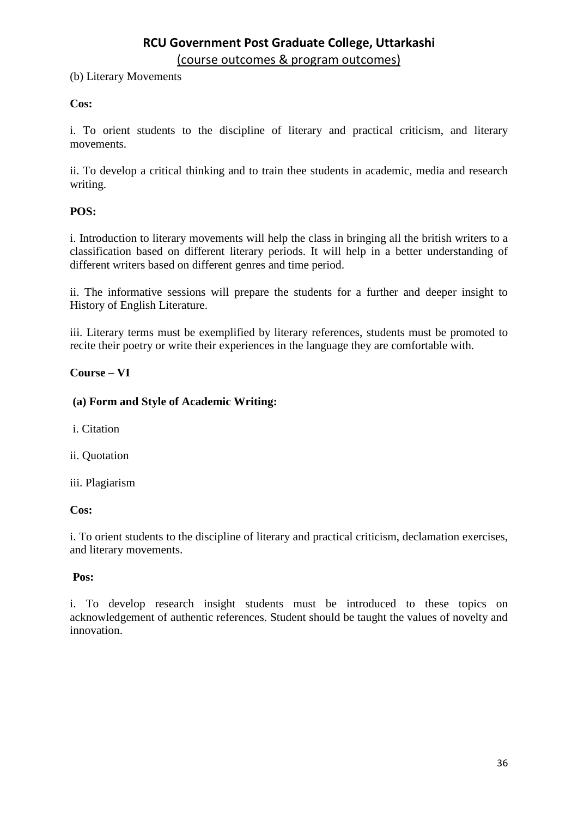(b) Literary Movements

#### **Cos:**

i. To orient students to the discipline of literary and practical criticism, and literary movements.

ii. To develop a critical thinking and to train thee students in academic, media and research writing.

#### **POS:**

i. Introduction to literary movements will help the class in bringing all the british writers to a classification based on different literary periods. It will help in a better understanding of different writers based on different genres and time period.

ii. The informative sessions will prepare the students for a further and deeper insight to History of English Literature.

iii. Literary terms must be exemplified by literary references, students must be promoted to recite their poetry or write their experiences in the language they are comfortable with.

#### **Course – VI**

#### **(a) Form and Style of Academic Writing:**

i. Citation

ii. Quotation

iii. Plagiarism

#### **Cos:**

i. To orient students to the discipline of literary and practical criticism, declamation exercises, and literary movements.

#### **Pos:**

i. To develop research insight students must be introduced to these topics on acknowledgement of authentic references. Student should be taught the values of novelty and innovation.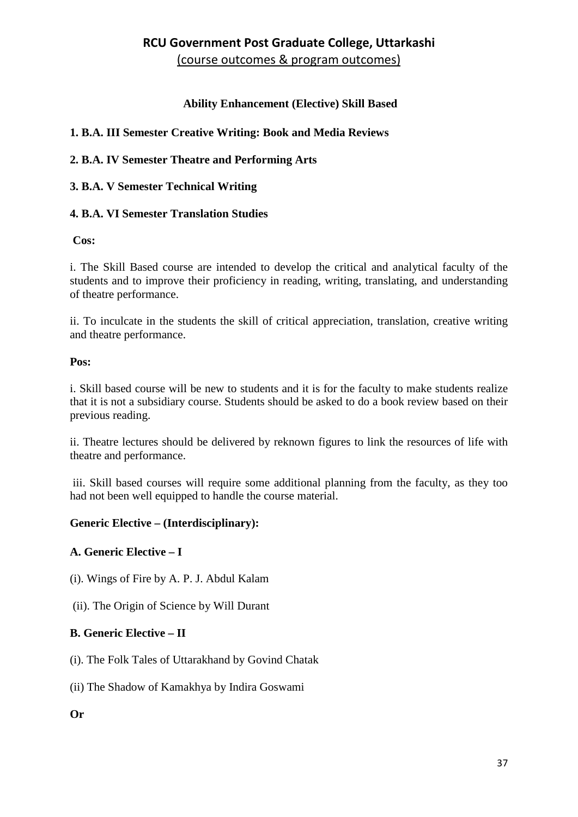#### **Ability Enhancement (Elective) Skill Based**

### **1. B.A. III Semester Creative Writing: Book and Media Reviews**

#### **2. B.A. IV Semester Theatre and Performing Arts**

#### **3. B.A. V Semester Technical Writing**

#### **4. B.A. VI Semester Translation Studies**

#### **Cos:**

i. The Skill Based course are intended to develop the critical and analytical faculty of the students and to improve their proficiency in reading, writing, translating, and understanding of theatre performance.

ii. To inculcate in the students the skill of critical appreciation, translation, creative writing and theatre performance.

#### **Pos:**

i. Skill based course will be new to students and it is for the faculty to make students realize that it is not a subsidiary course. Students should be asked to do a book review based on their previous reading.

ii. Theatre lectures should be delivered by reknown figures to link the resources of life with theatre and performance.

iii. Skill based courses will require some additional planning from the faculty, as they too had not been well equipped to handle the course material.

#### **Generic Elective – (Interdisciplinary):**

#### **A. Generic Elective – I**

- (i). Wings of Fire by A. P. J. Abdul Kalam
- (ii). The Origin of Science by Will Durant

#### **B. Generic Elective – II**

- (i). The Folk Tales of Uttarakhand by Govind Chatak
- (ii) The Shadow of Kamakhya by Indira Goswami

#### **Or**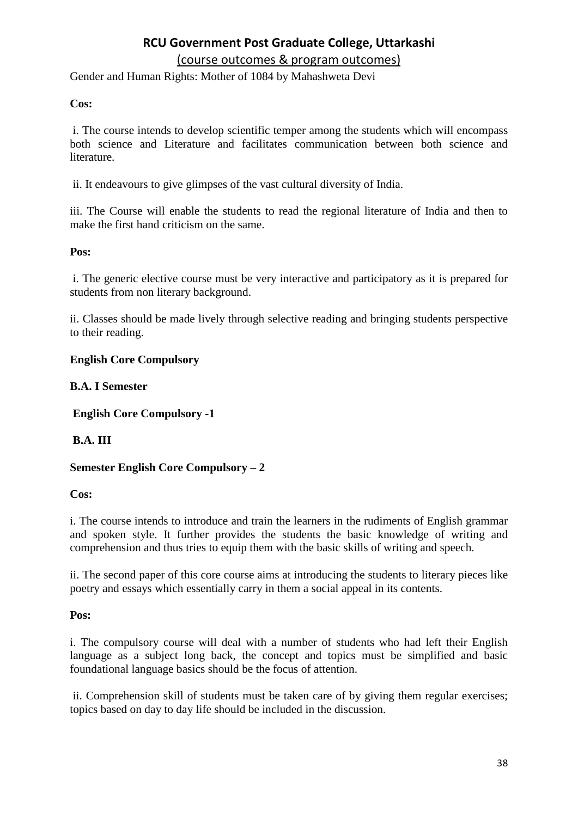(course outcomes & program outcomes)

Gender and Human Rights: Mother of 1084 by Mahashweta Devi

#### **Cos:**

i. The course intends to develop scientific temper among the students which will encompass both science and Literature and facilitates communication between both science and literature.

ii. It endeavours to give glimpses of the vast cultural diversity of India.

iii. The Course will enable the students to read the regional literature of India and then to make the first hand criticism on the same.

#### **Pos:**

i. The generic elective course must be very interactive and participatory as it is prepared for students from non literary background.

ii. Classes should be made lively through selective reading and bringing students perspective to their reading.

#### **English Core Compulsory**

#### **B.A. I Semester**

**English Core Compulsory -1**

#### **B.A. III**

#### **Semester English Core Compulsory – 2**

#### **Cos:**

i. The course intends to introduce and train the learners in the rudiments of English grammar and spoken style. It further provides the students the basic knowledge of writing and comprehension and thus tries to equip them with the basic skills of writing and speech.

ii. The second paper of this core course aims at introducing the students to literary pieces like poetry and essays which essentially carry in them a social appeal in its contents.

#### **Pos:**

i. The compulsory course will deal with a number of students who had left their English language as a subject long back, the concept and topics must be simplified and basic foundational language basics should be the focus of attention.

ii. Comprehension skill of students must be taken care of by giving them regular exercises; topics based on day to day life should be included in the discussion.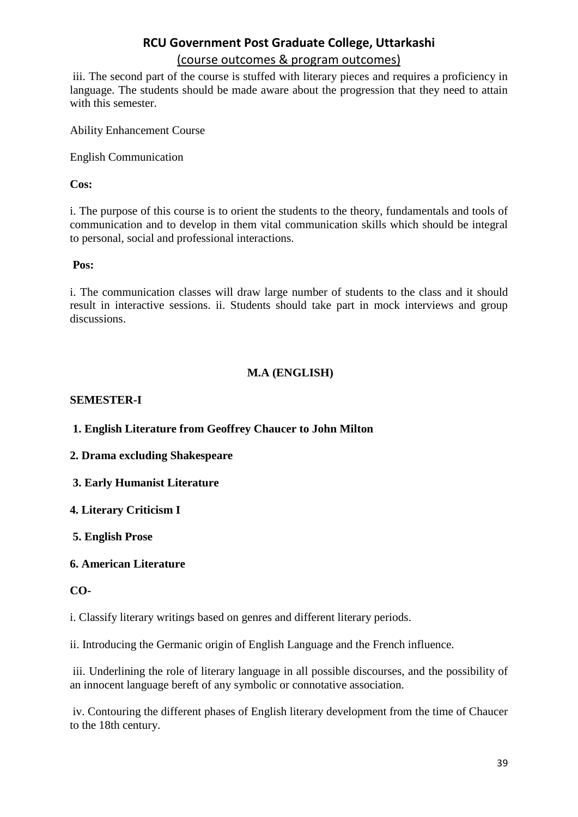#### (course outcomes & program outcomes)

iii. The second part of the course is stuffed with literary pieces and requires a proficiency in language. The students should be made aware about the progression that they need to attain with this semester.

Ability Enhancement Course

English Communication

**Cos:**

i. The purpose of this course is to orient the students to the theory, fundamentals and tools of communication and to develop in them vital communication skills which should be integral to personal, social and professional interactions.

**Pos:**

i. The communication classes will draw large number of students to the class and it should result in interactive sessions. ii. Students should take part in mock interviews and group discussions.

#### **M.A (ENGLISH)**

#### **SEMESTER-I**

**1. English Literature from Geoffrey Chaucer to John Milton**

**2. Drama excluding Shakespeare**

**3. Early Humanist Literature**

**4. Literary Criticism I**

**5. English Prose**

**6. American Literature**

#### **CO-**

i. Classify literary writings based on genres and different literary periods.

ii. Introducing the Germanic origin of English Language and the French influence.

iii. Underlining the role of literary language in all possible discourses, and the possibility of an innocent language bereft of any symbolic or connotative association.

iv. Contouring the different phases of English literary development from the time of Chaucer to the 18th century.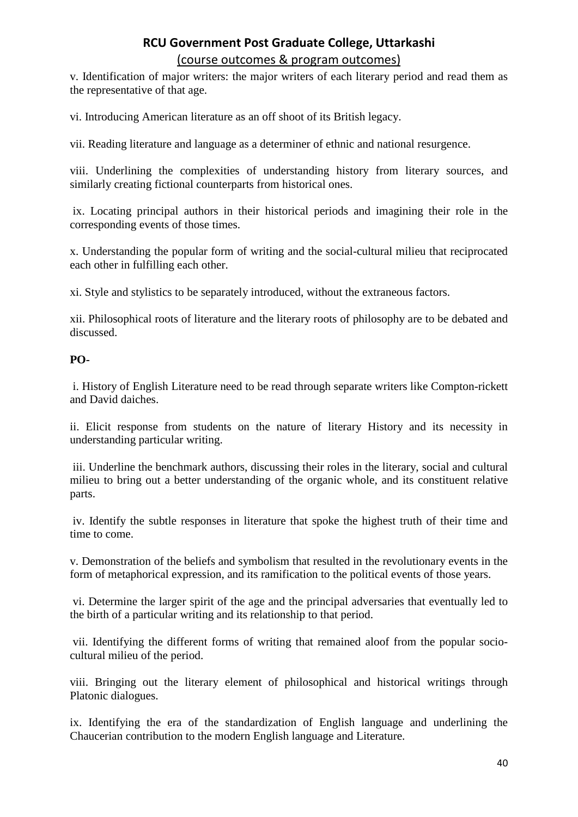v. Identification of major writers: the major writers of each literary period and read them as the representative of that age.

vi. Introducing American literature as an off shoot of its British legacy.

vii. Reading literature and language as a determiner of ethnic and national resurgence.

viii. Underlining the complexities of understanding history from literary sources, and similarly creating fictional counterparts from historical ones.

ix. Locating principal authors in their historical periods and imagining their role in the corresponding events of those times.

x. Understanding the popular form of writing and the social-cultural milieu that reciprocated each other in fulfilling each other.

xi. Style and stylistics to be separately introduced, without the extraneous factors.

xii. Philosophical roots of literature and the literary roots of philosophy are to be debated and discussed.

#### **PO-**

i. History of English Literature need to be read through separate writers like Compton-rickett and David daiches.

ii. Elicit response from students on the nature of literary History and its necessity in understanding particular writing.

iii. Underline the benchmark authors, discussing their roles in the literary, social and cultural milieu to bring out a better understanding of the organic whole, and its constituent relative parts.

iv. Identify the subtle responses in literature that spoke the highest truth of their time and time to come.

v. Demonstration of the beliefs and symbolism that resulted in the revolutionary events in the form of metaphorical expression, and its ramification to the political events of those years.

vi. Determine the larger spirit of the age and the principal adversaries that eventually led to the birth of a particular writing and its relationship to that period.

vii. Identifying the different forms of writing that remained aloof from the popular sociocultural milieu of the period.

viii. Bringing out the literary element of philosophical and historical writings through Platonic dialogues.

ix. Identifying the era of the standardization of English language and underlining the Chaucerian contribution to the modern English language and Literature.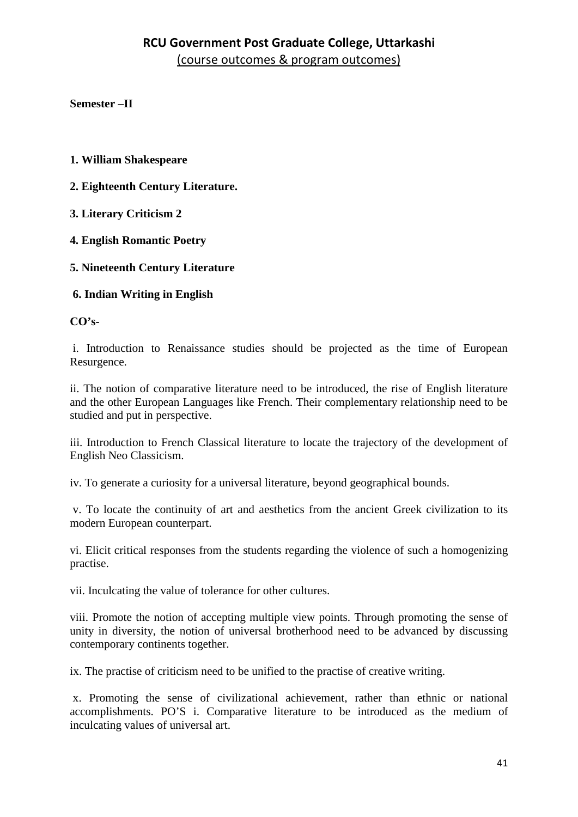**Semester –II**

- **1. William Shakespeare**
- **2. Eighteenth Century Literature.**
- **3. Literary Criticism 2**
- **4. English Romantic Poetry**
- **5. Nineteenth Century Literature**
- **6. Indian Writing in English**

**CO's-**

i. Introduction to Renaissance studies should be projected as the time of European Resurgence.

ii. The notion of comparative literature need to be introduced, the rise of English literature and the other European Languages like French. Their complementary relationship need to be studied and put in perspective.

iii. Introduction to French Classical literature to locate the trajectory of the development of English Neo Classicism.

iv. To generate a curiosity for a universal literature, beyond geographical bounds.

v. To locate the continuity of art and aesthetics from the ancient Greek civilization to its modern European counterpart.

vi. Elicit critical responses from the students regarding the violence of such a homogenizing practise.

vii. Inculcating the value of tolerance for other cultures.

viii. Promote the notion of accepting multiple view points. Through promoting the sense of unity in diversity, the notion of universal brotherhood need to be advanced by discussing contemporary continents together.

ix. The practise of criticism need to be unified to the practise of creative writing.

x. Promoting the sense of civilizational achievement, rather than ethnic or national accomplishments. PO'S i. Comparative literature to be introduced as the medium of inculcating values of universal art.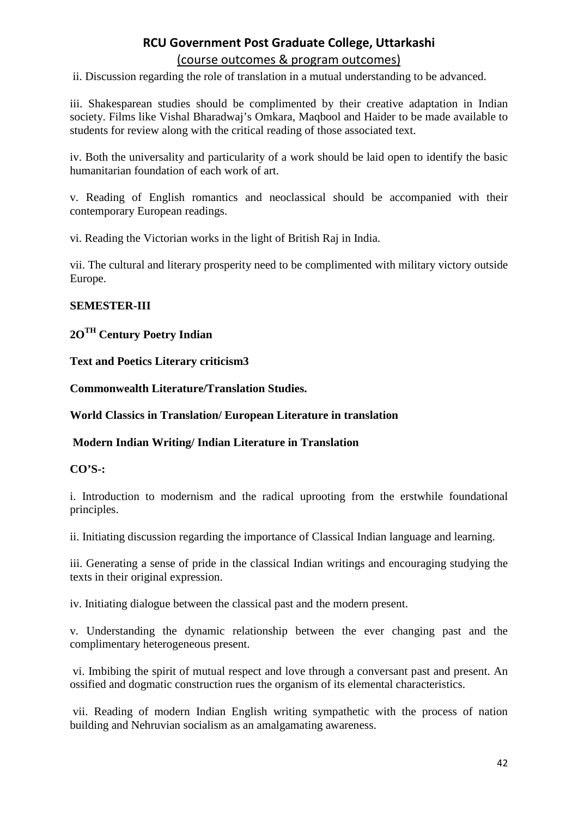#### (course outcomes & program outcomes)

ii. Discussion regarding the role of translation in a mutual understanding to be advanced.

iii. Shakesparean studies should be complimented by their creative adaptation in Indian society. Films like Vishal Bharadwaj's Omkara, Maqbool and Haider to be made available to students for review along with the critical reading of those associated text.

iv. Both the universality and particularity of a work should be laid open to identify the basic humanitarian foundation of each work of art.

v. Reading of English romantics and neoclassical should be accompanied with their contemporary European readings.

vi. Reading the Victorian works in the light of British Raj in India.

vii. The cultural and literary prosperity need to be complimented with military victory outside Europe.

#### **SEMESTER-III**

### **2OTH Century Poetry Indian**

**Text and Poetics Literary criticism3**

**Commonwealth Literature/Translation Studies.**

**World Classics in Translation/ European Literature in translation**

#### **Modern Indian Writing/ Indian Literature in Translation**

#### **CO'S-:**

i. Introduction to modernism and the radical uprooting from the erstwhile foundational principles.

ii. Initiating discussion regarding the importance of Classical Indian language and learning.

iii. Generating a sense of pride in the classical Indian writings and encouraging studying the texts in their original expression.

iv. Initiating dialogue between the classical past and the modern present.

v. Understanding the dynamic relationship between the ever changing past and the complimentary heterogeneous present.

vi. Imbibing the spirit of mutual respect and love through a conversant past and present. An ossified and dogmatic construction rues the organism of its elemental characteristics.

vii. Reading of modern Indian English writing sympathetic with the process of nation building and Nehruvian socialism as an amalgamating awareness.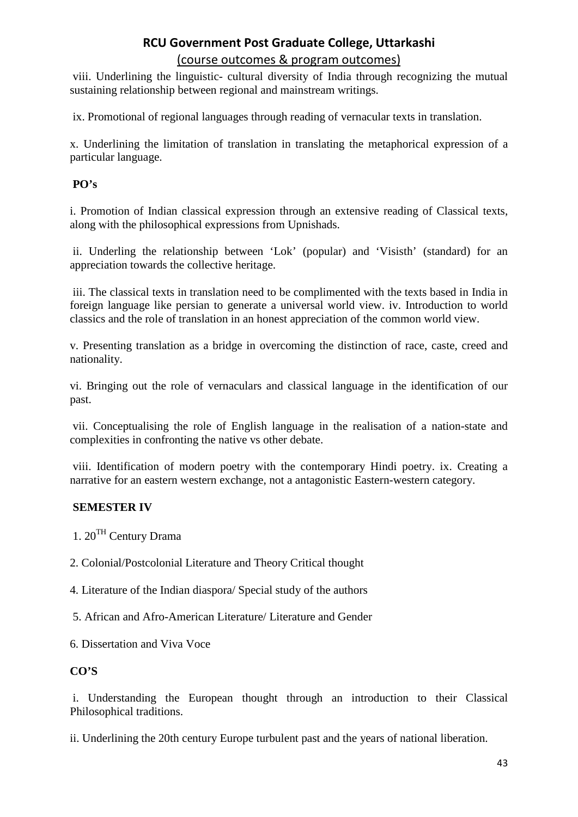#### (course outcomes & program outcomes)

viii. Underlining the linguistic- cultural diversity of India through recognizing the mutual sustaining relationship between regional and mainstream writings.

ix. Promotional of regional languages through reading of vernacular texts in translation.

x. Underlining the limitation of translation in translating the metaphorical expression of a particular language.

#### **PO's**

i. Promotion of Indian classical expression through an extensive reading of Classical texts, along with the philosophical expressions from Upnishads.

ii. Underling the relationship between 'Lok' (popular) and 'Visisth' (standard) for an appreciation towards the collective heritage.

iii. The classical texts in translation need to be complimented with the texts based in India in foreign language like persian to generate a universal world view. iv. Introduction to world classics and the role of translation in an honest appreciation of the common world view.

v. Presenting translation as a bridge in overcoming the distinction of race, caste, creed and nationality.

vi. Bringing out the role of vernaculars and classical language in the identification of our past.

vii. Conceptualising the role of English language in the realisation of a nation-state and complexities in confronting the native vs other debate.

viii. Identification of modern poetry with the contemporary Hindi poetry. ix. Creating a narrative for an eastern western exchange, not a antagonistic Eastern-western category.

### **SEMESTER IV**

1. 20TH Century Drama

2. Colonial/Postcolonial Literature and Theory Critical thought

4. Literature of the Indian diaspora/ Special study of the authors

5. African and Afro-American Literature/ Literature and Gender

6. Dissertation and Viva Voce

### **CO'S**

i. Understanding the European thought through an introduction to their Classical Philosophical traditions.

ii. Underlining the 20th century Europe turbulent past and the years of national liberation.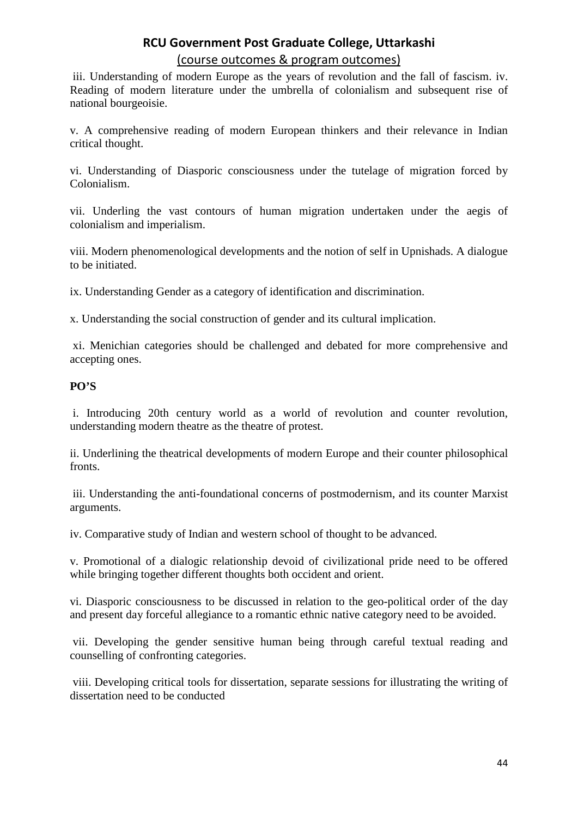iii. Understanding of modern Europe as the years of revolution and the fall of fascism. iv. Reading of modern literature under the umbrella of colonialism and subsequent rise of national bourgeoisie.

v. A comprehensive reading of modern European thinkers and their relevance in Indian critical thought.

vi. Understanding of Diasporic consciousness under the tutelage of migration forced by Colonialism.

vii. Underling the vast contours of human migration undertaken under the aegis of colonialism and imperialism.

viii. Modern phenomenological developments and the notion of self in Upnishads. A dialogue to be initiated.

ix. Understanding Gender as a category of identification and discrimination.

x. Understanding the social construction of gender and its cultural implication.

xi. Menichian categories should be challenged and debated for more comprehensive and accepting ones.

#### **PO'S**

i. Introducing 20th century world as a world of revolution and counter revolution, understanding modern theatre as the theatre of protest.

ii. Underlining the theatrical developments of modern Europe and their counter philosophical fronts.

iii. Understanding the anti-foundational concerns of postmodernism, and its counter Marxist arguments.

iv. Comparative study of Indian and western school of thought to be advanced.

v. Promotional of a dialogic relationship devoid of civilizational pride need to be offered while bringing together different thoughts both occident and orient.

vi. Diasporic consciousness to be discussed in relation to the geo-political order of the day and present day forceful allegiance to a romantic ethnic native category need to be avoided.

vii. Developing the gender sensitive human being through careful textual reading and counselling of confronting categories.

viii. Developing critical tools for dissertation, separate sessions for illustrating the writing of dissertation need to be conducted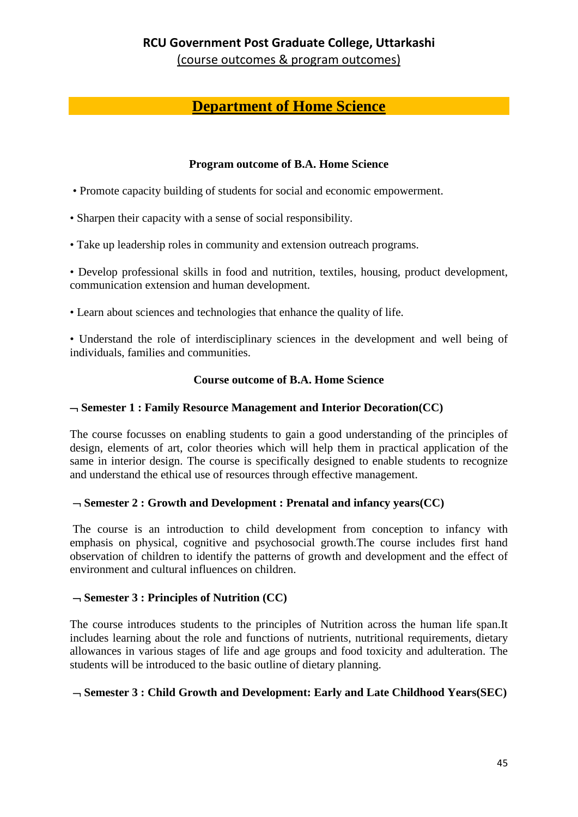(course outcomes & program outcomes)

# **Department of Home Science**

#### **Program outcome of B.A. Home Science**

- Promote capacity building of students for social and economic empowerment.
- Sharpen their capacity with a sense of social responsibility.
- Take up leadership roles in community and extension outreach programs.

• Develop professional skills in food and nutrition, textiles, housing, product development, communication extension and human development.

• Learn about sciences and technologies that enhance the quality of life.

• Understand the role of interdisciplinary sciences in the development and well being of individuals, families and communities.

#### **Course outcome of B.A. Home Science**

#### ¬ **Semester 1 : Family Resource Management and Interior Decoration(CC)**

The course focusses on enabling students to gain a good understanding of the principles of design, elements of art, color theories which will help them in practical application of the same in interior design. The course is specifically designed to enable students to recognize and understand the ethical use of resources through effective management.

#### ¬ **Semester 2 : Growth and Development : Prenatal and infancy years(CC)**

The course is an introduction to child development from conception to infancy with emphasis on physical, cognitive and psychosocial growth.The course includes first hand observation of children to identify the patterns of growth and development and the effect of environment and cultural influences on children.

#### ¬ **Semester 3 : Principles of Nutrition (CC)**

The course introduces students to the principles of Nutrition across the human life span.It includes learning about the role and functions of nutrients, nutritional requirements, dietary allowances in various stages of life and age groups and food toxicity and adulteration. The students will be introduced to the basic outline of dietary planning.

### ¬ **Semester 3 : Child Growth and Development: Early and Late Childhood Years(SEC)**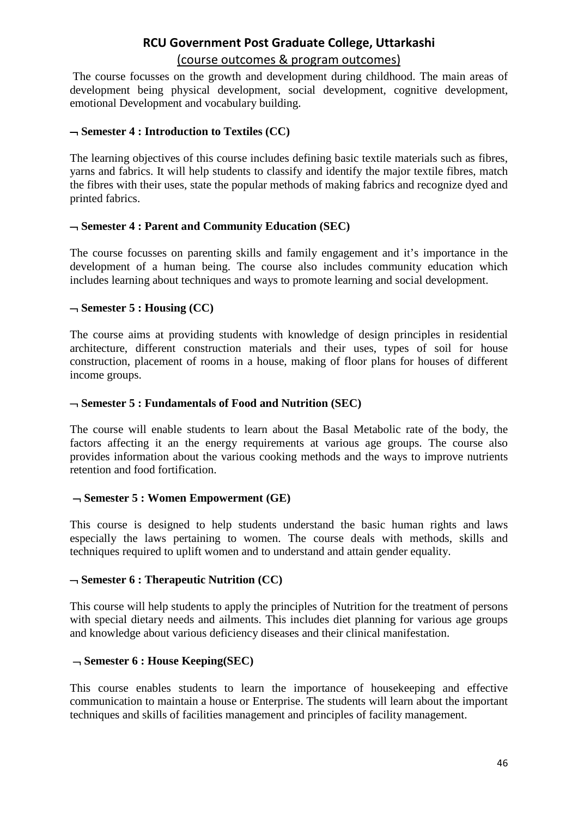### (course outcomes & program outcomes)

The course focusses on the growth and development during childhood. The main areas of development being physical development, social development, cognitive development, emotional Development and vocabulary building.

#### ¬ **Semester 4 : Introduction to Textiles (CC)**

The learning objectives of this course includes defining basic textile materials such as fibres, yarns and fabrics. It will help students to classify and identify the major textile fibres, match the fibres with their uses, state the popular methods of making fabrics and recognize dyed and printed fabrics.

#### ¬ **Semester 4 : Parent and Community Education (SEC)**

The course focusses on parenting skills and family engagement and it's importance in the development of a human being. The course also includes community education which includes learning about techniques and ways to promote learning and social development.

#### ¬ **Semester 5 : Housing (CC)**

The course aims at providing students with knowledge of design principles in residential architecture, different construction materials and their uses, types of soil for house construction, placement of rooms in a house, making of floor plans for houses of different income groups.

#### ¬ **Semester 5 : Fundamentals of Food and Nutrition (SEC)**

The course will enable students to learn about the Basal Metabolic rate of the body, the factors affecting it an the energy requirements at various age groups. The course also provides information about the various cooking methods and the ways to improve nutrients retention and food fortification.

#### ¬ **Semester 5 : Women Empowerment (GE)**

This course is designed to help students understand the basic human rights and laws especially the laws pertaining to women. The course deals with methods, skills and techniques required to uplift women and to understand and attain gender equality.

#### ¬ **Semester 6 : Therapeutic Nutrition (CC)**

This course will help students to apply the principles of Nutrition for the treatment of persons with special dietary needs and ailments. This includes diet planning for various age groups and knowledge about various deficiency diseases and their clinical manifestation.

#### ¬ **Semester 6 : House Keeping(SEC)**

This course enables students to learn the importance of housekeeping and effective communication to maintain a house or Enterprise. The students will learn about the important techniques and skills of facilities management and principles of facility management.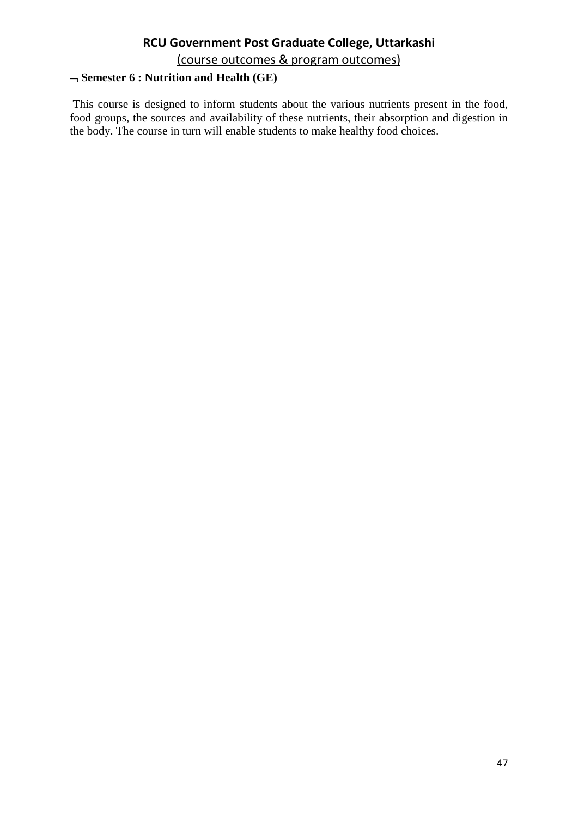(course outcomes & program outcomes)

### ¬ **Semester 6 : Nutrition and Health (GE)**

This course is designed to inform students about the various nutrients present in the food, food groups, the sources and availability of these nutrients, their absorption and digestion in the body. The course in turn will enable students to make healthy food choices.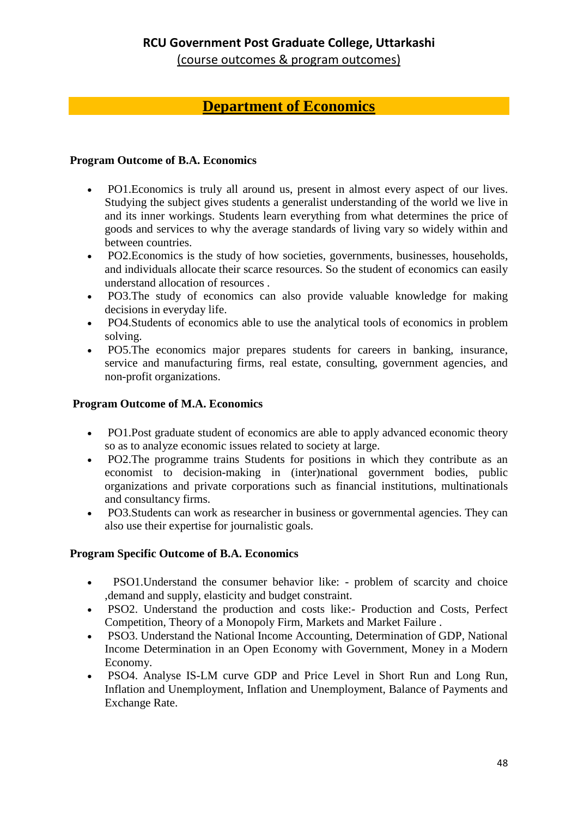(course outcomes & program outcomes)

## **Department of Economics**

#### **Program Outcome of B.A. Economics**

- PO1. Economics is truly all around us, present in almost every aspect of our lives. Studying the subject gives students a generalist understanding of the world we live in and its inner workings. Students learn everything from what determines the price of goods and services to why the average standards of living vary so widely within and between countries.
- PO2.Economics is the study of how societies, governments, businesses, households, and individuals allocate their scarce resources. So the student of economics can easily understand allocation of resources .
- PO3.The study of economics can also provide valuable knowledge for making decisions in everyday life.
- PO4.Students of economics able to use the analytical tools of economics in problem solving.
- PO5.The economics major prepares students for careers in banking, insurance, service and manufacturing firms, real estate, consulting, government agencies, and non-profit organizations.

#### **Program Outcome of M.A. Economics**

- PO1.Post graduate student of economics are able to apply advanced economic theory so as to analyze economic issues related to society at large.
- PO2.The programme trains Students for positions in which they contribute as an economist to decision-making in (inter)national government bodies, public organizations and private corporations such as financial institutions, multinationals and consultancy firms.
- PO3.Students can work as researcher in business or governmental agencies. They can also use their expertise for journalistic goals.

#### **Program Specific Outcome of B.A. Economics**

- PSO1. Understand the consumer behavior like: problem of scarcity and choice ,demand and supply, elasticity and budget constraint.
- PSO2. Understand the production and costs like:- Production and Costs, Perfect Competition, Theory of a Monopoly Firm, Markets and Market Failure .
- PSO3. Understand the National Income Accounting, Determination of GDP, National Income Determination in an Open Economy with Government, Money in a Modern Economy.
- PSO4. Analyse IS-LM curve GDP and Price Level in Short Run and Long Run, Inflation and Unemployment, Inflation and Unemployment, Balance of Payments and Exchange Rate.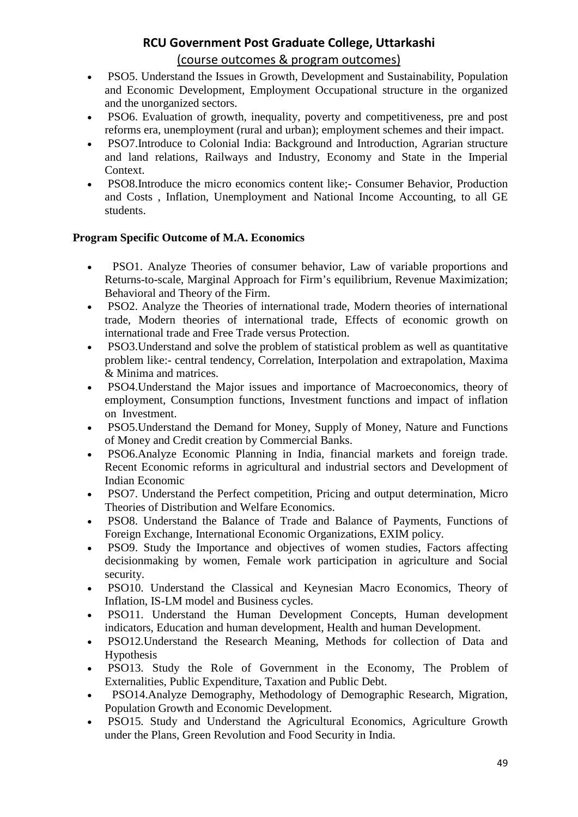#### (course outcomes & program outcomes)

- PSO5. Understand the Issues in Growth, Development and Sustainability, Population and Economic Development, Employment Occupational structure in the organized and the unorganized sectors.
- PSO6. Evaluation of growth, inequality, poverty and competitiveness, pre and post reforms era, unemployment (rural and urban); employment schemes and their impact.
- PSO7.Introduce to Colonial India: Background and Introduction, Agrarian structure and land relations, Railways and Industry, Economy and State in the Imperial Context.
- PSO8.Introduce the micro economics content like;- Consumer Behavior, Production and Costs , Inflation, Unemployment and National Income Accounting, to all GE students.

#### **Program Specific Outcome of M.A. Economics**

- PSO1. Analyze Theories of consumer behavior, Law of variable proportions and Returns-to-scale, Marginal Approach for Firm's equilibrium, Revenue Maximization; Behavioral and Theory of the Firm.
- PSO2. Analyze the Theories of international trade, Modern theories of international trade, Modern theories of international trade, Effects of economic growth on international trade and Free Trade versus Protection.
- PSO3. Understand and solve the problem of statistical problem as well as quantitative problem like:- central tendency, Correlation, Interpolation and extrapolation, Maxima & Minima and matrices.
- PSO4.Understand the Major issues and importance of Macroeconomics, theory of employment, Consumption functions, Investment functions and impact of inflation on Investment.
- PSO5.Understand the Demand for Money, Supply of Money, Nature and Functions of Money and Credit creation by Commercial Banks.
- PSO6.Analyze Economic Planning in India, financial markets and foreign trade. Recent Economic reforms in agricultural and industrial sectors and Development of Indian Economic
- PSO7. Understand the Perfect competition. Pricing and output determination, Micro Theories of Distribution and Welfare Economics.
- PSO8. Understand the Balance of Trade and Balance of Payments, Functions of Foreign Exchange, International Economic Organizations, EXIM policy.
- PSO9. Study the Importance and objectives of women studies. Factors affecting decisionmaking by women, Female work participation in agriculture and Social security.
- PSO10. Understand the Classical and Keynesian Macro Economics, Theory of Inflation, IS-LM model and Business cycles.
- PSO11. Understand the Human Development Concepts, Human development indicators, Education and human development, Health and human Development.
- PSO12.Understand the Research Meaning, Methods for collection of Data and Hypothesis
- PSO13. Study the Role of Government in the Economy, The Problem of Externalities, Public Expenditure, Taxation and Public Debt.
- PSO14.Analyze Demography, Methodology of Demographic Research, Migration, Population Growth and Economic Development.
- PSO15. Study and Understand the Agricultural Economics, Agriculture Growth under the Plans, Green Revolution and Food Security in India.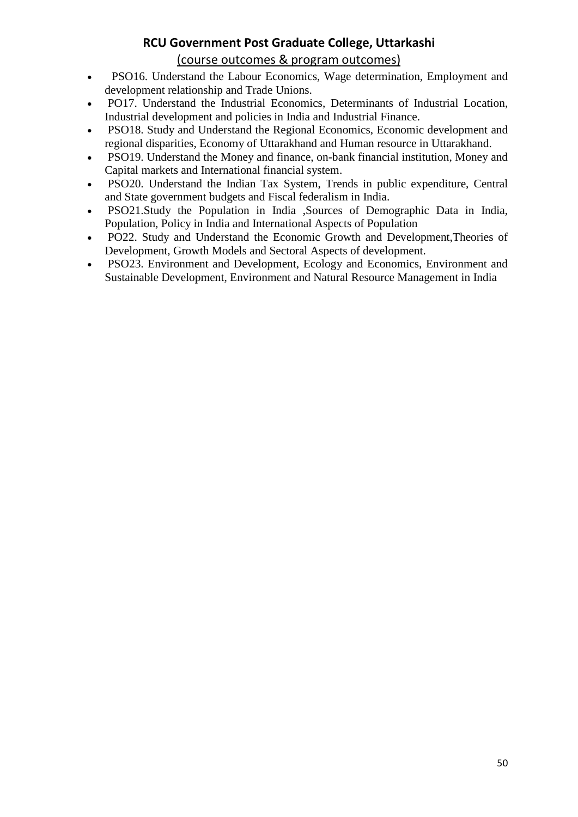#### (course outcomes & program outcomes)

- PSO16. Understand the Labour Economics, Wage determination, Employment and development relationship and Trade Unions.
- PO17. Understand the Industrial Economics, Determinants of Industrial Location, Industrial development and policies in India and Industrial Finance.
- PSO18. Study and Understand the Regional Economics, Economic development and regional disparities, Economy of Uttarakhand and Human resource in Uttarakhand.
- PSO19. Understand the Money and finance, on-bank financial institution, Money and Capital markets and International financial system.
- PSO20. Understand the Indian Tax System, Trends in public expenditure, Central and State government budgets and Fiscal federalism in India.
- PSO21.Study the Population in India ,Sources of Demographic Data in India, Population, Policy in India and International Aspects of Population
- PO22. Study and Understand the Economic Growth and Development,Theories of Development, Growth Models and Sectoral Aspects of development.
- PSO23. Environment and Development, Ecology and Economics, Environment and Sustainable Development, Environment and Natural Resource Management in India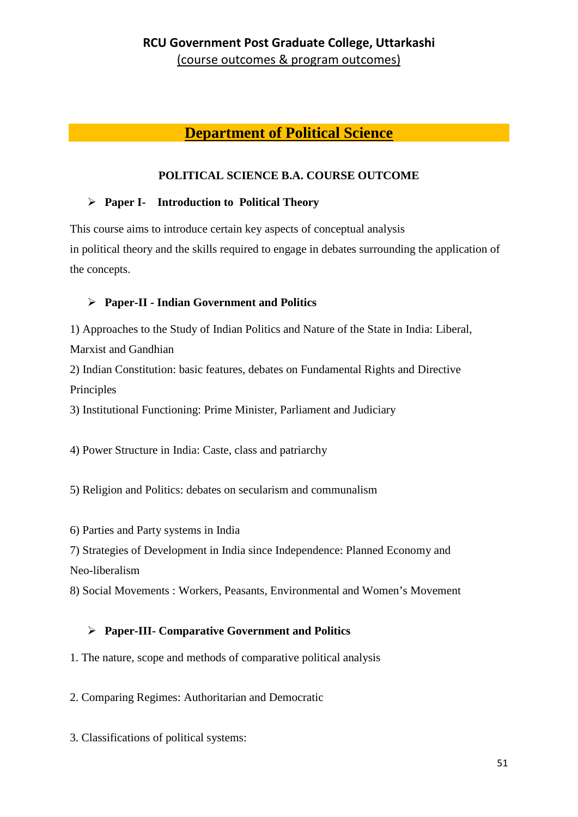### **Department of Political Science**

#### **POLITICAL SCIENCE B.A. COURSE OUTCOME**

#### **Paper I- Introduction to Political Theory**

This course aims to introduce certain key aspects of conceptual analysis in political theory and the skills required to engage in debates surrounding the application of the concepts.

### **Paper-II - Indian Government and Politics**

1) Approaches to the Study of Indian Politics and Nature of the State in India: Liberal, Marxist and Gandhian

2) Indian Constitution: basic features, debates on Fundamental Rights and Directive Principles

3) Institutional Functioning: Prime Minister, Parliament and Judiciary

4) Power Structure in India: Caste, class and patriarchy

5) Religion and Politics: debates on secularism and communalism

6) Parties and Party systems in India

7) Strategies of Development in India since Independence: Planned Economy and Neo-liberalism

8) Social Movements : Workers, Peasants, Environmental and Women's Movement

### **Paper-III- Comparative Government and Politics**

1. The nature, scope and methods of comparative political analysis

2. Comparing Regimes: Authoritarian and Democratic

3. Classifications of political systems: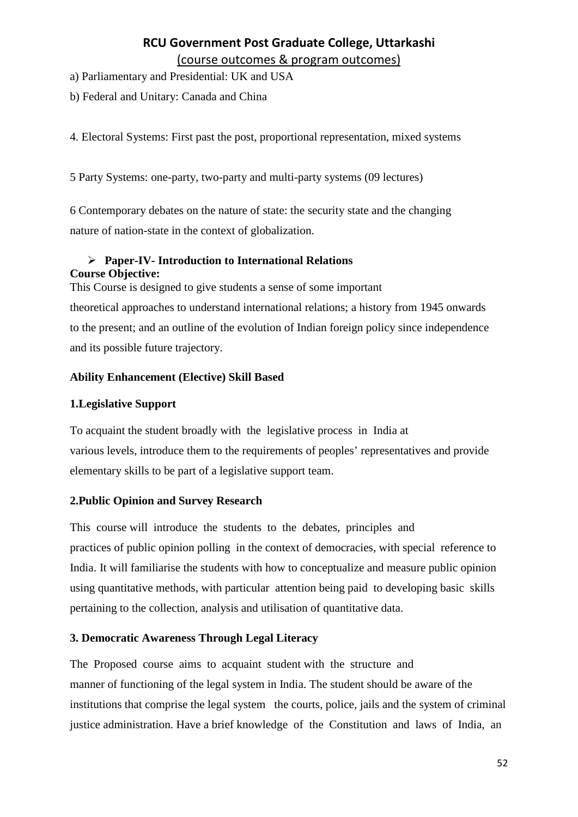a) Parliamentary and Presidential: UK and USA

b) Federal and Unitary: Canada and China

4. Electoral Systems: First past the post, proportional representation, mixed systems

5 Party Systems: one-party, two-party and multi-party systems (09 lectures)

6 Contemporary debates on the nature of state: the security state and the changing nature of nation-state in the context of globalization.

### **Paper-IV- Introduction to International Relations Course Objective:**

This Course is designed to give students a sense of some important

theoretical approaches to understand international relations; a history from 1945 onwards to the present; and an outline of the evolution of Indian foreign policy since independence and its possible future trajectory.

#### **Ability Enhancement (Elective) Skill Based**

#### **1.Legislative Support**

To acquaint the student broadly with the legislative process in India at various levels, introduce them to the requirements of peoples' representatives and provide elementary skills to be part of a legislative support team.

### **2.Public Opinion and Survey Research**

This course will introduce the students to the debates, principles and practices of public opinion polling in the context of democracies, with special reference to India. It will familiarise the students with how to conceptualize and measure public opinion using quantitative methods, with particular attention being paid to developing basic skills pertaining to the collection, analysis and utilisation of quantitative data.

#### **3. Democratic Awareness Through Legal Literacy**

The Proposed course aims to acquaint student with the structure and manner of functioning of the legal system in India. The student should be aware of the institutions that comprise the legal system the courts, police, jails and the system of criminal justice administration. Have a brief knowledge of the Constitution and laws of India, an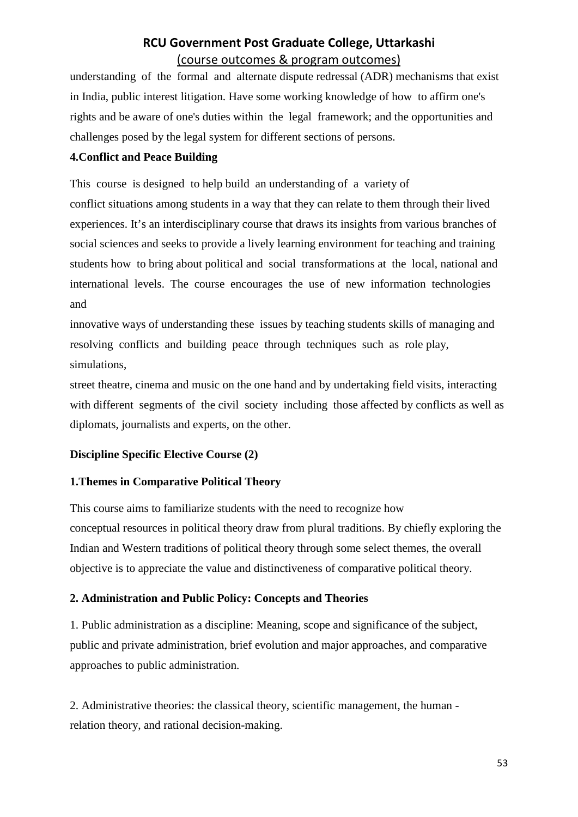understanding of the formal and alternate dispute redressal (ADR) mechanisms that exist in India, public interest litigation. Have some working knowledge of how to affirm one's rights and be aware of one's duties within the legal framework; and the opportunities and challenges posed by the legal system for different sections of persons.

#### **4.Conflict and Peace Building**

This course is designed to help build an understanding of a variety of conflict situations among students in a way that they can relate to them through their lived experiences. It's an interdisciplinary course that draws its insights from various branches of social sciences and seeks to provide a lively learning environment for teaching and training students how to bring about political and social transformations at the local, national and international levels. The course encourages the use of new information technologies and

innovative ways of understanding these issues by teaching students skills of managing and resolving conflicts and building peace through techniques such as role play, simulations,

street theatre, cinema and music on the one hand and by undertaking field visits, interacting with different segments of the civil society including those affected by conflicts as well as diplomats, journalists and experts, on the other.

### **Discipline Specific Elective Course (2)**

### **1.Themes in Comparative Political Theory**

This course aims to familiarize students with the need to recognize how conceptual resources in political theory draw from plural traditions. By chiefly exploring the Indian and Western traditions of political theory through some select themes, the overall objective is to appreciate the value and distinctiveness of comparative political theory.

### **2. Administration and Public Policy: Concepts and Theories**

1. Public administration as a discipline: Meaning, scope and significance of the subject, public and private administration, brief evolution and major approaches, and comparative approaches to public administration.

2. Administrative theories: the classical theory, scientific management, the human relation theory, and rational decision-making.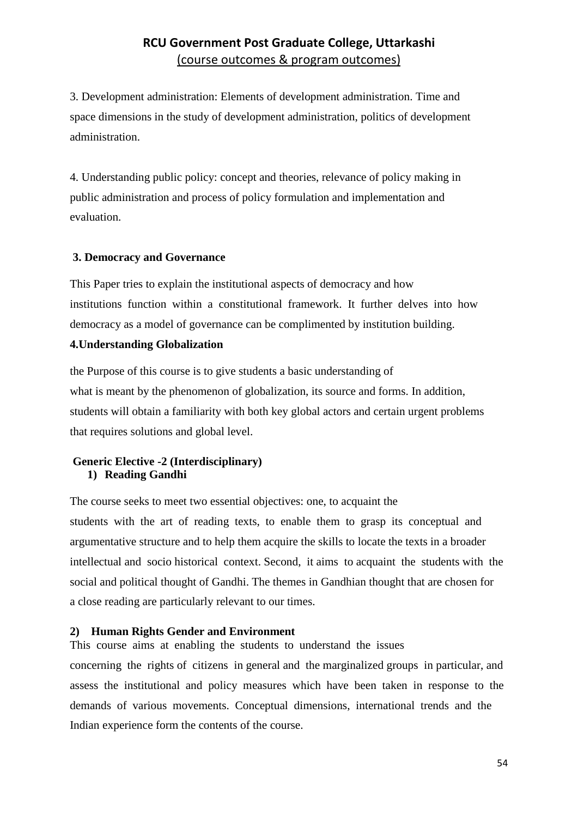3. Development administration: Elements of development administration. Time and space dimensions in the study of development administration, politics of development administration.

4. Understanding public policy: concept and theories, relevance of policy making in public administration and process of policy formulation and implementation and evaluation.

#### **3. Democracy and Governance**

This Paper tries to explain the institutional aspects of democracy and how institutions function within a constitutional framework. It further delves into how democracy as a model of governance can be complimented by institution building.

#### **4.Understanding Globalization**

the Purpose of this course is to give students a basic understanding of what is meant by the phenomenon of globalization, its source and forms. In addition, students will obtain a familiarity with both key global actors and certain urgent problems that requires solutions and global level.

#### **Generic Elective -2 (Interdisciplinary) 1) Reading Gandhi**

The course seeks to meet two essential objectives: one, to acquaint the students with the art of reading texts, to enable them to grasp its conceptual and argumentative structure and to help them acquire the skills to locate the texts in a broader intellectual and socio historical context. Second, it aims to acquaint the students with the social and political thought of Gandhi. The themes in Gandhian thought that are chosen for a close reading are particularly relevant to our times.

### **2) Human Rights Gender and Environment**

This course aims at enabling the students to understand the issues concerning the rights of citizens in general and the marginalized groups in particular, and assess the institutional and policy measures which have been taken in response to the demands of various movements. Conceptual dimensions, international trends and the Indian experience form the contents of the course.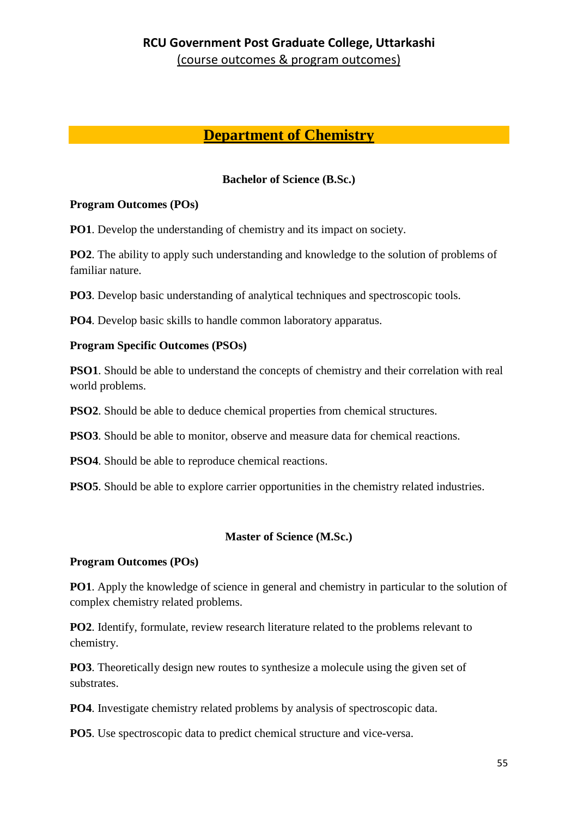## **Department of Chemistry**

#### **Bachelor of Science (B.Sc.)**

#### **Program Outcomes (POs)**

**PO1**. Develop the understanding of chemistry and its impact on society.

**PO2**. The ability to apply such understanding and knowledge to the solution of problems of familiar nature.

**PO3**. Develop basic understanding of analytical techniques and spectroscopic tools.

**PO4**. Develop basic skills to handle common laboratory apparatus.

#### **Program Specific Outcomes (PSOs)**

**PSO1**. Should be able to understand the concepts of chemistry and their correlation with real world problems.

**PSO2**. Should be able to deduce chemical properties from chemical structures.

**PSO3**. Should be able to monitor, observe and measure data for chemical reactions.

**PSO4**. Should be able to reproduce chemical reactions.

**PSO5**. Should be able to explore carrier opportunities in the chemistry related industries.

#### **Master of Science (M.Sc.)**

#### **Program Outcomes (POs)**

**PO1**. Apply the knowledge of science in general and chemistry in particular to the solution of complex chemistry related problems.

**PO2**. Identify, formulate, review research literature related to the problems relevant to chemistry.

**PO3**. Theoretically design new routes to synthesize a molecule using the given set of substrates.

**PO4**. Investigate chemistry related problems by analysis of spectroscopic data.

**PO5**. Use spectroscopic data to predict chemical structure and vice-versa.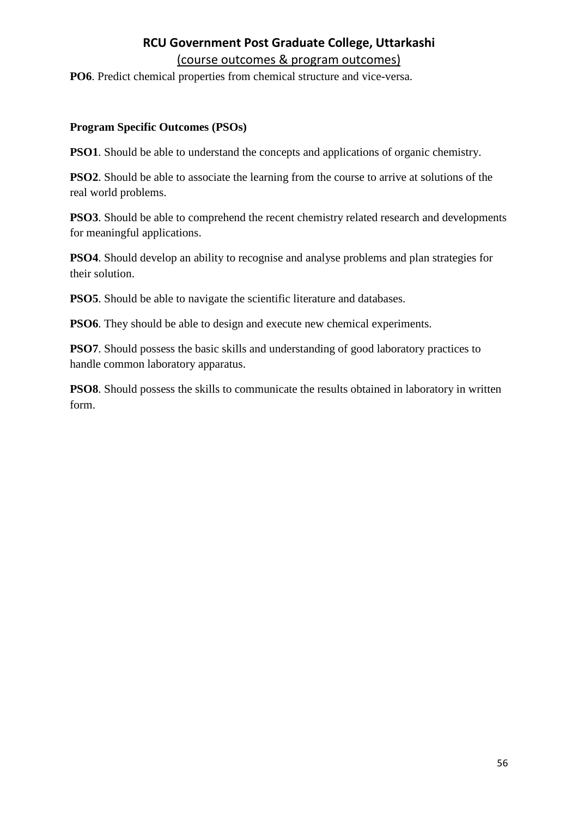**PO6**. Predict chemical properties from chemical structure and vice-versa.

#### **Program Specific Outcomes (PSOs)**

**PSO1**. Should be able to understand the concepts and applications of organic chemistry.

**PSO2**. Should be able to associate the learning from the course to arrive at solutions of the real world problems.

**PSO3**. Should be able to comprehend the recent chemistry related research and developments for meaningful applications.

**PSO4**. Should develop an ability to recognise and analyse problems and plan strategies for their solution.

**PSO5**. Should be able to navigate the scientific literature and databases.

**PSO6**. They should be able to design and execute new chemical experiments.

**PSO7**. Should possess the basic skills and understanding of good laboratory practices to handle common laboratory apparatus.

**PSO8**. Should possess the skills to communicate the results obtained in laboratory in written form.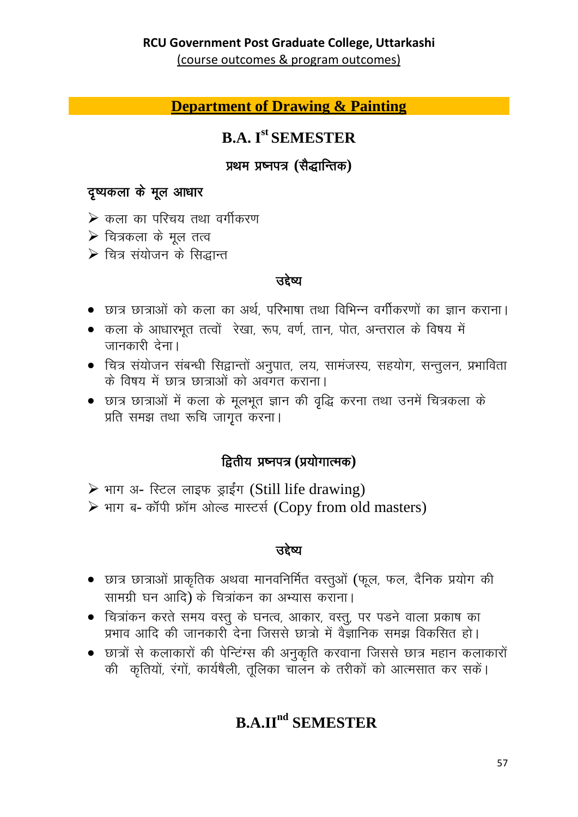(course outcomes & program outcomes)

## **Department of Drawing & Painting**

# **B.A. Ist SEMESTER**

### प्रथम प्रष्नपत्र (सैद्धान्तिक)

## दृष्यकला के मूल आधार

- $\triangleright$  कला का परिचय तथा वर्गीकरण
- $\triangleright$  चित्रकला के मूल तत्व
- $\triangleright$  चित्र संयोजन के सिद्धान्त

#### उद्देष्य

- छात्र छात्राओं को कला का अर्थ, परिभाषा तथा विभिन्न वर्गीकरणों का ज्ञान कराना।
- कला के आधारभूत तत्वों रेखा, रूप, वर्ण, तान, पोत, अन्तराल के विषय में जानकारी देना।
- चित्र संयोजन संबन्धी सिद्वान्तों अनुपात, लय, सामंजस्य, सहयोग, सन्तुलन, प्रभाविता के विषय में छात्र छात्राओं को अवगत कराना।
- छात्र छात्राओं में कला के मूलभूत ज्ञान की वृद्धि करना तथा उनमें चित्रकला के प्रति समझ तथा रूचि जागृत करना।

### द्वितीय प्रष्नपत्र (प्रयोगात्मक)

- > भाग अ- स्टिल लाइफ ड्राईंग (Still life drawing)
- > भाग ब- कॉपी फ्रॉम ओल्ड मास्टर्स (Copy from old masters)

### उद्देष्य

- छात्र छात्राओं प्राकृतिक अथवा मानवनिर्मित वस्तुओं (फूल, फल, दैनिक प्रयोग की सामग्री घन आदि) के चित्रांकन का अभ्यास कराना।
- चित्रांकन करते समय वस्तु के घनत्व, आकार, वस्तु, पर पडने वाला प्रकाष का प्रभाव आदि की जानकारी देना जिससे छात्रो में वैज्ञानिक समझ विकसित हो।
- छात्रों से कलाकारों की पेन्टिंग्स की अनुकृति करवाना जिससे छात्र महान कलाकारों की कृतियों, रंगों, कार्यषैली, तूलिका चालन के तरीकों को आत्मसात कर सकें।

# **B.A.II<sup>nd</sup> SEMESTER**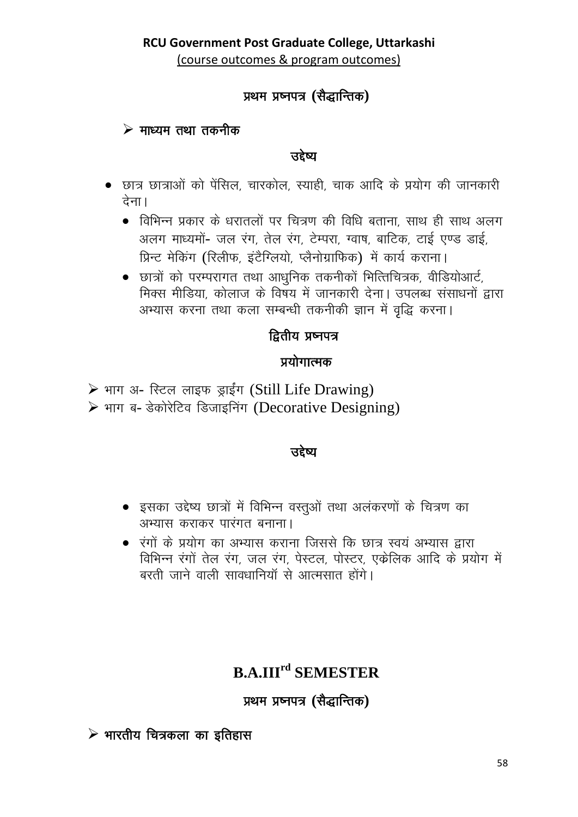# प्रथम प्रष्नपत्र (सैद्धान्तिक)

### $\triangleright$  माध्यम तथा तकनीक

उद्देष्य

- छात्र छात्राओं को पेंसिल, चारकोल, स्याही, चाक आदि के प्रयोग की जानकारी देना।
	- विभिन्न प्रकार के धरातलों पर चित्रण की विधि बताना, साथ ही साथ अलग अलग माध्यमों- जल रंग, तेल रंग, टेम्परा, ग्वाष, बाटिक, टाई एण्ड डाई, प्रिन्ट मेकिंग (रिलीफ, इंटैग्लियो, प्लैनोग्राफिक) में कार्य कराना।
	- छात्रों को परम्परागत तथा आधुनिक तकनीकों भित्तिचित्रक, वीडियोआर्ट, मिक्स मीडिया, कोलाज के विषय में जानकारी देना। उपलब्ध संसाधनों द्वारा अभ्यास करना तथा कला सम्बन्धी तकनीकी ज्ञान में वृद्धि करना।

# द्वितीय प्रष्नपत्र

# प्रयोगात्मक

- > भाग अ- स्टिल लाइफ ड्राईंग (Still Life Drawing)
- > भाग ब- डेकोरेटिव डिजाइनिंग (Decorative Designing)

### उद्देष्य

- इसका उद्देष्य छात्रों में विभिन्न वस्तुओं तथा अलंकरणों के चित्रण का अभ्यास कराकर पारंगत बनाना।
- रंगों के प्रयोग का अभ्यास कराना जिससे कि छात्र स्वयं अभ्यास द्वारा विभिन्न रंगों तेल रंग, जल रंग, पेस्टल, पोस्टर, एक्वेलिक आदि के प्रयोग में बरती जाने वाली सावधानियाँ से आत्मसात होंगे।

# **B.A.III<sup>rd</sup> SEMESTER**

प्रथम प्रष्नपत्र (सैद्धान्तिक)

 $\triangleright$  भारतीय चित्रकला का इतिहास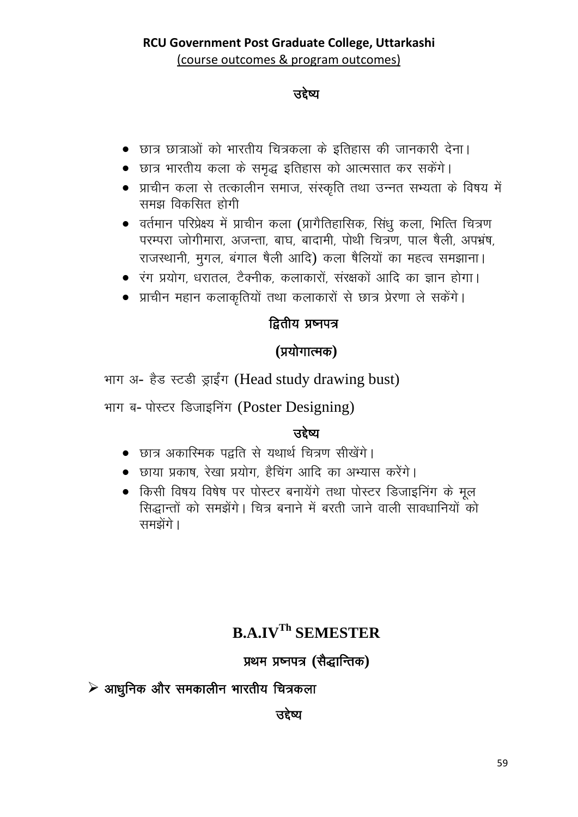### ਤਵੇष्य

- छात्र छात्राओं को भारतीय चित्रकला के इतिहास की जानकारी देना।
- छात्र भारतीय कला के समृद्ध इतिहास को आत्मसात कर सकेंगे।
- प्राचीन कला से तत्कालीन समाज, संस्कृति तथा उन्नत सभ्यता के विषय में समझ विकसित होगी
- वर्तमान परिप्रेक्ष्य में प्राचीन कला (प्रागैतिहासिक, सिंधु कला, भित्ति चित्रण परम्परा जोगीमारा, अजन्ता, बाघ, बादामी, पोथी चित्रण, पाल षैली, अपभ्रंष, राजस्थानी, मुगल, बंगाल षैली आदि) कला षैलियों का महत्व समझाना।
- रंग प्रयोग, धरातल, टैक्नीक, कलाकारों, संरक्षकों आदि का ज्ञान होगा।
- प्राचीन महान कलाकृतियों तथा कलाकारों से छात्र प्रेरणा ले सकेंगे।

# द्वितीय प्रष्नपत्र

## (प्रयोगात्मक)

भाग अ- हैड स्टडी ड्राईंग (Head study drawing bust)

भाग ब- पोस्टर डिजाइनिंग (Poster Designing)

# त्तहेष्य

- छात्र अकारिमक पद्वति से यथार्थ चित्रण सीखेंगे।
- छाया प्रकाष, रेखा प्रयोग, हैचिंग आदि का अभ्यास करेंगे।
- किसी विषय विषेष पर पोस्टर बनायेंगे तथा पोस्टर डिजाइनिंग के मूल सिद्धान्तों को समझेंगे। चित्र बनाने में बरती जाने वाली सावधानियों को समझेंगे।

# **B.A.IVTh SEMESTER**

# प्रथम प्रष्नपत्र (सैद्धान्तिक)

 $\triangleright$  आधुनिक और समकालीन भारतीय चित्रकला

उद्देष्य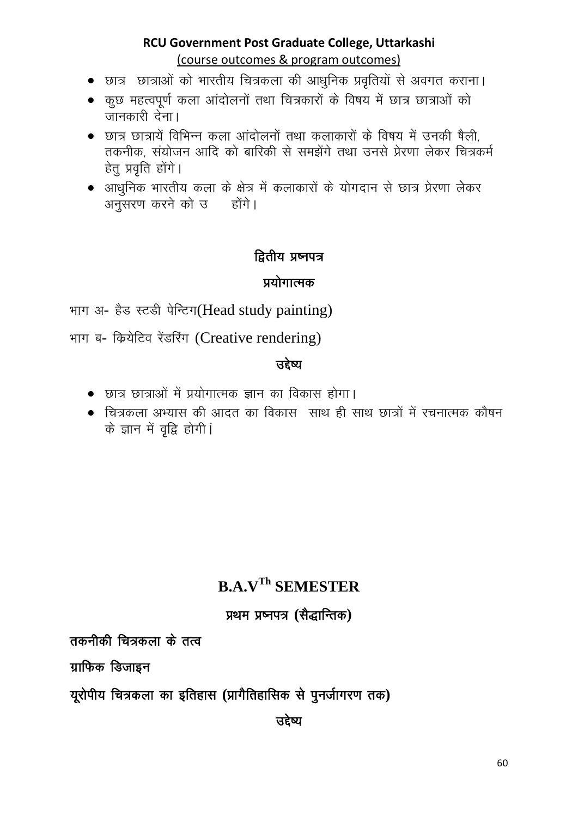- छात्र) छात्राओं को भारतीय चित्रकला की आधनिक प्रवतियों से अवगत कराना।
- कुछ महत्वपूर्ण कला आंदोलनों तथा चित्रकारों के विषय में छात्र छात्राओं को जानकारी देना।
- छात्र छात्रायें विभिन्न कला आंदोलनों तथा कलाकारों के विषय में उनकी षैली तकनीक, संयोजन आदि को बारिकी से समझेंगे तथा उनसे प्रेरणा लेकर चित्रकर्म हेतु प्रवृति होंगे।
- आधुनिक भारतीय कला के क्षेत्र में कलाकारों के योगदान से छात्र प्रेरणा लेकर अनुसरण करने को उब्लिंगे।

## द्वितीय प्रष्नपत्र

### प्रयोगात्मक

भाग अ- हैड स्टडी पेन्टिग(Head study painting)

भाग ब- क्रियेटिव रेंडरिंग (Creative rendering)

### उद्देष्य

- छात्र छात्राओं में प्रयोगात्मक ज्ञान का विकास होगा।
- चित्रकला अभ्यास की आदत का विकास) साथ ही साथ छात्रों में रचनात्मक कौषन के ज्ञान में वृद्वि होगी।

# **B.A.V<sup>Th</sup> SEMESTER**

### प्रथम प्रष्नपत्र (सैद्धान्तिक)

तकनीकी चित्रकला के तत्व

ग्राफिक डिजाइन

यूरोपीय चित्रकला का इतिहास (प्रागैतिहासिक से पुनर्जागरण तक)

उद्देष्य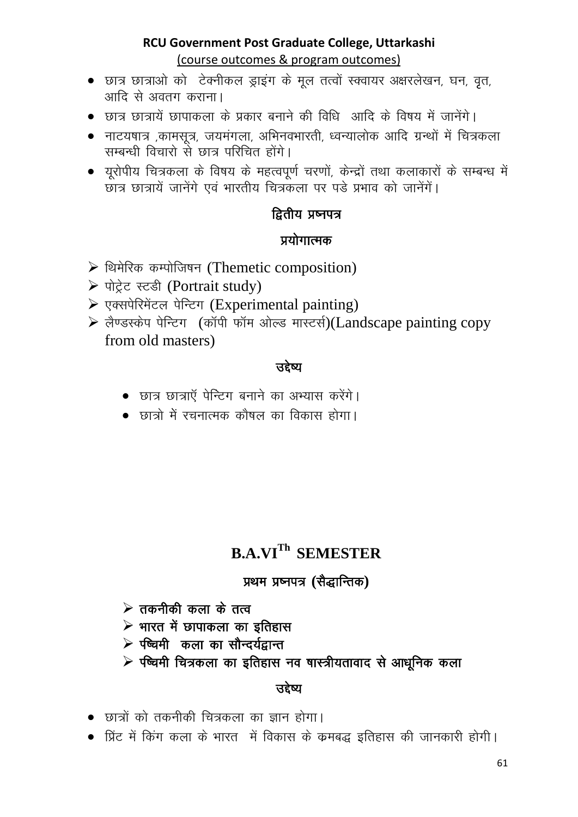- छात्र छात्राओं को टेक्नीकल डाइंग के मल तत्वों स्क्वायर अक्षरलेखन, घन, वत, आदि से अवतग कराना।
- छात्र छात्रायें छापाकला के प्रकार बनाने की विधि आदि के विषय में जानेंगे।
- नाटयषात्र ,कामसूत्र, जयमंगला, अभिनवभारती, ध्वन्यालोक आदि ग्रन्थों में चित्रकला सम्बन्धी विचारो से छात्र परिचित होंगे।
- यूरोपीय चित्रकला के विषय के महत्वपूर्ण चरणों, केन्द्रों तथा कलाकारों के सम्बन्ध में छात्र छात्रायें जानेंगे एवं भारतीय चित्रकला पर पड़े प्रभाव को जानेंगें।

# द्वितीय प्रष्नपत्र

## प्रयोगात्मक

- > थिमेरिक कम्पोजिषन (Themetic composition)
- > पोट्रेट स्टडी (Portrait study)
- > एक्सपेरिमेंटल पेन्टिंग (Experimental painting)
- > लैण्डस्केप पेन्टिग (कॉपी फॉम ओल्ड मास्टर्स)(Landscape painting copy from old masters)

### उद्देष्य

- छात्र छात्राएँ पेन्टिंग बनाने का अभ्यास करेंगे।
- छात्रों में रचनात्मक कौषल का विकास होगा।

# **B.A.VI<sup>Th</sup> SEMESTER**

### प्रथम प्रष्नपत्र (सैद्धान्तिक)

- $\triangleright$  तकनीकी कला के तत्व
- $\triangleright$  भारत में छापाकला का इतिहास
- ≻ पष्चिमी कला का सौन्दर्यद्वान्त
- $\triangleright$  रष्चिमी चित्रकला का इतिहास नव षास्त्रीयतावाद से आधुनिक कला

### उद्देष्य

- छात्रों को तकनीकी चित्रकला का ज्ञान होगा।
- प्रिंट में किंग कला के भारत- में विकास के कमबद्ध इतिहास की जानकारी होगी।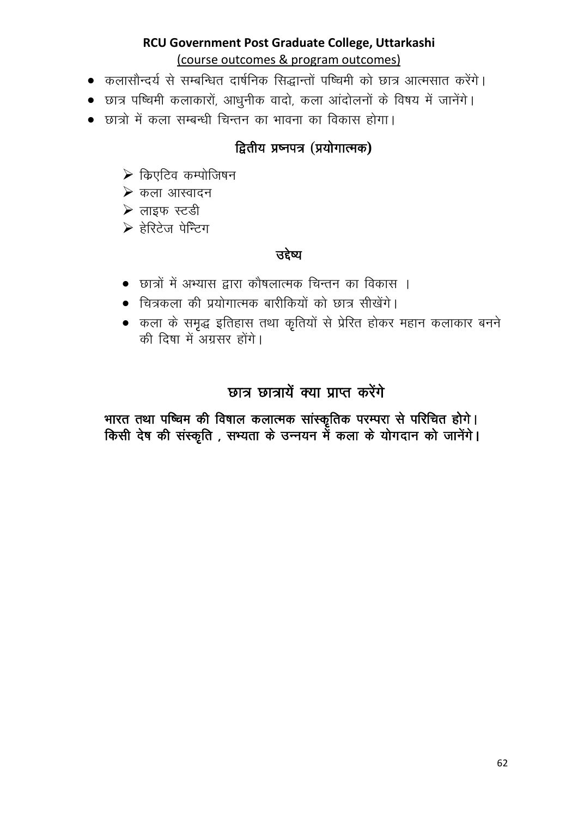- कलासौन्दर्य से सम्बन्धित दार्षनिक सिद्धान्तों पष्चिमी को छात्र आत्मसात करेंगे।
- छात्र पष्चिमी कलाकारों, आधुनीक वादो, कला आंदोलनों के विषय में जानेंगे।
- छात्रों में कला सम्बन्धी चिन्तन का भावना का विकास होगा।

# द्वितीय प्रष्नपत्र (प्रयोगात्मक)

- $\triangleright$  किएटिव कम्पोजिषन
- $\triangleright$  कला आस्वादन
- ▶ लाइफ स्टडी
- ≽ हेरिटेज पेन्टिग

# उद्देष्य

- छात्रों में अभ्यास द्वारा कौषलात्मक चिन्तन का विकास ।
- चित्रकला की प्रयोगात्मक बारीकियों को छात्र सीखेंगे।
- कला के समृद्ध इतिहास तथा कृतियों से प्रेरित होकर महान कलाकार बनने की दिषा में अग्रसर होंगे।

# छात्र छात्रायें क्या प्राप्त करेंगे

भारत तथा पष्चिम की विषाल कलात्मक सांस्कृतिक परम्परा से परिचित होगे। किसी देष की संस्कृति , सभ्यता के उन्नयन में कला के योगदान को जानेंगे।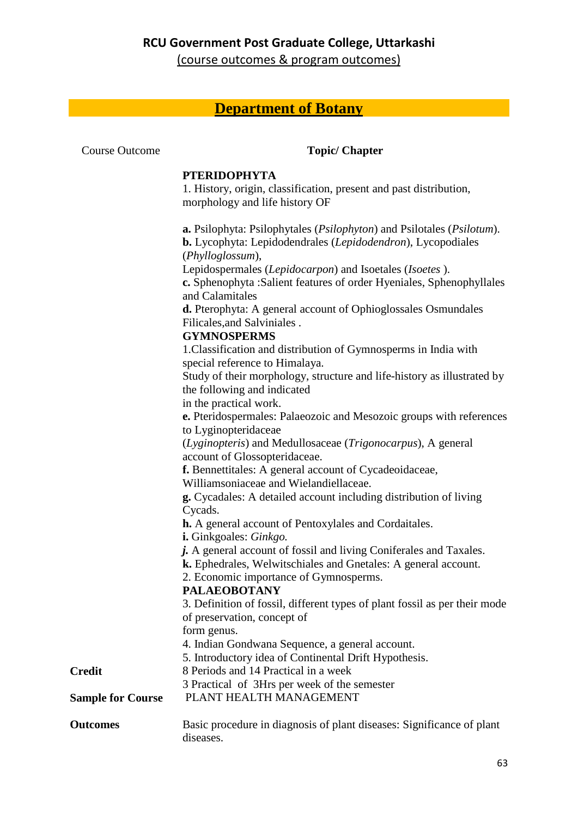(course outcomes & program outcomes)

# **Department of Botany**

| <b>Course Outcome</b>    | <b>Topic/ Chapter</b>                                                                                                                                           |
|--------------------------|-----------------------------------------------------------------------------------------------------------------------------------------------------------------|
|                          | <b>PTERIDOPHYTA</b>                                                                                                                                             |
|                          | 1. History, origin, classification, present and past distribution,                                                                                              |
|                          | morphology and life history OF                                                                                                                                  |
|                          | a. Psilophyta: Psilophytales (Psilophyton) and Psilotales (Psilotum).<br><b>b.</b> Lycophyta: Lepidodendrales (Lepidodendron), Lycopodiales<br>(Phylloglossum), |
|                          | Lepidospermales (Lepidocarpon) and Isoetales (Isoetes).<br>c. Sphenophyta :Salient features of order Hyeniales, Sphenophyllales<br>and Calamitales              |
|                          | <b>d.</b> Pterophyta: A general account of Ophioglossales Osmundales<br>Filicales, and Salviniales.                                                             |
|                          | <b>GYMNOSPERMS</b><br>1. Classification and distribution of Gymnosperms in India with<br>special reference to Himalaya.                                         |
|                          | Study of their morphology, structure and life-history as illustrated by<br>the following and indicated<br>in the practical work.                                |
|                          | e. Pteridospermales: Palaeozoic and Mesozoic groups with references<br>to Lyginopteridaceae                                                                     |
|                          | (Lyginopteris) and Medullosaceae (Trigonocarpus), A general<br>account of Glossopteridaceae.                                                                    |
|                          | f. Bennettitales: A general account of Cycadeoidaceae,<br>Williamsoniaceae and Wielandiellaceae.                                                                |
|                          | g. Cycadales: A detailed account including distribution of living<br>Cycads.                                                                                    |
|                          | <b>h.</b> A general account of Pentoxylales and Cordaitales.<br>i. Ginkgoales: Ginkgo.                                                                          |
|                          | j. A general account of fossil and living Coniferales and Taxales.<br>k. Ephedrales, Welwitschiales and Gnetales: A general account.                            |
|                          | 2. Economic importance of Gymnosperms.                                                                                                                          |
|                          | <b>PALAEOBOTANY</b><br>3. Definition of fossil, different types of plant fossil as per their mode                                                               |
|                          | of preservation, concept of                                                                                                                                     |
|                          | form genus.                                                                                                                                                     |
|                          | 4. Indian Gondwana Sequence, a general account.                                                                                                                 |
|                          | 5. Introductory idea of Continental Drift Hypothesis.                                                                                                           |
| <b>Credit</b>            | 8 Periods and 14 Practical in a week                                                                                                                            |
| <b>Sample for Course</b> | 3 Practical of 3Hrs per week of the semester<br>PLANT HEALTH MANAGEMENT                                                                                         |
| <b>Outcomes</b>          | Basic procedure in diagnosis of plant diseases: Significance of plant<br>diseases.                                                                              |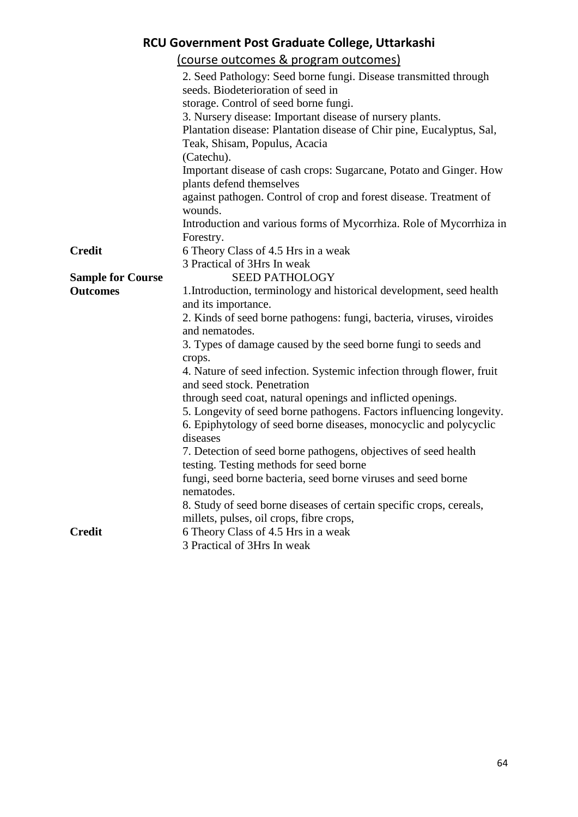| RCU Government Post Graduate College, Uttarkashi                 |                                                                                                |  |  |
|------------------------------------------------------------------|------------------------------------------------------------------------------------------------|--|--|
|                                                                  | (course outcomes & program outcomes)                                                           |  |  |
| 2. Seed Pathology: Seed borne fungi. Disease transmitted through |                                                                                                |  |  |
| seeds. Biodeterioration of seed in                               |                                                                                                |  |  |
|                                                                  | storage. Control of seed borne fungi.                                                          |  |  |
|                                                                  | 3. Nursery disease: Important disease of nursery plants.                                       |  |  |
|                                                                  | Plantation disease: Plantation disease of Chir pine, Eucalyptus, Sal,                          |  |  |
|                                                                  | Teak, Shisam, Populus, Acacia                                                                  |  |  |
|                                                                  | (Catechu).                                                                                     |  |  |
|                                                                  | Important disease of cash crops: Sugarcane, Potato and Ginger. How<br>plants defend themselves |  |  |
|                                                                  | against pathogen. Control of crop and forest disease. Treatment of                             |  |  |
|                                                                  | wounds.                                                                                        |  |  |
|                                                                  | Introduction and various forms of Mycorrhiza. Role of Mycorrhiza in                            |  |  |
|                                                                  | Forestry.                                                                                      |  |  |
| <b>Credit</b>                                                    | 6 Theory Class of 4.5 Hrs in a weak                                                            |  |  |
|                                                                  | 3 Practical of 3Hrs In weak                                                                    |  |  |
| <b>Sample for Course</b>                                         | <b>SEED PATHOLOGY</b>                                                                          |  |  |
| <b>Outcomes</b>                                                  | 1. Introduction, terminology and historical development, seed health                           |  |  |
|                                                                  | and its importance.                                                                            |  |  |
|                                                                  | 2. Kinds of seed borne pathogens: fungi, bacteria, viruses, viroides                           |  |  |
| and nematodes.                                                   |                                                                                                |  |  |
|                                                                  | 3. Types of damage caused by the seed borne fungi to seeds and<br>crops.                       |  |  |
|                                                                  | 4. Nature of seed infection. Systemic infection through flower, fruit                          |  |  |
|                                                                  | and seed stock. Penetration                                                                    |  |  |
|                                                                  | through seed coat, natural openings and inflicted openings.                                    |  |  |
|                                                                  | 5. Longevity of seed borne pathogens. Factors influencing longevity.                           |  |  |
|                                                                  | 6. Epiphytology of seed borne diseases, monocyclic and polycyclic                              |  |  |
|                                                                  | diseases                                                                                       |  |  |
|                                                                  | 7. Detection of seed borne pathogens, objectives of seed health                                |  |  |
|                                                                  | testing. Testing methods for seed borne                                                        |  |  |
|                                                                  | fungi, seed borne bacteria, seed borne viruses and seed borne                                  |  |  |
|                                                                  | nematodes.                                                                                     |  |  |
|                                                                  | 8. Study of seed borne diseases of certain specific crops, cereals,                            |  |  |
|                                                                  | millets, pulses, oil crops, fibre crops,                                                       |  |  |
| <b>Credit</b>                                                    | 6 Theory Class of 4.5 Hrs in a weak                                                            |  |  |
|                                                                  | 3 Practical of 3Hrs In weak                                                                    |  |  |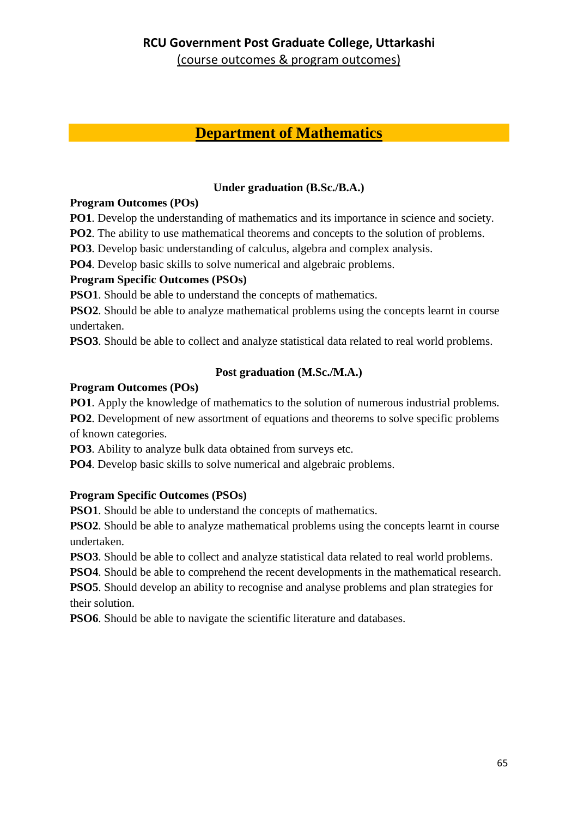## **Department of Mathematics**

### **Under graduation (B.Sc./B.A.)**

#### **Program Outcomes (POs)**

**PO1**. Develop the understanding of mathematics and its importance in science and society.

**PO2**. The ability to use mathematical theorems and concepts to the solution of problems.

**PO3**. Develop basic understanding of calculus, algebra and complex analysis.

**PO4**. Develop basic skills to solve numerical and algebraic problems.

#### **Program Specific Outcomes (PSOs)**

**PSO1**. Should be able to understand the concepts of mathematics.

**PSO2**. Should be able to analyze mathematical problems using the concepts learnt in course undertaken.

**PSO3**. Should be able to collect and analyze statistical data related to real world problems.

### **Post graduation (M.Sc./M.A.)**

### **Program Outcomes (POs)**

**PO1**. Apply the knowledge of mathematics to the solution of numerous industrial problems. **PO2**. Development of new assortment of equations and theorems to solve specific problems of known categories.

**PO3**. Ability to analyze bulk data obtained from surveys etc.

**PO4**. Develop basic skills to solve numerical and algebraic problems.

### **Program Specific Outcomes (PSOs)**

**PSO1**. Should be able to understand the concepts of mathematics.

**PSO2**. Should be able to analyze mathematical problems using the concepts learnt in course undertaken.

**PSO3**. Should be able to collect and analyze statistical data related to real world problems.

**PSO4**. Should be able to comprehend the recent developments in the mathematical research.

**PSO5**. Should develop an ability to recognise and analyse problems and plan strategies for their solution.

**PSO6**. Should be able to navigate the scientific literature and databases.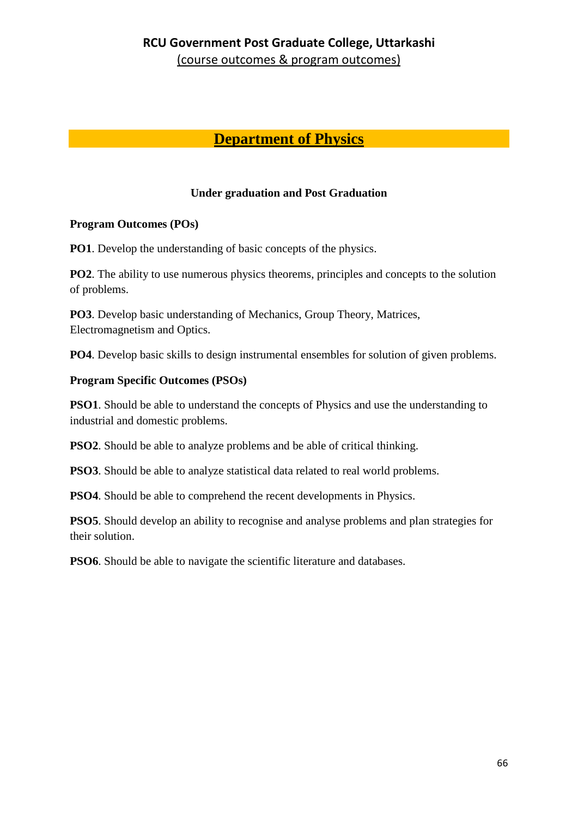# **Department of Physics**

#### **Under graduation and Post Graduation**

#### **Program Outcomes (POs)**

**PO1**. Develop the understanding of basic concepts of the physics.

**PO2**. The ability to use numerous physics theorems, principles and concepts to the solution of problems.

**PO3**. Develop basic understanding of Mechanics, Group Theory, Matrices, Electromagnetism and Optics.

**PO4**. Develop basic skills to design instrumental ensembles for solution of given problems.

#### **Program Specific Outcomes (PSOs)**

**PSO1**. Should be able to understand the concepts of Physics and use the understanding to industrial and domestic problems.

**PSO2**. Should be able to analyze problems and be able of critical thinking.

**PSO3**. Should be able to analyze statistical data related to real world problems.

**PSO4**. Should be able to comprehend the recent developments in Physics.

**PSO5**. Should develop an ability to recognise and analyse problems and plan strategies for their solution.

**PSO6**. Should be able to navigate the scientific literature and databases.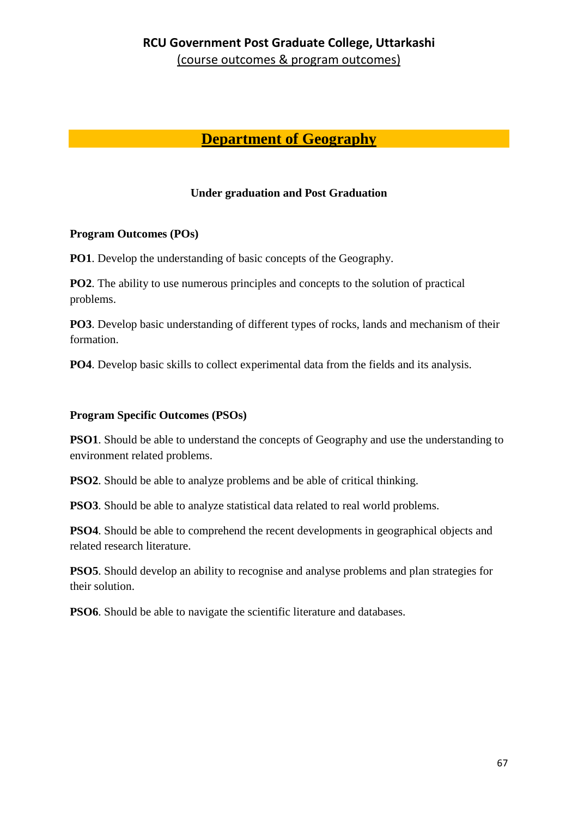# **Department of Geography**

#### **Under graduation and Post Graduation**

#### **Program Outcomes (POs)**

**PO1**. Develop the understanding of basic concepts of the Geography.

**PO2**. The ability to use numerous principles and concepts to the solution of practical problems.

**PO3**. Develop basic understanding of different types of rocks, lands and mechanism of their formation.

**PO4**. Develop basic skills to collect experimental data from the fields and its analysis.

#### **Program Specific Outcomes (PSOs)**

**PSO1**. Should be able to understand the concepts of Geography and use the understanding to environment related problems.

**PSO2**. Should be able to analyze problems and be able of critical thinking.

**PSO3**. Should be able to analyze statistical data related to real world problems.

**PSO4**. Should be able to comprehend the recent developments in geographical objects and related research literature.

**PSO5**. Should develop an ability to recognise and analyse problems and plan strategies for their solution.

**PSO6**. Should be able to navigate the scientific literature and databases.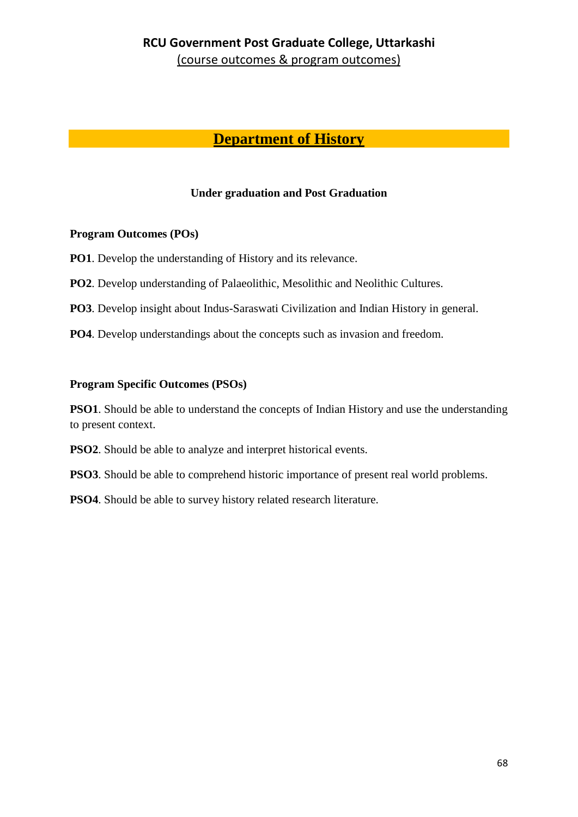# **Department of History**

#### **Under graduation and Post Graduation**

#### **Program Outcomes (POs)**

**PO1**. Develop the understanding of History and its relevance.

**PO2.** Develop understanding of Palaeolithic, Mesolithic and Neolithic Cultures.

**PO3**. Develop insight about Indus-Saraswati Civilization and Indian History in general.

**PO4**. Develop understandings about the concepts such as invasion and freedom.

#### **Program Specific Outcomes (PSOs)**

**PSO1**. Should be able to understand the concepts of Indian History and use the understanding to present context.

**PSO2**. Should be able to analyze and interpret historical events.

**PSO3**. Should be able to comprehend historic importance of present real world problems.

**PSO4**. Should be able to survey history related research literature.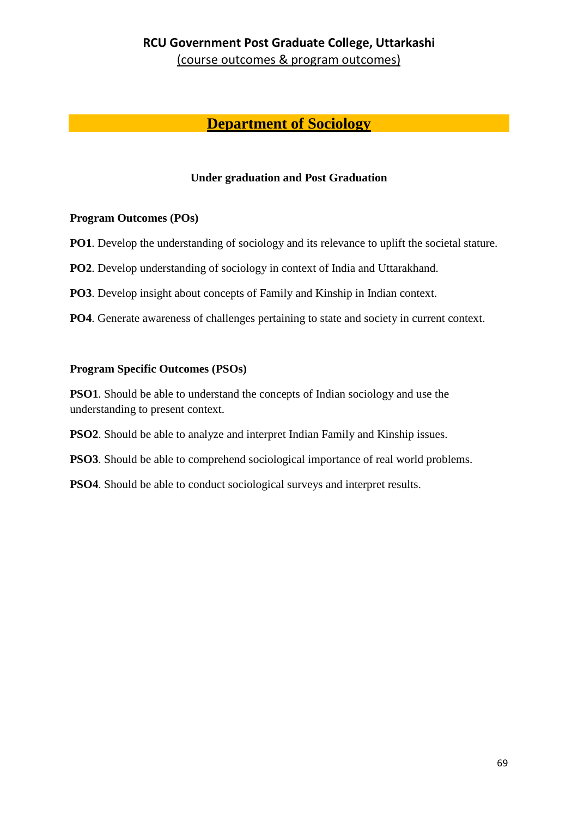## **Department of Sociology**

#### **Under graduation and Post Graduation**

#### **Program Outcomes (POs)**

**PO1**. Develop the understanding of sociology and its relevance to uplift the societal stature.

**PO2**. Develop understanding of sociology in context of India and Uttarakhand.

**PO3**. Develop insight about concepts of Family and Kinship in Indian context.

**PO4**. Generate awareness of challenges pertaining to state and society in current context.

#### **Program Specific Outcomes (PSOs)**

**PSO1**. Should be able to understand the concepts of Indian sociology and use the understanding to present context.

**PSO2**. Should be able to analyze and interpret Indian Family and Kinship issues.

**PSO3**. Should be able to comprehend sociological importance of real world problems.

**PSO4**. Should be able to conduct sociological surveys and interpret results.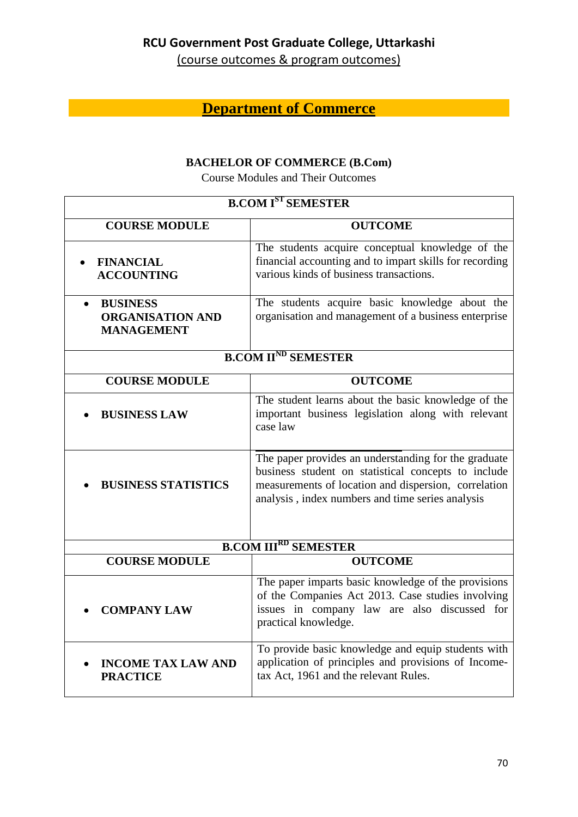(course outcomes & program outcomes)

# **Department of Commerce**

### **BACHELOR OF COMMERCE (B.Com)**

Course Modules and Their Outcomes

| <b>B.COM IST SEMESTER</b>                                                    |                                                                                                                                                                                                                         |  |
|------------------------------------------------------------------------------|-------------------------------------------------------------------------------------------------------------------------------------------------------------------------------------------------------------------------|--|
| <b>COURSE MODULE</b>                                                         | <b>OUTCOME</b>                                                                                                                                                                                                          |  |
| <b>FINANCIAL</b><br><b>ACCOUNTING</b>                                        | The students acquire conceptual knowledge of the<br>financial accounting and to impart skills for recording<br>various kinds of business transactions.                                                                  |  |
| <b>BUSINESS</b><br>$\bullet$<br><b>ORGANISATION AND</b><br><b>MANAGEMENT</b> | The students acquire basic knowledge about the<br>organisation and management of a business enterprise                                                                                                                  |  |
| <b>B.COM II<sup>ND</sup> SEMESTER</b>                                        |                                                                                                                                                                                                                         |  |
| <b>COURSE MODULE</b>                                                         | <b>OUTCOME</b>                                                                                                                                                                                                          |  |
| <b>BUSINESS LAW</b>                                                          | The student learns about the basic knowledge of the<br>important business legislation along with relevant<br>case law                                                                                                   |  |
| <b>BUSINESS STATISTICS</b>                                                   | The paper provides an understanding for the graduate<br>business student on statistical concepts to include<br>measurements of location and dispersion, correlation<br>analysis, index numbers and time series analysis |  |
| <b>B.COM III<sup>RD</sup> SEMESTER</b>                                       |                                                                                                                                                                                                                         |  |
| <b>COURSE MODULE</b>                                                         | <b>OUTCOME</b>                                                                                                                                                                                                          |  |
| <b>COMPANY LAW</b>                                                           | The paper imparts basic knowledge of the provisions<br>of the Companies Act 2013. Case studies involving<br>issues in company law are also discussed for<br>practical knowledge.                                        |  |
| <b>INCOME TAX LAW AND</b><br><b>PRACTICE</b>                                 | To provide basic knowledge and equip students with<br>application of principles and provisions of Income-<br>tax Act, 1961 and the relevant Rules.                                                                      |  |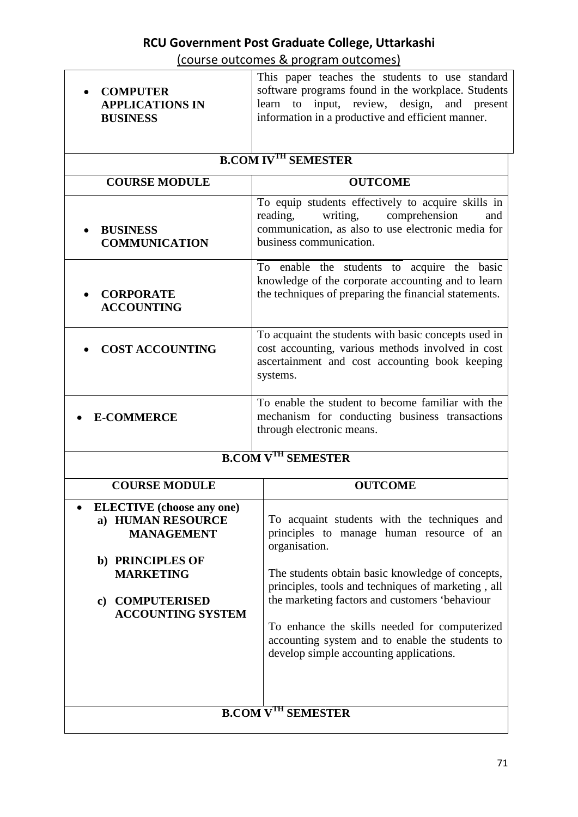(course outcomes & program outcomes)

|                                                                                                | <u>soarse satsonnes &amp; program satsonnes,</u>                                                                                                                                                          |  |  |  |
|------------------------------------------------------------------------------------------------|-----------------------------------------------------------------------------------------------------------------------------------------------------------------------------------------------------------|--|--|--|
| <b>COMPUTER</b><br><b>APPLICATIONS IN</b><br><b>BUSINESS</b>                                   | This paper teaches the students to use standard<br>software programs found in the workplace. Students<br>learn to input, review, design, and present<br>information in a productive and efficient manner. |  |  |  |
| <b>B.COM IVTH SEMESTER</b>                                                                     |                                                                                                                                                                                                           |  |  |  |
| <b>COURSE MODULE</b>                                                                           | <b>OUTCOME</b>                                                                                                                                                                                            |  |  |  |
| <b>BUSINESS</b><br><b>COMMUNICATION</b>                                                        | To equip students effectively to acquire skills in<br>writing,<br>comprehension<br>reading,<br>and<br>communication, as also to use electronic media for<br>business communication.                       |  |  |  |
| <b>CORPORATE</b><br><b>ACCOUNTING</b>                                                          | To enable the students to acquire the basic<br>knowledge of the corporate accounting and to learn<br>the techniques of preparing the financial statements.                                                |  |  |  |
| <b>COST ACCOUNTING</b>                                                                         | To acquaint the students with basic concepts used in<br>cost accounting, various methods involved in cost<br>ascertainment and cost accounting book keeping<br>systems.                                   |  |  |  |
| <b>E-COMMERCE</b>                                                                              | To enable the student to become familiar with the<br>mechanism for conducting business transactions<br>through electronic means.                                                                          |  |  |  |
| <b>B.COM V<sup>TH</sup> SEMESTER</b>                                                           |                                                                                                                                                                                                           |  |  |  |
| <b>COURSE MODULE</b>                                                                           | <b>OUTCOME</b>                                                                                                                                                                                            |  |  |  |
| <b>ELECTIVE</b> (choose any one)<br>a) HUMAN RESOURCE<br><b>MANAGEMENT</b><br>b) PRINCIPLES OF | To acquaint students with the techniques and<br>principles to manage human resource of an<br>organisation.                                                                                                |  |  |  |
| <b>MARKETING</b><br><b>COMPUTERISED</b><br>$\bf c)$<br><b>ACCOUNTING SYSTEM</b>                | The students obtain basic knowledge of concepts,<br>principles, tools and techniques of marketing, all<br>the marketing factors and customers 'behaviour                                                  |  |  |  |
|                                                                                                | To enhance the skills needed for computerized<br>accounting system and to enable the students to<br>develop simple accounting applications.                                                               |  |  |  |
|                                                                                                |                                                                                                                                                                                                           |  |  |  |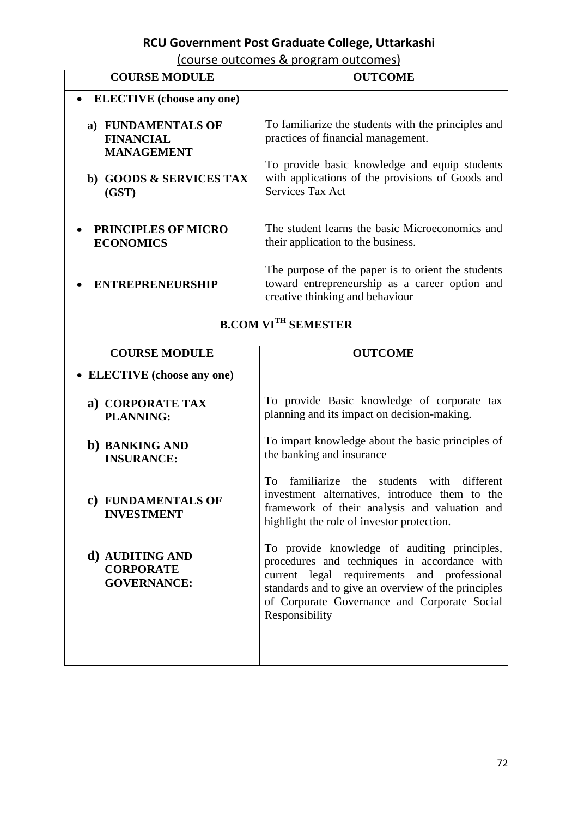### (course outcomes & program outcomes)

| <b>COURSE MODULE</b>                                        | <b>OUTCOME</b>                                                                                                                                                                                                                                                       |
|-------------------------------------------------------------|----------------------------------------------------------------------------------------------------------------------------------------------------------------------------------------------------------------------------------------------------------------------|
| <b>ELECTIVE</b> (choose any one)                            |                                                                                                                                                                                                                                                                      |
| a) FUNDAMENTALS OF<br><b>FINANCIAL</b><br><b>MANAGEMENT</b> | To familiarize the students with the principles and<br>practices of financial management.                                                                                                                                                                            |
| b) GOODS & SERVICES TAX<br>(GST)                            | To provide basic knowledge and equip students<br>with applications of the provisions of Goods and<br>Services Tax Act                                                                                                                                                |
| PRINCIPLES OF MICRO<br><b>ECONOMICS</b>                     | The student learns the basic Microeconomics and<br>their application to the business.                                                                                                                                                                                |
| <b>ENTREPRENEURSHIP</b>                                     | The purpose of the paper is to orient the students<br>toward entrepreneurship as a career option and<br>creative thinking and behaviour                                                                                                                              |
| <b>B.COM VI<sup>TH</sup> SEMESTER</b>                       |                                                                                                                                                                                                                                                                      |
| <b>COURSE MODULE</b>                                        | <b>OUTCOME</b>                                                                                                                                                                                                                                                       |
| • ELECTIVE (choose any one)                                 |                                                                                                                                                                                                                                                                      |
| a) CORPORATE TAX<br><b>PLANNING:</b>                        | To provide Basic knowledge of corporate tax<br>planning and its impact on decision-making.                                                                                                                                                                           |
| b) BANKING AND<br><b>INSURANCE:</b>                         | To impart knowledge about the basic principles of<br>the banking and insurance                                                                                                                                                                                       |
| c) FUNDAMENTALS OF<br><b>INVESTMENT</b>                     | familiarize<br>the<br>students<br>with<br>different<br>To<br>investment alternatives, introduce them to the<br>framework of their analysis and valuation and<br>highlight the role of investor protection.                                                           |
| d) AUDITING AND<br><b>CORPORATE</b><br><b>GOVERNANCE:</b>   | To provide knowledge of auditing principles,<br>procedures and techniques in accordance with<br>current legal requirements and professional<br>standards and to give an overview of the principles<br>of Corporate Governance and Corporate Social<br>Responsibility |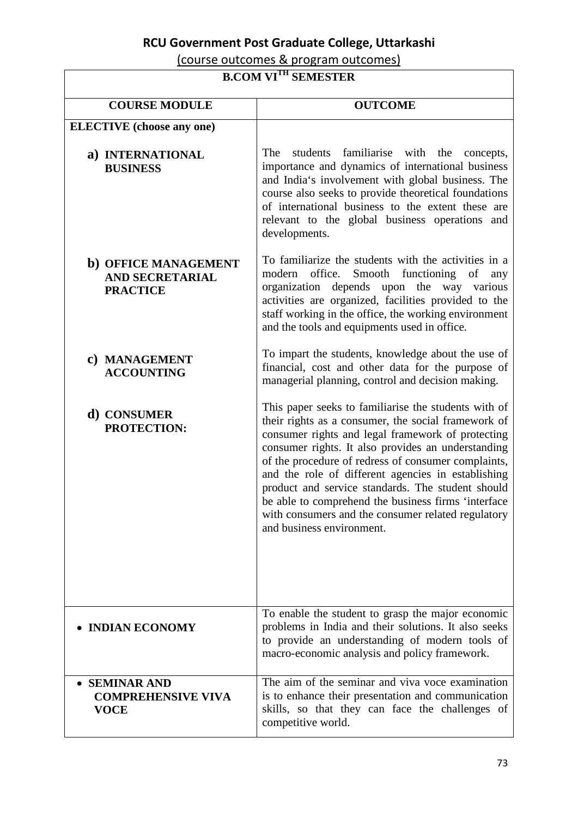(course outcomes & program outcomes)

 $\overline{a}$ 

#### **B.COM VITH SEMESTER**

| D.COM VI SEMESIEN                                                 |                                                                                                                                                                                                                                                                                                                                                                                                                                                                                                                                    |
|-------------------------------------------------------------------|------------------------------------------------------------------------------------------------------------------------------------------------------------------------------------------------------------------------------------------------------------------------------------------------------------------------------------------------------------------------------------------------------------------------------------------------------------------------------------------------------------------------------------|
| <b>COURSE MODULE</b>                                              | <b>OUTCOME</b>                                                                                                                                                                                                                                                                                                                                                                                                                                                                                                                     |
| <b>ELECTIVE</b> (choose any one)                                  |                                                                                                                                                                                                                                                                                                                                                                                                                                                                                                                                    |
| a) INTERNATIONAL<br><b>BUSINESS</b>                               | The<br>students familiarise with the concepts,<br>importance and dynamics of international business<br>and India's involvement with global business. The<br>course also seeks to provide theoretical foundations<br>of international business to the extent these are<br>relevant to the global business operations and<br>developments.                                                                                                                                                                                           |
| b) OFFICE MANAGEMENT<br><b>AND SECRETARIAL</b><br><b>PRACTICE</b> | To familiarize the students with the activities in a<br>office.<br>Smooth<br>functioning<br>modern<br>of<br>any<br>organization depends upon the way various<br>activities are organized, facilities provided to the<br>staff working in the office, the working environment<br>and the tools and equipments used in office.                                                                                                                                                                                                       |
| c) MANAGEMENT<br><b>ACCOUNTING</b>                                | To impart the students, knowledge about the use of<br>financial, cost and other data for the purpose of<br>managerial planning, control and decision making.                                                                                                                                                                                                                                                                                                                                                                       |
| d) CONSUMER<br>PROTECTION:                                        | This paper seeks to familiarise the students with of<br>their rights as a consumer, the social framework of<br>consumer rights and legal framework of protecting<br>consumer rights. It also provides an understanding<br>of the procedure of redress of consumer complaints,<br>and the role of different agencies in establishing<br>product and service standards. The student should<br>be able to comprehend the business firms 'interface<br>with consumers and the consumer related regulatory<br>and business environment. |
| • INDIAN ECONOMY                                                  | To enable the student to grasp the major economic<br>problems in India and their solutions. It also seeks<br>to provide an understanding of modern tools of<br>macro-economic analysis and policy framework.                                                                                                                                                                                                                                                                                                                       |
| • SEMINAR AND<br><b>COMPREHENSIVE VIVA</b><br><b>VOCE</b>         | The aim of the seminar and viva voce examination<br>is to enhance their presentation and communication<br>skills, so that they can face the challenges of<br>competitive world.                                                                                                                                                                                                                                                                                                                                                    |

٦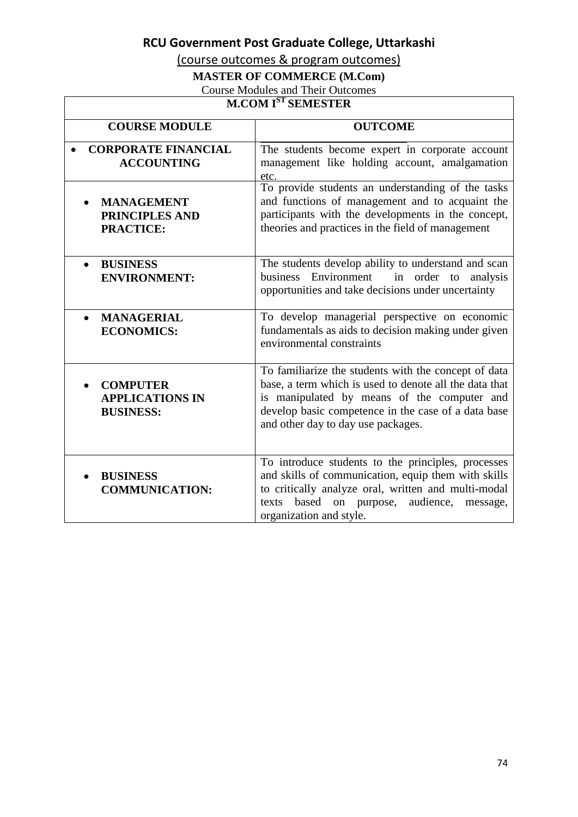(course outcomes & program outcomes)

### **MASTER OF COMMERCE (M.Com)**

Course Modules and Their Outcomes

#### **M.COM IST SEMESTER**

| <b>COURSE MODULE</b>                                          | <b>OUTCOME</b>                                                                                                                                                                                                                                             |
|---------------------------------------------------------------|------------------------------------------------------------------------------------------------------------------------------------------------------------------------------------------------------------------------------------------------------------|
| <b>CORPORATE FINANCIAL</b><br><b>ACCOUNTING</b>               | The students become expert in corporate account<br>management like holding account, amalgamation<br>etc.                                                                                                                                                   |
| <b>MANAGEMENT</b><br>PRINCIPLES AND<br><b>PRACTICE:</b>       | To provide students an understanding of the tasks<br>and functions of management and to acquaint the<br>participants with the developments in the concept,<br>theories and practices in the field of management                                            |
| <b>BUSINESS</b><br><b>ENVIRONMENT:</b>                        | The students develop ability to understand and scan<br>business<br>Environment<br>order to<br>in<br>analysis<br>opportunities and take decisions under uncertainty                                                                                         |
| <b>MANAGERIAL</b><br><b>ECONOMICS:</b>                        | To develop managerial perspective on economic<br>fundamentals as aids to decision making under given<br>environmental constraints                                                                                                                          |
| <b>COMPUTER</b><br><b>APPLICATIONS IN</b><br><b>BUSINESS:</b> | To familiarize the students with the concept of data<br>base, a term which is used to denote all the data that<br>is manipulated by means of the computer and<br>develop basic competence in the case of a data base<br>and other day to day use packages. |
| <b>BUSINESS</b><br><b>COMMUNICATION:</b>                      | To introduce students to the principles, processes<br>and skills of communication, equip them with skills<br>to critically analyze oral, written and multi-modal<br>based on purpose,<br>audience,<br>texts<br>message,<br>organization and style.         |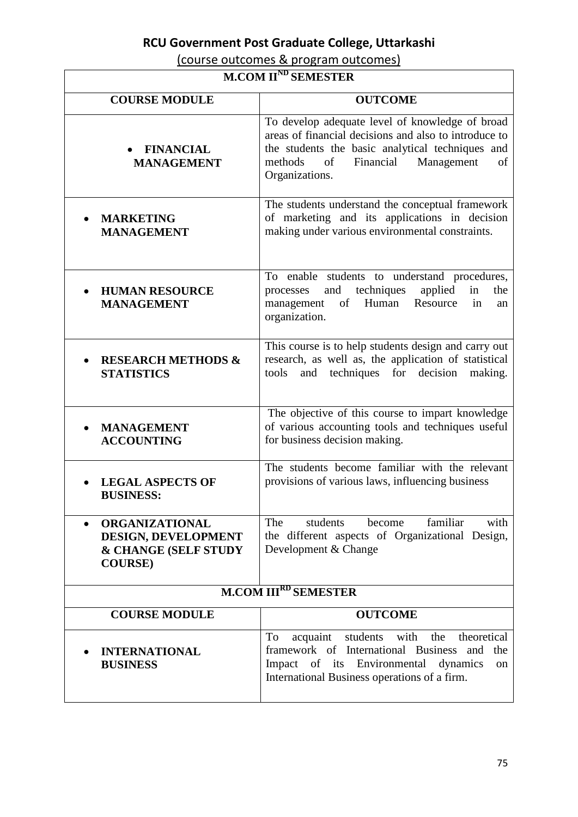(course outcomes & program outcomes)

#### **M.COM IIND SEMESTER**

 $\sqrt{ }$ 

| <b>COURSE MODULE</b>                                                                    | <b>OUTCOME</b>                                                                                                                                                                                                                   |
|-----------------------------------------------------------------------------------------|----------------------------------------------------------------------------------------------------------------------------------------------------------------------------------------------------------------------------------|
| • FINANCIAL<br><b>MANAGEMENT</b>                                                        | To develop adequate level of knowledge of broad<br>areas of financial decisions and also to introduce to<br>the students the basic analytical techniques and<br>of<br>Financial<br>Management<br>methods<br>of<br>Organizations. |
| <b>MARKETING</b><br><b>MANAGEMENT</b>                                                   | The students understand the conceptual framework<br>of marketing and its applications in decision<br>making under various environmental constraints.                                                                             |
| <b>HUMAN RESOURCE</b><br><b>MANAGEMENT</b>                                              | To enable students to understand procedures,<br>and techniques<br>applied<br>in<br>the<br>processes<br>Human<br>in<br>management<br>of<br>Resource<br>an<br>organization.                                                        |
| <b>RESEARCH METHODS &amp;</b><br><b>STATISTICS</b>                                      | This course is to help students design and carry out<br>research, as well as, the application of statistical<br>techniques for<br>decision<br>making.<br>tools<br>and                                                            |
| <b>MANAGEMENT</b><br><b>ACCOUNTING</b>                                                  | The objective of this course to impart knowledge<br>of various accounting tools and techniques useful<br>for business decision making.                                                                                           |
| <b>LEGAL ASPECTS OF</b><br><b>BUSINESS:</b>                                             | The students become familiar with the relevant<br>provisions of various laws, influencing business                                                                                                                               |
| <b>ORGANIZATIONAL</b><br>DESIGN, DEVELOPMENT<br>& CHANGE (SELF STUDY<br><b>COURSE</b> ) | The<br>become<br>familiar<br>with<br>students<br>the different aspects of Organizational Design,<br>Development & Change                                                                                                         |
| <b>M.COM III<sup>RD</sup> SEMESTER</b>                                                  |                                                                                                                                                                                                                                  |
| <b>COURSE MODULE</b>                                                                    | <b>OUTCOME</b>                                                                                                                                                                                                                   |
| <b>INTERNATIONAL</b><br><b>BUSINESS</b>                                                 | theoretical<br>acquaint students with the<br>To<br>framework of International Business and the<br>Impact of its Environmental dynamics<br>on<br>International Business operations of a firm.                                     |

 $\overline{\phantom{a}}$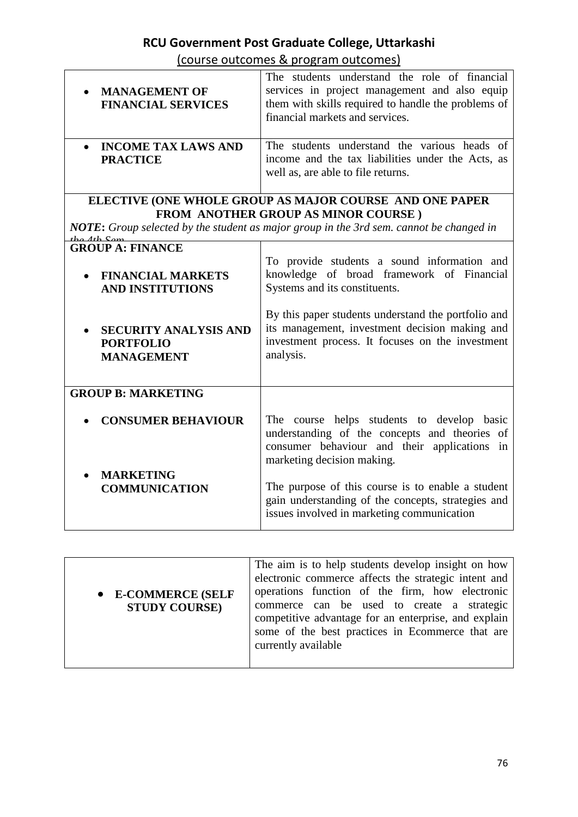(course outcomes & program outcomes)

| • MANAGEMENT OF<br><b>FINANCIAL SERVICES</b>                                                                                                                                                            | The students understand the role of financial<br>services in project management and also equip<br>them with skills required to handle the problems of<br>financial markets and services. |
|---------------------------------------------------------------------------------------------------------------------------------------------------------------------------------------------------------|------------------------------------------------------------------------------------------------------------------------------------------------------------------------------------------|
| • INCOME TAX LAWS AND<br><b>PRACTICE</b>                                                                                                                                                                | The students understand the various heads of<br>income and the tax liabilities under the Acts, as<br>well as, are able to file returns.                                                  |
| ELECTIVE (ONE WHOLE GROUP AS MAJOR COURSE AND ONE PAPER<br><b>FROM ANOTHER GROUP AS MINOR COURSE)</b><br><b>NOTE:</b> Group selected by the student as major group in the 3rd sem. cannot be changed in |                                                                                                                                                                                          |
| <b>GROUP A: FINANCE</b><br>• FINANCIAL MARKETS<br><b>AND INSTITUTIONS</b>                                                                                                                               | To provide students a sound information and<br>knowledge of broad framework of Financial<br>Systems and its constituents.                                                                |

• **SECURITY ANALYSIS AND**  By this paper students understand the portfolio and its management, investment decision making and investment process. It focuses on the investment analysis.

| <b>GROUP B: MARKETING</b>                |                                                                                                                                                                           |
|------------------------------------------|---------------------------------------------------------------------------------------------------------------------------------------------------------------------------|
| • CONSUMER BEHAVIOUR                     | The course helps students to develop basic<br>understanding of the concepts and theories of<br>consumer behaviour and their applications in<br>marketing decision making. |
| <b>MARKETING</b><br><b>COMMUNICATION</b> | The purpose of this course is to enable a student<br>gain understanding of the concepts, strategies and<br>issues involved in marketing communication                     |

**PORTFOLIO MANAGEMENT**

| • E-COMMERCE (SELF<br><b>STUDY COURSE)</b> | The aim is to help students develop insight on how<br>electronic commerce affects the strategic intent and<br>operations function of the firm, how electronic<br>commerce can be used to create a strategic<br>competitive advantage for an enterprise, and explain<br>some of the best practices in Ecommerce that are<br>currently available |
|--------------------------------------------|------------------------------------------------------------------------------------------------------------------------------------------------------------------------------------------------------------------------------------------------------------------------------------------------------------------------------------------------|